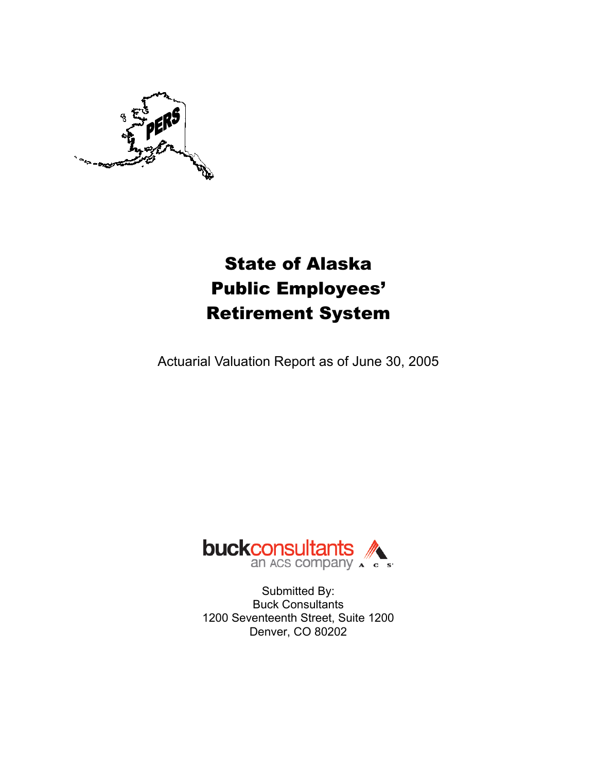

# State of Alaska Public Employees' Retirement System

Actuarial Valuation Report as of June 30, 2005



Submitted By: Buck Consultants 1200 Seventeenth Street, Suite 1200 Denver, CO 80202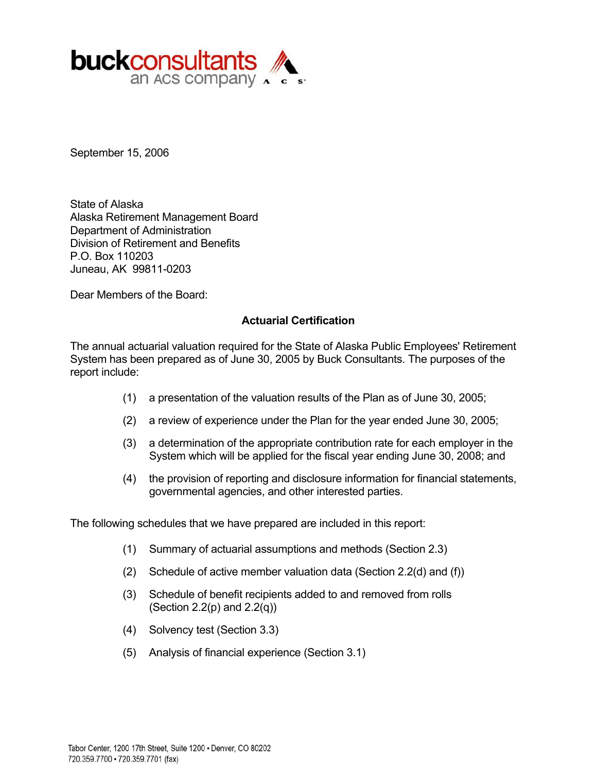

September 15, 2006

State of Alaska Alaska Retirement Management Board Department of Administration Division of Retirement and Benefits P.O. Box 110203 Juneau, AK 99811-0203

Dear Members of the Board:

#### **Actuarial Certification**

The annual actuarial valuation required for the State of Alaska Public Employees' Retirement System has been prepared as of June 30, 2005 by Buck Consultants. The purposes of the report include:

- (1) a presentation of the valuation results of the Plan as of June 30, 2005;
- (2) a review of experience under the Plan for the year ended June 30, 2005;
- (3) a determination of the appropriate contribution rate for each employer in the System which will be applied for the fiscal year ending June 30, 2008; and
- (4) the provision of reporting and disclosure information for financial statements, governmental agencies, and other interested parties.

The following schedules that we have prepared are included in this report:

- (1) Summary of actuarial assumptions and methods (Section 2.3)
- (2) Schedule of active member valuation data (Section 2.2(d) and (f))
- (3) Schedule of benefit recipients added to and removed from rolls (Section 2.2(p) and  $2.2(q)$ )
- (4) Solvency test (Section 3.3)
- (5) Analysis of financial experience (Section 3.1)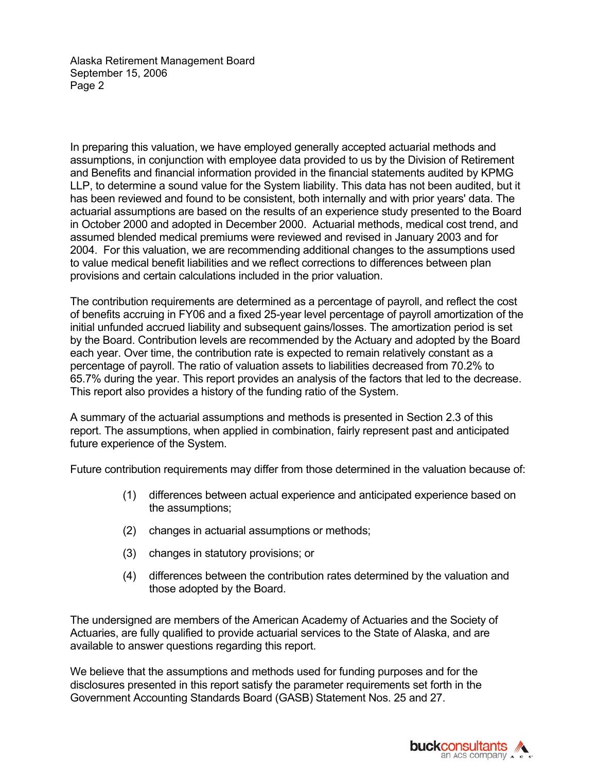Alaska Retirement Management Board September 15, 2006 Page 2

In preparing this valuation, we have employed generally accepted actuarial methods and assumptions, in conjunction with employee data provided to us by the Division of Retirement and Benefits and financial information provided in the financial statements audited by KPMG LLP, to determine a sound value for the System liability. This data has not been audited, but it has been reviewed and found to be consistent, both internally and with prior years' data. The actuarial assumptions are based on the results of an experience study presented to the Board in October 2000 and adopted in December 2000. Actuarial methods, medical cost trend, and assumed blended medical premiums were reviewed and revised in January 2003 and for 2004. For this valuation, we are recommending additional changes to the assumptions used to value medical benefit liabilities and we reflect corrections to differences between plan provisions and certain calculations included in the prior valuation.

The contribution requirements are determined as a percentage of payroll, and reflect the cost of benefits accruing in FY06 and a fixed 25-year level percentage of payroll amortization of the initial unfunded accrued liability and subsequent gains/losses. The amortization period is set by the Board. Contribution levels are recommended by the Actuary and adopted by the Board each year. Over time, the contribution rate is expected to remain relatively constant as a percentage of payroll. The ratio of valuation assets to liabilities decreased from 70.2% to 65.7% during the year. This report provides an analysis of the factors that led to the decrease. This report also provides a history of the funding ratio of the System.

A summary of the actuarial assumptions and methods is presented in Section 2.3 of this report. The assumptions, when applied in combination, fairly represent past and anticipated future experience of the System.

Future contribution requirements may differ from those determined in the valuation because of:

- (1) differences between actual experience and anticipated experience based on the assumptions;
- (2) changes in actuarial assumptions or methods;
- (3) changes in statutory provisions; or
- (4) differences between the contribution rates determined by the valuation and those adopted by the Board.

The undersigned are members of the American Academy of Actuaries and the Society of Actuaries, are fully qualified to provide actuarial services to the State of Alaska, and are available to answer questions regarding this report.

We believe that the assumptions and methods used for funding purposes and for the disclosures presented in this report satisfy the parameter requirements set forth in the Government Accounting Standards Board (GASB) Statement Nos. 25 and 27.

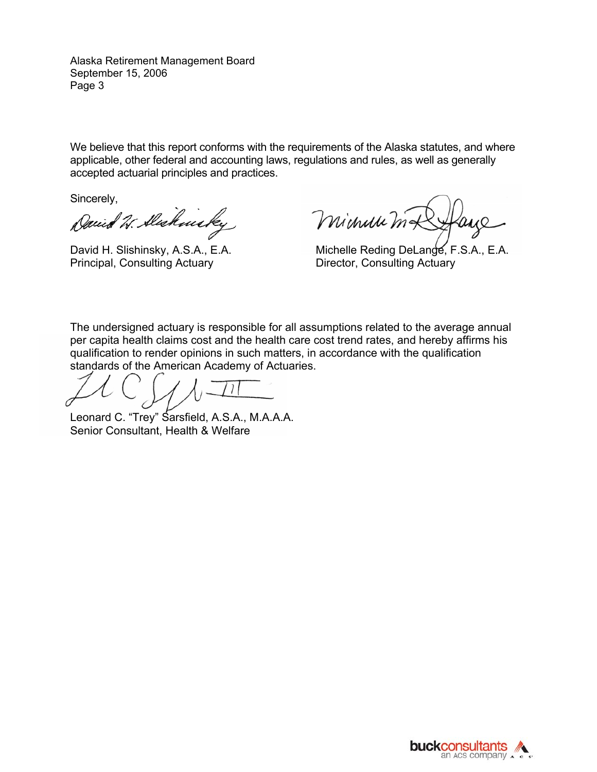Alaska Retirement Management Board September 15, 2006 Page 3

We believe that this report conforms with the requirements of the Alaska statutes, and where applicable, other federal and accounting laws, regulations and rules, as well as generally accepted actuarial principles and practices.

Sincerely,

Daniel W. Alschmicky

Principal, Consulting Actuary **Director, Consulting Actuary** 

Minuu ma

David H. Slishinsky, A.S.A., E.A. Michelle Reding DeLange, F.S.A., E.A.

The undersigned actuary is responsible for all assumptions related to the average annual per capita health claims cost and the health care cost trend rates, and hereby affirms his qualification to render opinions in such matters, in accordance with the qualification standards of the American Academy of Actuaries.

Leonard C. "Trey" Sarsfield, A.S.A., M.A.A.A. Senior Consultant, Health & Welfare

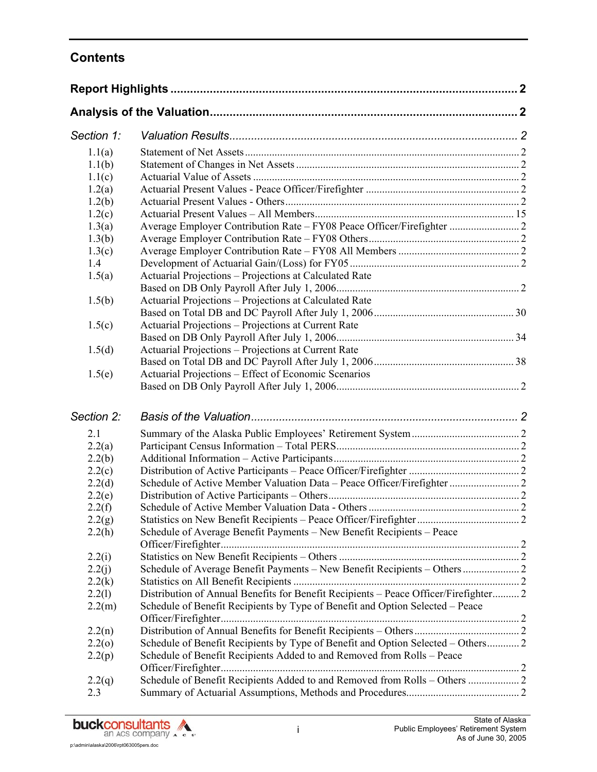## **Contents**

| Section 1: |                                                                                      |  |
|------------|--------------------------------------------------------------------------------------|--|
| 1.1(a)     |                                                                                      |  |
| 1.1(b)     |                                                                                      |  |
| 1.1(c)     |                                                                                      |  |
| 1.2(a)     |                                                                                      |  |
| 1.2(b)     |                                                                                      |  |
| 1.2(c)     |                                                                                      |  |
| 1.3(a)     |                                                                                      |  |
| 1.3(b)     |                                                                                      |  |
| 1.3(c)     |                                                                                      |  |
| 1.4        |                                                                                      |  |
| 1.5(a)     | Actuarial Projections – Projections at Calculated Rate                               |  |
|            |                                                                                      |  |
| 1.5(b)     | Actuarial Projections - Projections at Calculated Rate                               |  |
|            |                                                                                      |  |
| 1.5(c)     | Actuarial Projections - Projections at Current Rate                                  |  |
|            |                                                                                      |  |
| 1.5(d)     | Actuarial Projections - Projections at Current Rate                                  |  |
|            |                                                                                      |  |
| 1.5(e)     | Actuarial Projections – Effect of Economic Scenarios                                 |  |
|            |                                                                                      |  |
| Section 2: |                                                                                      |  |
| 2.1        |                                                                                      |  |
| 2.2(a)     |                                                                                      |  |
| 2.2(b)     |                                                                                      |  |
| 2.2(c)     |                                                                                      |  |
| 2.2(d)     |                                                                                      |  |
| 2.2(e)     |                                                                                      |  |
| 2.2(f)     |                                                                                      |  |
| 2.2(g)     |                                                                                      |  |
| 2.2(h)     | Schedule of Average Benefit Payments - New Benefit Recipients - Peace                |  |
| 2.2(i)     |                                                                                      |  |
| 2.2(j)     | Schedule of Average Benefit Payments - New Benefit Recipients - Others  2            |  |
| 2.2(k)     |                                                                                      |  |
| 2.2(1)     | Distribution of Annual Benefits for Benefit Recipients - Peace Officer/Firefighter 2 |  |
| 2.2(m)     | Schedule of Benefit Recipients by Type of Benefit and Option Selected - Peace        |  |
|            |                                                                                      |  |
| 2.2(n)     |                                                                                      |  |
| 2.2(0)     | Schedule of Benefit Recipients by Type of Benefit and Option Selected – Others 2     |  |
| 2.2(p)     | Schedule of Benefit Recipients Added to and Removed from Rolls - Peace               |  |
| 2.2(q)     | Schedule of Benefit Recipients Added to and Removed from Rolls - Others  2           |  |
| 2.3        |                                                                                      |  |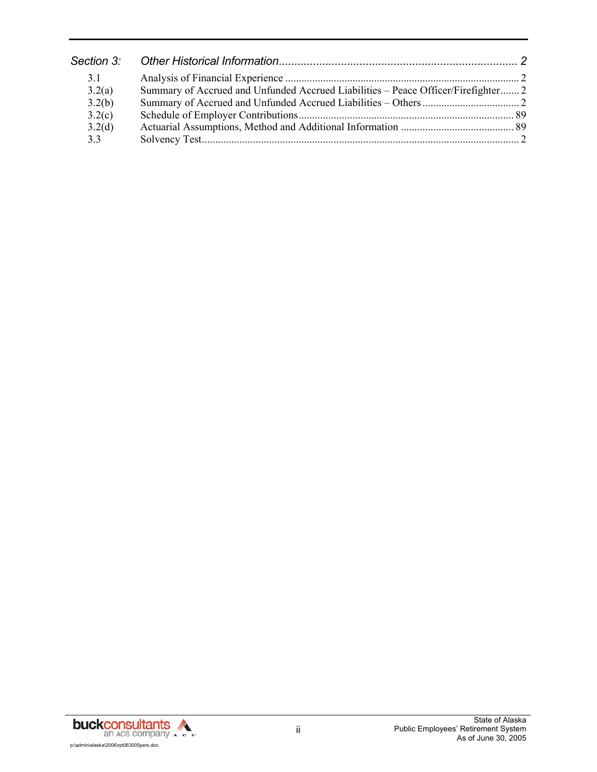| 31     |                                                                                   |  |
|--------|-----------------------------------------------------------------------------------|--|
| 3.2(a) | Summary of Accrued and Unfunded Accrued Liabilities - Peace Officer/Firefighter 2 |  |
| 3.2(b) |                                                                                   |  |
| 3.2(c) |                                                                                   |  |
| 3.2(d) |                                                                                   |  |
| 3.3    |                                                                                   |  |

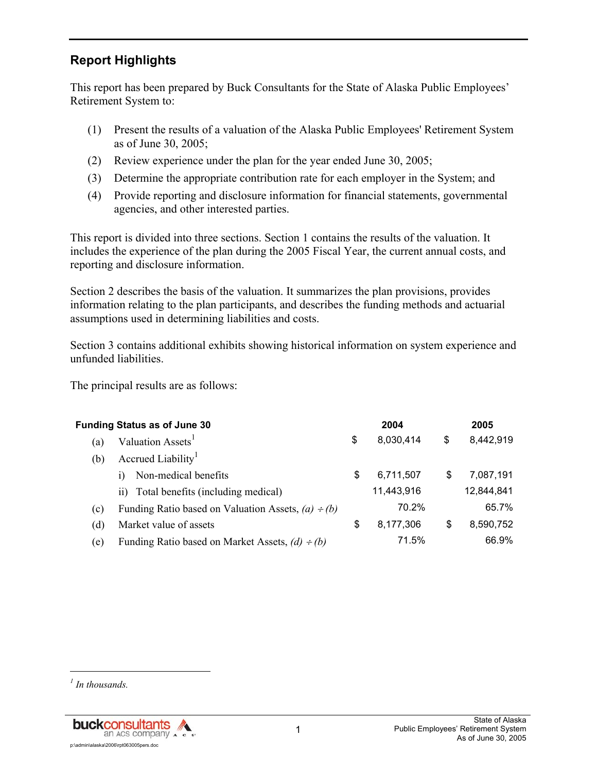## **Report Highlights**

This report has been prepared by Buck Consultants for the State of Alaska Public Employees' Retirement System to:

- (1) Present the results of a valuation of the Alaska Public Employees' Retirement System as of June 30, 2005;
- (2) Review experience under the plan for the year ended June 30, 2005;
- (3) Determine the appropriate contribution rate for each employer in the System; and
- (4) Provide reporting and disclosure information for financial statements, governmental agencies, and other interested parties.

This report is divided into three sections. Section 1 contains the results of the valuation. It includes the experience of the plan during the 2005 Fiscal Year, the current annual costs, and reporting and disclosure information.

Section 2 describes the basis of the valuation. It summarizes the plan provisions, provides information relating to the plan participants, and describes the funding methods and actuarial assumptions used in determining liabilities and costs.

Section 3 contains additional exhibits showing historical information on system experience and unfunded liabilities.

The principal results are as follows:

| <b>Funding Status as of June 30</b> |                                                         | 2004 |            |    | 2005       |  |
|-------------------------------------|---------------------------------------------------------|------|------------|----|------------|--|
| (a)                                 | Valuation Assets <sup>1</sup>                           | \$   | 8,030,414  | \$ | 8,442,919  |  |
| (b)                                 | Accrued Liability <sup>1</sup>                          |      |            |    |            |  |
|                                     | Non-medical benefits                                    | S    | 6,711,507  | S  | 7.087.191  |  |
|                                     | ii) Total benefits (including medical)                  |      | 11,443,916 |    | 12,844,841 |  |
| (c)                                 | Funding Ratio based on Valuation Assets, $(a) \div (b)$ |      | 70.2%      |    | 65.7%      |  |
| (d)                                 | Market value of assets                                  | S    | 8,177,306  | \$ | 8,590,752  |  |
| (e)                                 | Funding Ratio based on Market Assets, $(d) \div (b)$    |      | 71.5%      |    | 66.9%      |  |

l

*<sup>1</sup> In thousands.*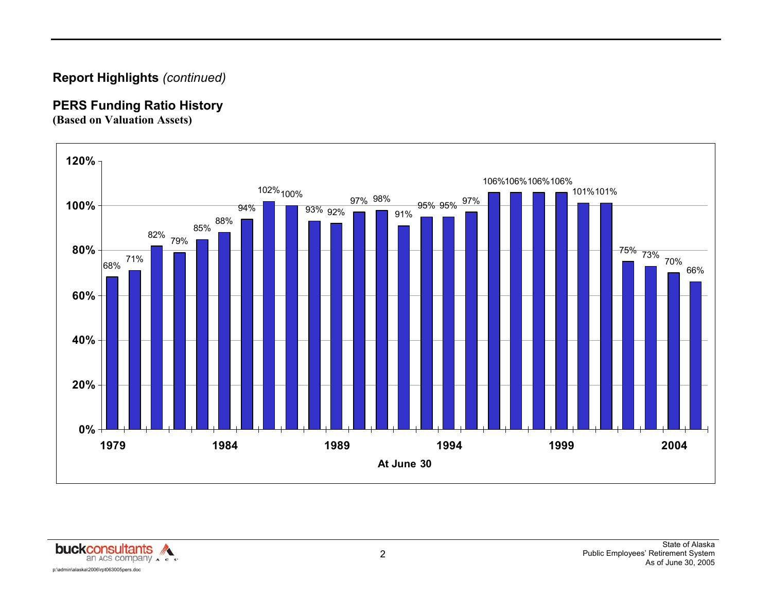## **Report Highlights** *(continued)*

## **PERS Funding Ratio History**

**(Based on Valuation Assets)** 



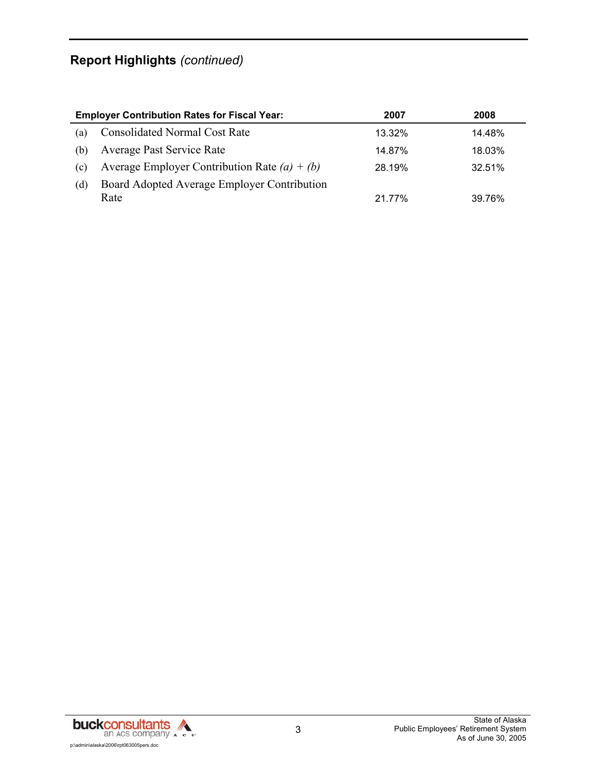## **Report Highlights** *(continued)*

|     | <b>Employer Contribution Rates for Fiscal Year:</b> | 2007   | 2008   |
|-----|-----------------------------------------------------|--------|--------|
| (a) | <b>Consolidated Normal Cost Rate</b>                | 13.32% | 14.48% |
| (b) | <b>Average Past Service Rate</b>                    | 14.87% | 18.03% |
| (c) | Average Employer Contribution Rate $(a) + (b)$      | 28.19% | 32.51% |
| (d) | Board Adopted Average Employer Contribution         |        |        |
|     | Rate                                                | 21.77% | 39.76% |

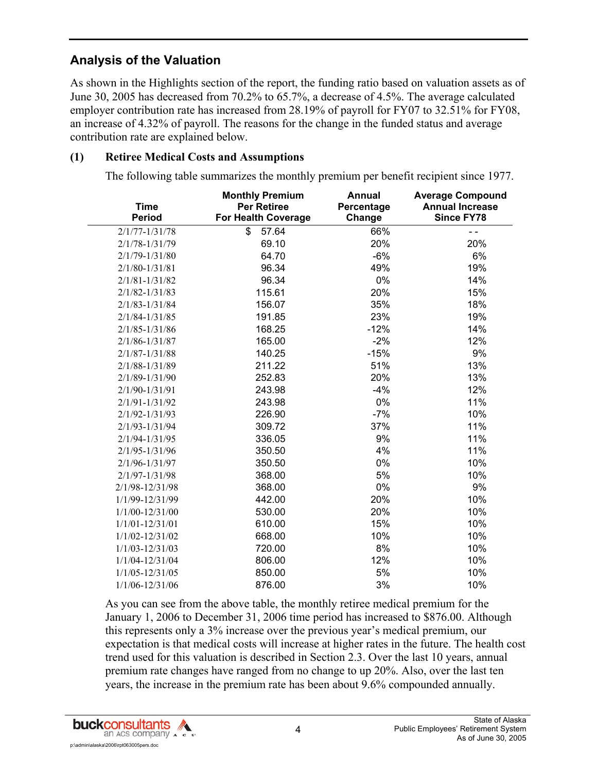## **Analysis of the Valuation**

As shown in the Highlights section of the report, the funding ratio based on valuation assets as of June 30, 2005 has decreased from 70.2% to 65.7%, a decrease of 4.5%. The average calculated employer contribution rate has increased from 28.19% of payroll for FY07 to 32.51% for FY08, an increase of 4.32% of payroll. The reasons for the change in the funded status and average contribution rate are explained below.

#### **(1) Retiree Medical Costs and Assumptions**

The following table summarizes the monthly premium per benefit recipient since 1977.

| <b>Time</b><br><b>Period</b> | <b>Monthly Premium</b><br><b>Per Retiree</b><br><b>For Health Coverage</b> | Annual<br>Percentage<br>Change | <b>Average Compound</b><br><b>Annual Increase</b><br><b>Since FY78</b> |
|------------------------------|----------------------------------------------------------------------------|--------------------------------|------------------------------------------------------------------------|
| $2/1/77 - 1/31/78$           | \$<br>57.64                                                                | 66%                            | - -                                                                    |
| $2/1/78 - 1/31/79$           | 69.10                                                                      | 20%                            | 20%                                                                    |
| $2/1/79 - 1/31/80$           | 64.70                                                                      | $-6%$                          | 6%                                                                     |
| $2/1/80 - 1/31/81$           | 96.34                                                                      | 49%                            | 19%                                                                    |
| $2/1/81 - 1/31/82$           | 96.34                                                                      | 0%                             | 14%                                                                    |
| $2/1/82 - 1/31/83$           | 115.61                                                                     | 20%                            | 15%                                                                    |
| $2/1/83 - 1/31/84$           | 156.07                                                                     | 35%                            | 18%                                                                    |
| $2/1/84 - 1/31/85$           | 191.85                                                                     | 23%                            | 19%                                                                    |
| $2/1/85 - 1/31/86$           | 168.25                                                                     | $-12%$                         | 14%                                                                    |
| $2/1/86 - 1/31/87$           | 165.00                                                                     | $-2%$                          | 12%                                                                    |
| $2/1/87 - 1/31/88$           | 140.25                                                                     | $-15%$                         | 9%                                                                     |
| $2/1/88 - 1/31/89$           | 211.22                                                                     | 51%                            | 13%                                                                    |
| 2/1/89-1/31/90               | 252.83                                                                     | 20%                            | 13%                                                                    |
| $2/1/90 - 1/31/91$           | 243.98                                                                     | $-4%$                          | 12%                                                                    |
| $2/1/91 - 1/31/92$           | 243.98                                                                     | 0%                             | 11%                                                                    |
| $2/1/92 - 1/31/93$           | 226.90                                                                     | $-7%$                          | 10%                                                                    |
| $2/1/93 - 1/31/94$           | 309.72                                                                     | 37%                            | 11%                                                                    |
| $2/1/94 - 1/31/95$           | 336.05                                                                     | 9%                             | 11%                                                                    |
| $2/1/95 - 1/31/96$           | 350.50                                                                     | 4%                             | 11%                                                                    |
| $2/1/96 - 1/31/97$           | 350.50                                                                     | 0%                             | 10%                                                                    |
| $2/1/97 - 1/31/98$           | 368.00                                                                     | 5%                             | 10%                                                                    |
| 2/1/98-12/31/98              | 368.00                                                                     | 0%                             | 9%                                                                     |
| 1/1/99-12/31/99              | 442.00                                                                     | 20%                            | 10%                                                                    |
| $1/1/00 - 12/31/00$          | 530.00                                                                     | 20%                            | 10%                                                                    |
| $1/1/01 - 12/31/01$          | 610.00                                                                     | 15%                            | 10%                                                                    |
| 1/1/02-12/31/02              | 668.00                                                                     | 10%                            | 10%                                                                    |
| $1/1/03 - 12/31/03$          | 720.00                                                                     | 8%                             | 10%                                                                    |
| $1/1/04 - 12/31/04$          | 806.00                                                                     | 12%                            | 10%                                                                    |
| 1/1/05-12/31/05              | 850.00                                                                     | 5%                             | 10%                                                                    |
| 1/1/06-12/31/06              | 876.00                                                                     | 3%                             | 10%                                                                    |

As you can see from the above table, the monthly retiree medical premium for the January 1, 2006 to December 31, 2006 time period has increased to \$876.00. Although this represents only a 3% increase over the previous year's medical premium, our expectation is that medical costs will increase at higher rates in the future. The health cost trend used for this valuation is described in Section 2.3. Over the last 10 years, annual premium rate changes have ranged from no change to up 20%. Also, over the last ten years, the increase in the premium rate has been about 9.6% compounded annually.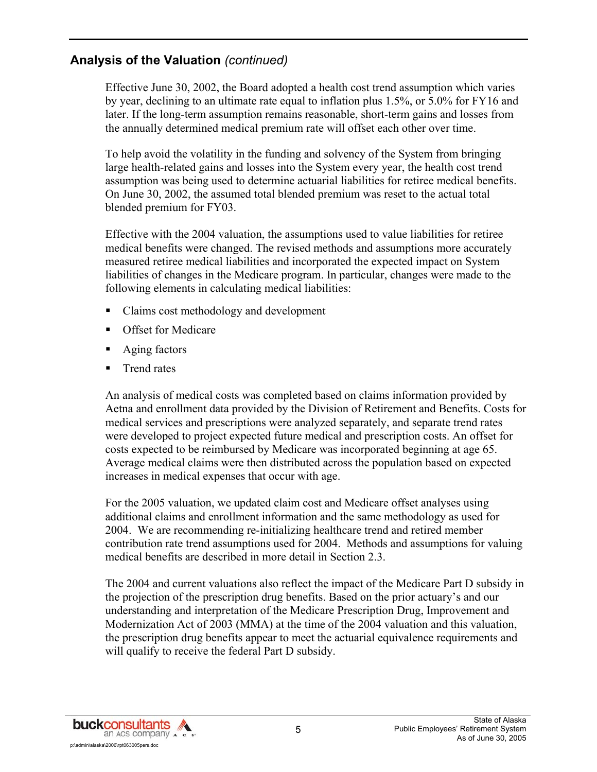Effective June 30, 2002, the Board adopted a health cost trend assumption which varies by year, declining to an ultimate rate equal to inflation plus 1.5%, or 5.0% for FY16 and later. If the long-term assumption remains reasonable, short-term gains and losses from the annually determined medical premium rate will offset each other over time.

To help avoid the volatility in the funding and solvency of the System from bringing large health-related gains and losses into the System every year, the health cost trend assumption was being used to determine actuarial liabilities for retiree medical benefits. On June 30, 2002, the assumed total blended premium was reset to the actual total blended premium for FY03.

Effective with the 2004 valuation, the assumptions used to value liabilities for retiree medical benefits were changed. The revised methods and assumptions more accurately measured retiree medical liabilities and incorporated the expected impact on System liabilities of changes in the Medicare program. In particular, changes were made to the following elements in calculating medical liabilities:

- Claims cost methodology and development
- **Calculate** Offset for Medicare
- **Aging factors**
- **Trend rates**

An analysis of medical costs was completed based on claims information provided by Aetna and enrollment data provided by the Division of Retirement and Benefits. Costs for medical services and prescriptions were analyzed separately, and separate trend rates were developed to project expected future medical and prescription costs. An offset for costs expected to be reimbursed by Medicare was incorporated beginning at age 65. Average medical claims were then distributed across the population based on expected increases in medical expenses that occur with age.

For the 2005 valuation, we updated claim cost and Medicare offset analyses using additional claims and enrollment information and the same methodology as used for 2004. We are recommending re-initializing healthcare trend and retired member contribution rate trend assumptions used for 2004. Methods and assumptions for valuing medical benefits are described in more detail in Section 2.3.

The 2004 and current valuations also reflect the impact of the Medicare Part D subsidy in the projection of the prescription drug benefits. Based on the prior actuary's and our understanding and interpretation of the Medicare Prescription Drug, Improvement and Modernization Act of 2003 (MMA) at the time of the 2004 valuation and this valuation, the prescription drug benefits appear to meet the actuarial equivalence requirements and will qualify to receive the federal Part D subsidy.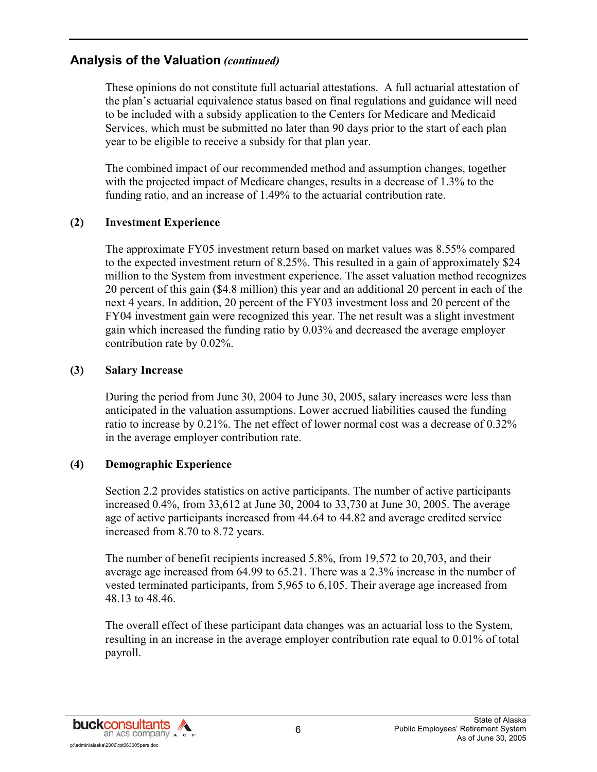These opinions do not constitute full actuarial attestations. A full actuarial attestation of the plan's actuarial equivalence status based on final regulations and guidance will need to be included with a subsidy application to the Centers for Medicare and Medicaid Services, which must be submitted no later than 90 days prior to the start of each plan year to be eligible to receive a subsidy for that plan year.

The combined impact of our recommended method and assumption changes, together with the projected impact of Medicare changes, results in a decrease of 1.3% to the funding ratio, and an increase of 1.49% to the actuarial contribution rate.

#### **(2) Investment Experience**

The approximate FY05 investment return based on market values was 8.55% compared to the expected investment return of 8.25%. This resulted in a gain of approximately \$24 million to the System from investment experience. The asset valuation method recognizes 20 percent of this gain (\$4.8 million) this year and an additional 20 percent in each of the next 4 years. In addition, 20 percent of the FY03 investment loss and 20 percent of the FY04 investment gain were recognized this year. The net result was a slight investment gain which increased the funding ratio by 0.03% and decreased the average employer contribution rate by 0.02%.

#### **(3) Salary Increase**

During the period from June 30, 2004 to June 30, 2005, salary increases were less than anticipated in the valuation assumptions. Lower accrued liabilities caused the funding ratio to increase by 0.21%. The net effect of lower normal cost was a decrease of 0.32% in the average employer contribution rate.

#### **(4) Demographic Experience**

Section 2.2 provides statistics on active participants. The number of active participants increased 0.4%, from 33,612 at June 30, 2004 to 33,730 at June 30, 2005. The average age of active participants increased from 44.64 to 44.82 and average credited service increased from 8.70 to 8.72 years.

The number of benefit recipients increased 5.8%, from 19,572 to 20,703, and their average age increased from 64.99 to 65.21. There was a 2.3% increase in the number of vested terminated participants, from 5,965 to 6,105. Their average age increased from 48.13 to 48.46.

The overall effect of these participant data changes was an actuarial loss to the System, resulting in an increase in the average employer contribution rate equal to 0.01% of total payroll.

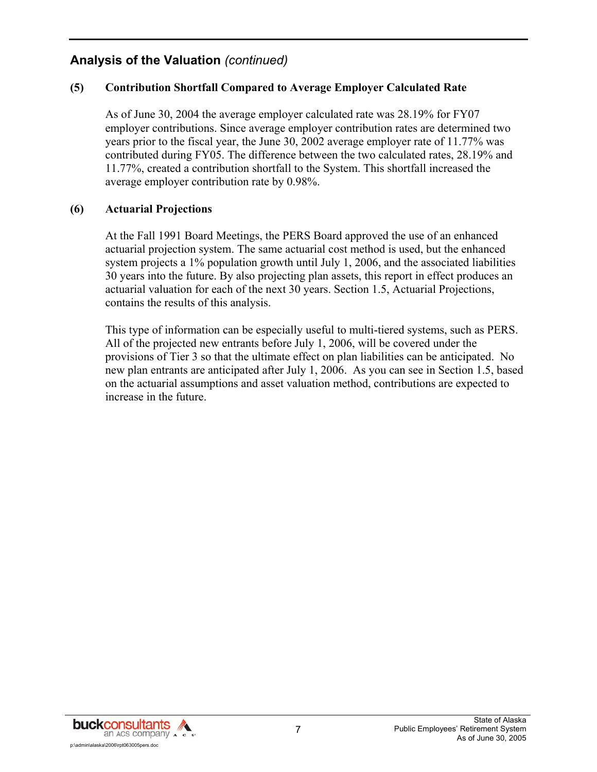#### **(5) Contribution Shortfall Compared to Average Employer Calculated Rate**

As of June 30, 2004 the average employer calculated rate was 28.19% for FY07 employer contributions. Since average employer contribution rates are determined two years prior to the fiscal year, the June 30, 2002 average employer rate of 11.77% was contributed during FY05. The difference between the two calculated rates, 28.19% and 11.77%, created a contribution shortfall to the System. This shortfall increased the average employer contribution rate by 0.98%.

#### **(6) Actuarial Projections**

At the Fall 1991 Board Meetings, the PERS Board approved the use of an enhanced actuarial projection system. The same actuarial cost method is used, but the enhanced system projects a 1% population growth until July 1, 2006, and the associated liabilities 30 years into the future. By also projecting plan assets, this report in effect produces an actuarial valuation for each of the next 30 years. Section 1.5, Actuarial Projections, contains the results of this analysis.

This type of information can be especially useful to multi-tiered systems, such as PERS. All of the projected new entrants before July 1, 2006, will be covered under the provisions of Tier 3 so that the ultimate effect on plan liabilities can be anticipated. No new plan entrants are anticipated after July 1, 2006. As you can see in Section 1.5, based on the actuarial assumptions and asset valuation method, contributions are expected to increase in the future.

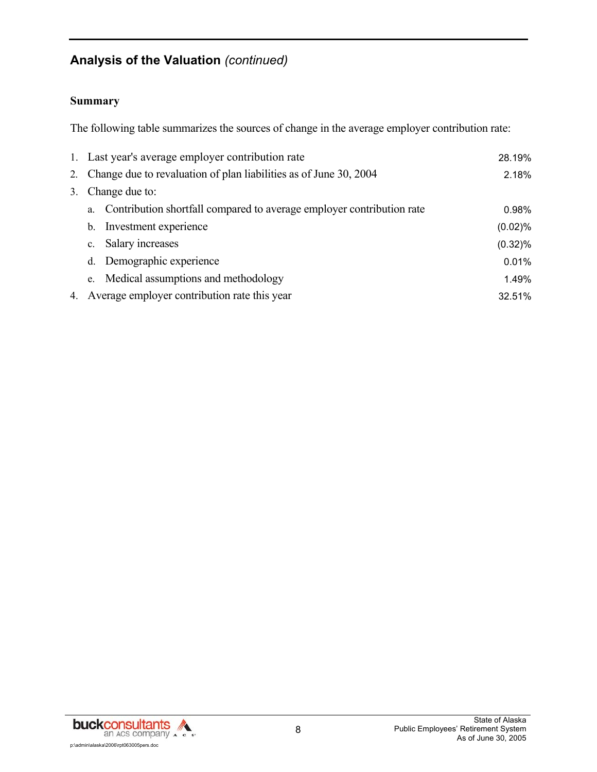#### **Summary**

The following table summarizes the sources of change in the average employer contribution rate:

| 1. Last year's average employer contribution rate                           | 28.19%     |
|-----------------------------------------------------------------------------|------------|
| 2. Change due to revaluation of plan liabilities as of June 30, 2004        | 2.18%      |
| 3. Change due to:                                                           |            |
| Contribution shortfall compared to average employer contribution rate<br>a. | 0.98%      |
| Investment experience<br>b.                                                 | (0.02)%    |
| Salary increases<br>$C_{-}$                                                 | $(0.32)\%$ |
| d. Demographic experience                                                   | 0.01%      |
| Medical assumptions and methodology<br>e.                                   | 1.49%      |
| 4. Average employer contribution rate this year                             | 32.51%     |

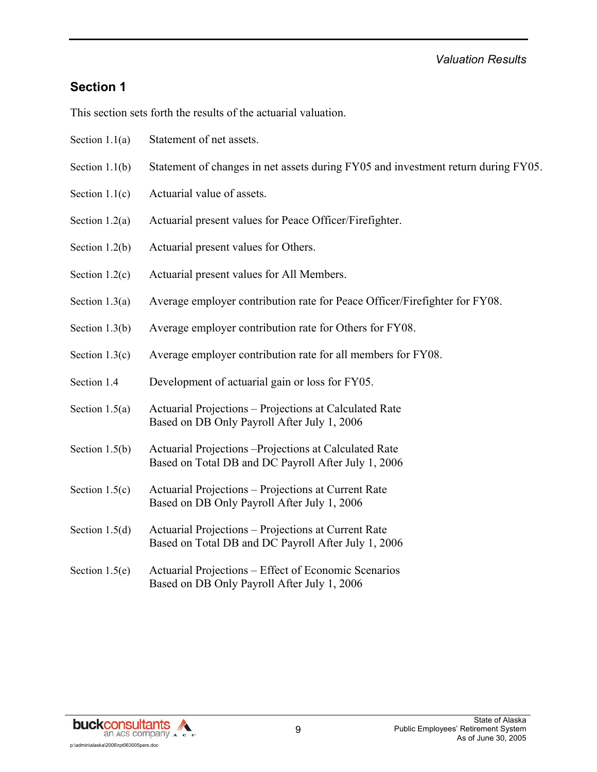### **Section 1**

This section sets forth the results of the actuarial valuation.

- Section 1.1(a) Statement of net assets.
- Section 1.1(b) Statement of changes in net assets during FY05 and investment return during FY05.
- Section 1.1(c) Actuarial value of assets.
- Section 1.2(a) Actuarial present values for Peace Officer/Firefighter.
- Section 1.2(b) Actuarial present values for Others.
- Section 1.2(c) Actuarial present values for All Members.
- Section 1.3(a) Average employer contribution rate for Peace Officer/Firefighter for FY08.
- Section 1.3(b) Average employer contribution rate for Others for FY08.
- Section 1.3(c) Average employer contribution rate for all members for FY08.
- Section 1.4 Development of actuarial gain or loss for FY05.
- Section 1.5(a) Actuarial Projections Projections at Calculated Rate Based on DB Only Payroll After July 1, 2006
- Section 1.5(b) Actuarial Projections –Projections at Calculated Rate Based on Total DB and DC Payroll After July 1, 2006
- Section 1.5(c) Actuarial Projections Projections at Current Rate Based on DB Only Payroll After July 1, 2006
- Section 1.5(d) Actuarial Projections Projections at Current Rate Based on Total DB and DC Payroll After July 1, 2006
- Section 1.5(e) Actuarial Projections Effect of Economic Scenarios Based on DB Only Payroll After July 1, 2006

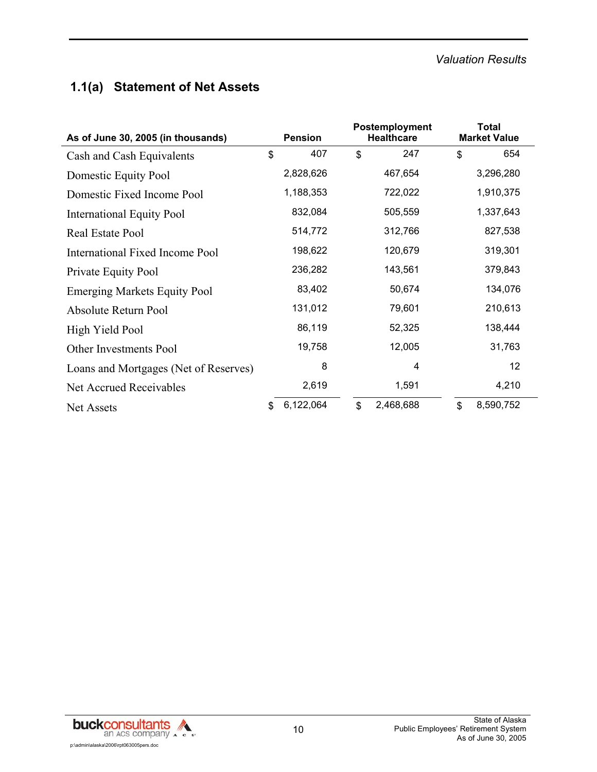## **1.1(a) Statement of Net Assets**

| As of June 30, 2005 (in thousands)    |    |           | Postemployment<br><b>Pension</b><br><b>Healthcare</b> |           | <b>Total</b><br><b>Market Value</b> |           |
|---------------------------------------|----|-----------|-------------------------------------------------------|-----------|-------------------------------------|-----------|
| Cash and Cash Equivalents             | \$ | 407       | \$                                                    | 247       | \$                                  | 654       |
| Domestic Equity Pool                  |    | 2,828,626 |                                                       | 467,654   |                                     | 3,296,280 |
| Domestic Fixed Income Pool            |    | 1,188,353 |                                                       | 722,022   |                                     | 1,910,375 |
| <b>International Equity Pool</b>      |    | 832,084   |                                                       | 505,559   |                                     | 1,337,643 |
| Real Estate Pool                      |    | 514,772   |                                                       | 312,766   |                                     | 827,538   |
| International Fixed Income Pool       |    | 198,622   |                                                       | 120,679   |                                     | 319,301   |
| Private Equity Pool                   |    | 236,282   |                                                       | 143,561   |                                     | 379,843   |
| <b>Emerging Markets Equity Pool</b>   |    | 83,402    |                                                       | 50,674    |                                     | 134,076   |
| Absolute Return Pool                  |    | 131,012   |                                                       | 79,601    |                                     | 210,613   |
| High Yield Pool                       |    | 86,119    |                                                       | 52,325    |                                     | 138,444   |
| Other Investments Pool                |    | 19,758    |                                                       | 12,005    |                                     | 31,763    |
| Loans and Mortgages (Net of Reserves) |    | 8         |                                                       | 4         |                                     | 12        |
| Net Accrued Receivables               |    | 2,619     |                                                       | 1,591     |                                     | 4,210     |
| <b>Net Assets</b>                     | \$ | 6,122,064 | $\mathbb{S}$                                          | 2,468,688 | $\mathbb{S}$                        | 8,590,752 |

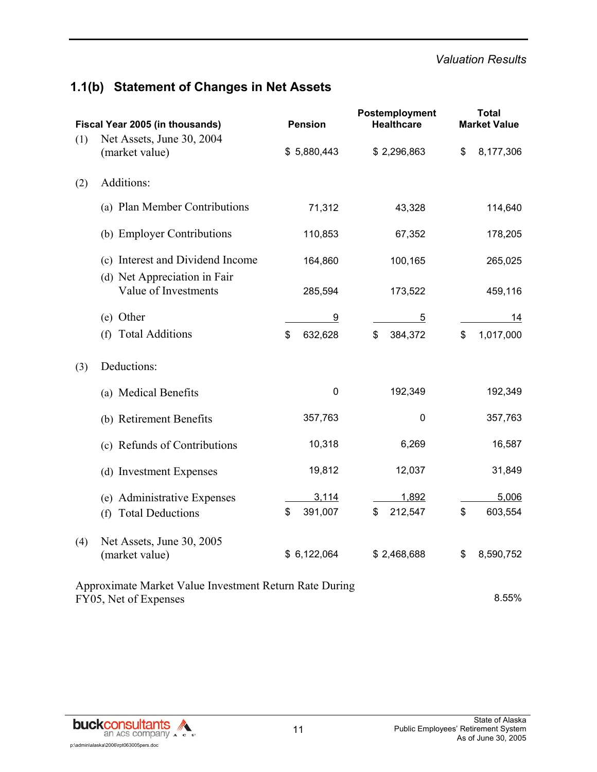## **1.1(b) Statement of Changes in Net Assets**

| Fiscal Year 2005 (in thousands) |                                                                                 | <b>Pension</b> | Postemployment<br><b>Healthcare</b> | <b>Total</b><br><b>Market Value</b> |  |
|---------------------------------|---------------------------------------------------------------------------------|----------------|-------------------------------------|-------------------------------------|--|
| (1)                             | Net Assets, June 30, 2004<br>(market value)                                     | \$5,880,443    | \$2,296,863                         | \$<br>8,177,306                     |  |
| (2)                             | Additions:                                                                      |                |                                     |                                     |  |
|                                 | (a) Plan Member Contributions                                                   | 71,312         | 43,328                              | 114,640                             |  |
|                                 | (b) Employer Contributions                                                      | 110,853        | 67,352                              | 178,205                             |  |
|                                 | (c) Interest and Dividend Income                                                | 164,860        | 100,165                             | 265,025                             |  |
|                                 | (d) Net Appreciation in Fair<br>Value of Investments                            | 285,594        | 173,522                             | 459,116                             |  |
|                                 | (e) Other                                                                       | 9              | $\overline{5}$                      | 14                                  |  |
|                                 | <b>Total Additions</b><br>(f)                                                   | \$<br>632,628  | \$<br>384,372                       | \$<br>1,017,000                     |  |
| (3)                             | Deductions:                                                                     |                |                                     |                                     |  |
|                                 | (a) Medical Benefits                                                            | $\mathbf 0$    | 192,349                             | 192,349                             |  |
|                                 | (b) Retirement Benefits                                                         | 357,763        | 0                                   | 357,763                             |  |
|                                 | (c) Refunds of Contributions                                                    | 10,318         | 6,269                               | 16,587                              |  |
|                                 | (d) Investment Expenses                                                         | 19,812         | 12,037                              | 31,849                              |  |
|                                 | (e) Administrative Expenses                                                     | 3,114          | 1,892                               | 5,006                               |  |
|                                 | (f) Total Deductions                                                            | \$<br>391,007  | \$<br>212,547                       | \$<br>603,554                       |  |
| (4)                             | Net Assets, June 30, 2005<br>(market value)                                     | \$6,122,064    | \$2,468,688                         | \$<br>8,590,752                     |  |
|                                 | Approximate Market Value Investment Return Rate During<br>FY05, Net of Expenses |                |                                     | 8.55%                               |  |

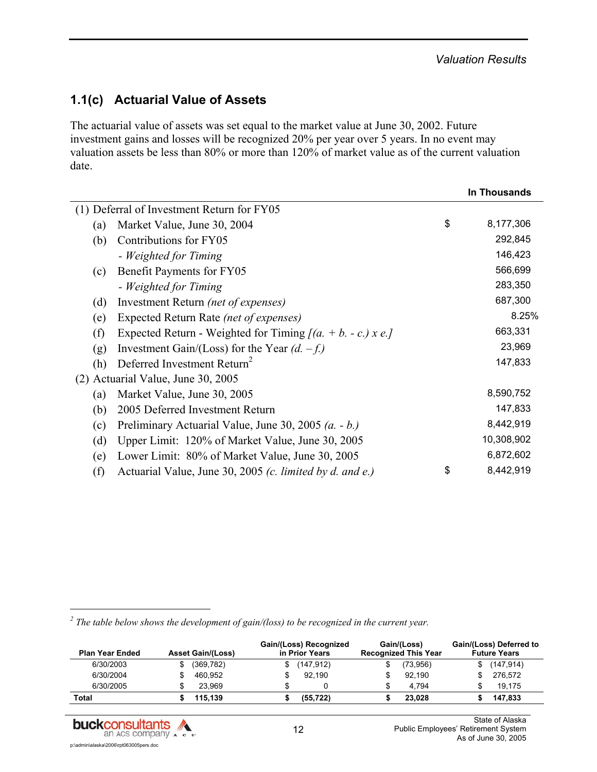## **1.1(c) Actuarial Value of Assets**

The actuarial value of assets was set equal to the market value at June 30, 2002. Future investment gains and losses will be recognized 20% per year over 5 years. In no event may valuation assets be less than 80% or more than 120% of market value as of the current valuation date.

|     |                                                          |    | <b>In Thousands</b> |  |  |
|-----|----------------------------------------------------------|----|---------------------|--|--|
|     | (1) Deferral of Investment Return for FY05               |    |                     |  |  |
| (a) | Market Value, June 30, 2004                              | \$ | 8,177,306           |  |  |
| (b) | Contributions for FY05                                   |    | 292,845             |  |  |
|     | - Weighted for Timing                                    |    | 146,423             |  |  |
| (c) | Benefit Payments for FY05                                |    | 566,699             |  |  |
|     | - Weighted for Timing                                    |    | 283,350             |  |  |
| (d) | Investment Return <i>(net of expenses)</i>               |    | 687,300             |  |  |
| (e) | Expected Return Rate (net of expenses)                   |    | 8.25%               |  |  |
| (f) | Expected Return - Weighted for Timing $[(a + b - c)x e]$ |    | 663,331             |  |  |
| (g) | Investment Gain/(Loss) for the Year $(d. -f.)$           |    | 23,969              |  |  |
| (h) | Deferred Investment Return <sup>2</sup>                  |    | 147,833             |  |  |
|     | (2) Actuarial Value, June 30, 2005                       |    |                     |  |  |
| (a) | Market Value, June 30, 2005                              |    | 8,590,752           |  |  |
| (b) | 2005 Deferred Investment Return                          |    | 147,833             |  |  |
| (c) | Preliminary Actuarial Value, June 30, 2005 $(a. - b.)$   |    | 8,442,919           |  |  |
| (d) | Upper Limit: 120% of Market Value, June 30, 2005         |    | 10,308,902          |  |  |
| (e) | Lower Limit: 80% of Market Value, June 30, 2005          |    | 6,872,602           |  |  |
| (f) | Actuarial Value, June 30, 2005 (c. limited by d. and e.) | \$ | 8,442,919           |  |  |

<sup>2</sup> The table below shows the development of gain/(loss) to be recognized in the current year.

| <b>Plan Year Ended</b> |  | <b>Asset Gain/(Loss)</b> |   | Gain/(Loss) Recognized<br>in Prior Years |    | Gain/(Loss)<br><b>Recognized This Year</b> | Gain/(Loss) Deferred to<br><b>Future Years</b> |            |  |
|------------------------|--|--------------------------|---|------------------------------------------|----|--------------------------------------------|------------------------------------------------|------------|--|
| 6/30/2003              |  | (369, 782)               |   | (147,912)                                |    | (73, 956)                                  |                                                | (147, 914) |  |
| 6/30/2004              |  | 460.952                  |   | 92.190                                   |    | 92.190                                     |                                                | 276.572    |  |
| 6/30/2005              |  | 23.969                   | S |                                          | \$ | 4.794                                      |                                                | 19.175     |  |
| Total                  |  | 115.139                  |   | (55.722)                                 |    | 23.028                                     |                                                | 147.833    |  |



l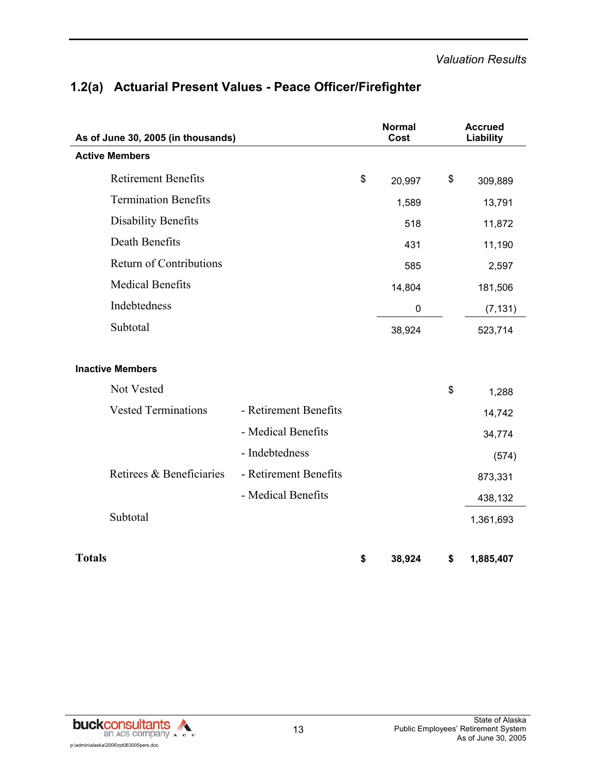| As of June 30, 2005 (in thousands) |                       | <b>Normal</b><br>Cost |    | <b>Accrued</b><br>Liability |
|------------------------------------|-----------------------|-----------------------|----|-----------------------------|
| <b>Active Members</b>              |                       |                       |    |                             |
| <b>Retirement Benefits</b>         |                       | \$<br>20,997          | \$ | 309,889                     |
| <b>Termination Benefits</b>        |                       | 1,589                 |    | 13,791                      |
| <b>Disability Benefits</b>         |                       | 518                   |    | 11,872                      |
| Death Benefits                     |                       | 431                   |    | 11,190                      |
| <b>Return of Contributions</b>     |                       | 585                   |    | 2,597                       |
| <b>Medical Benefits</b>            |                       | 14,804                |    | 181,506                     |
| Indebtedness                       |                       | $\mathbf 0$           |    | (7, 131)                    |
| Subtotal                           |                       | 38,924                |    | 523,714                     |
| <b>Inactive Members</b>            |                       |                       |    |                             |
| Not Vested                         |                       |                       | \$ | 1,288                       |
| <b>Vested Terminations</b>         | - Retirement Benefits |                       |    | 14,742                      |
|                                    | - Medical Benefits    |                       |    | 34,774                      |
|                                    | - Indebtedness        |                       |    | (574)                       |
| Retirees & Beneficiaries           | - Retirement Benefits |                       |    | 873,331                     |
|                                    | - Medical Benefits    |                       |    | 438,132                     |
| Subtotal                           |                       |                       |    | 1,361,693                   |
| <b>Totals</b>                      |                       | \$<br>38,924          | \$ | 1,885,407                   |

## **1.2(a) Actuarial Present Values - Peace Officer/Firefighter**

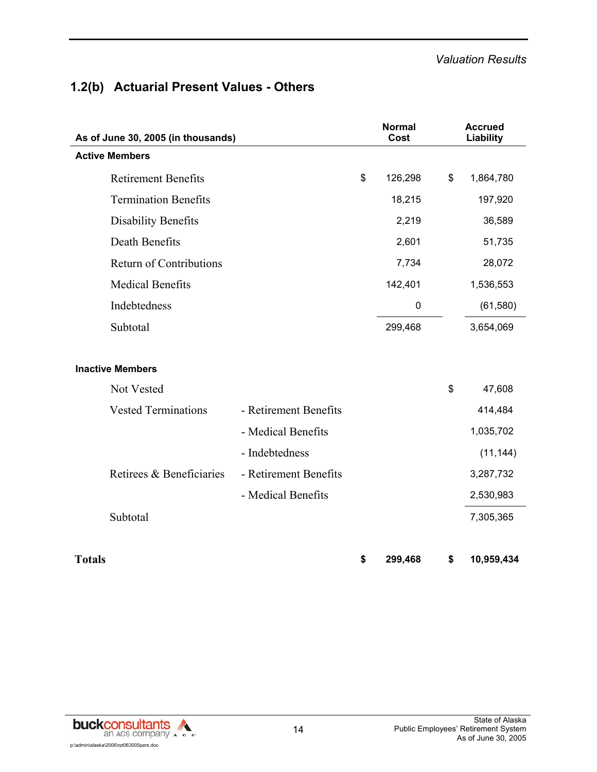## **1.2(b) Actuarial Present Values - Others**

| As of June 30, 2005 (in thousands) |                       | <b>Normal</b><br>Cost | <b>Accrued</b><br>Liability |
|------------------------------------|-----------------------|-----------------------|-----------------------------|
| <b>Active Members</b>              |                       |                       |                             |
| <b>Retirement Benefits</b>         |                       | \$<br>126,298         | \$<br>1,864,780             |
| <b>Termination Benefits</b>        |                       | 18,215                | 197,920                     |
| <b>Disability Benefits</b>         |                       | 2,219                 | 36,589                      |
| Death Benefits                     |                       | 2,601                 | 51,735                      |
| <b>Return of Contributions</b>     |                       | 7,734                 | 28,072                      |
| <b>Medical Benefits</b>            |                       | 142,401               | 1,536,553                   |
| Indebtedness                       |                       | $\pmb{0}$             | (61, 580)                   |
| Subtotal                           |                       | 299,468               | 3,654,069                   |
|                                    |                       |                       |                             |
| <b>Inactive Members</b>            |                       |                       |                             |
| Not Vested                         |                       |                       | \$<br>47,608                |
| <b>Vested Terminations</b>         | - Retirement Benefits |                       | 414,484                     |
|                                    | - Medical Benefits    |                       | 1,035,702                   |
|                                    | - Indebtedness        |                       | (11, 144)                   |
| Retirees & Beneficiaries           | - Retirement Benefits |                       | 3,287,732                   |
|                                    | - Medical Benefits    |                       | 2,530,983                   |
| Subtotal                           |                       |                       | 7,305,365                   |
|                                    |                       |                       |                             |
| <b>Totals</b>                      |                       | \$<br>299,468         | \$<br>10,959,434            |

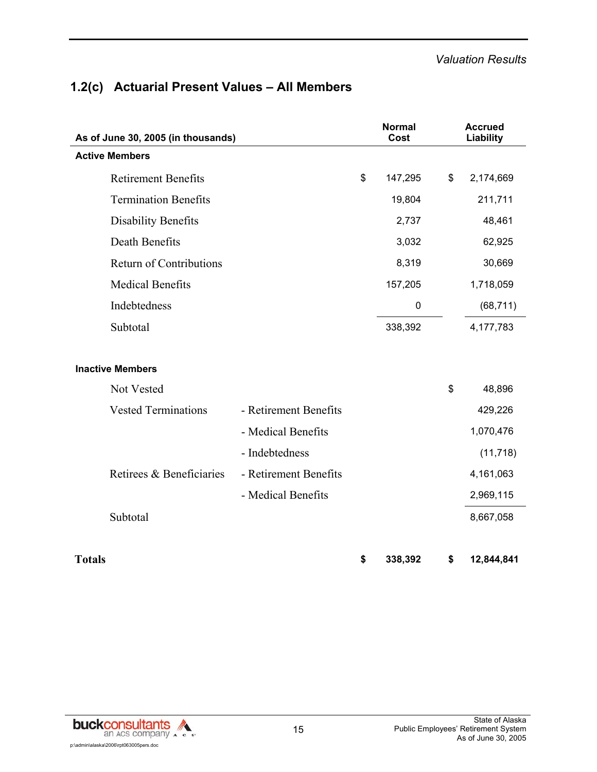## **1.2(c) Actuarial Present Values – All Members**

| As of June 30, 2005 (in thousands) |                       | <b>Normal</b><br>Cost | <b>Accrued</b><br>Liability |
|------------------------------------|-----------------------|-----------------------|-----------------------------|
| <b>Active Members</b>              |                       |                       |                             |
| <b>Retirement Benefits</b>         |                       | \$<br>147,295         | \$<br>2,174,669             |
| <b>Termination Benefits</b>        |                       | 19,804                | 211,711                     |
| <b>Disability Benefits</b>         |                       | 2,737                 | 48,461                      |
| Death Benefits                     |                       | 3,032                 | 62,925                      |
| <b>Return of Contributions</b>     |                       | 8,319                 | 30,669                      |
| <b>Medical Benefits</b>            |                       | 157,205               | 1,718,059                   |
| Indebtedness                       |                       | $\pmb{0}$             | (68, 711)                   |
| Subtotal                           |                       | 338,392               | 4,177,783                   |
|                                    |                       |                       |                             |
| <b>Inactive Members</b>            |                       |                       |                             |
| Not Vested                         |                       |                       | \$<br>48,896                |
| <b>Vested Terminations</b>         | - Retirement Benefits |                       | 429,226                     |
|                                    | - Medical Benefits    |                       | 1,070,476                   |
|                                    | - Indebtedness        |                       | (11, 718)                   |
| Retirees & Beneficiaries           | - Retirement Benefits |                       | 4,161,063                   |
|                                    | - Medical Benefits    |                       | 2,969,115                   |
| Subtotal                           |                       |                       | 8,667,058                   |
|                                    |                       |                       |                             |
| <b>Totals</b>                      |                       | \$<br>338,392         | \$<br>12,844,841            |

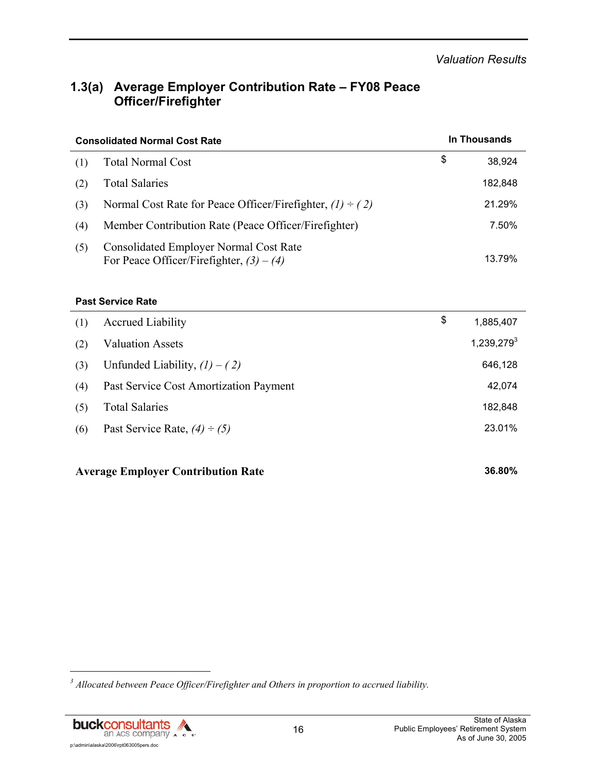## **1.3(a) Average Employer Contribution Rate – FY08 Peace Officer/Firefighter**

|     | <b>Consolidated Normal Cost Rate</b>                                                 | In Thousands |         |  |
|-----|--------------------------------------------------------------------------------------|--------------|---------|--|
| (1) | <b>Total Normal Cost</b>                                                             | \$           | 38,924  |  |
| (2) | <b>Total Salaries</b>                                                                |              | 182,848 |  |
| (3) | Normal Cost Rate for Peace Officer/Firefighter, $(1) \div (2)$                       |              | 21.29%  |  |
| (4) | Member Contribution Rate (Peace Officer/Firefighter)                                 |              | 7.50%   |  |
| (5) | Consolidated Employer Normal Cost Rate<br>For Peace Officer/Firefighter, $(3) - (4)$ |              | 13.79%  |  |

#### **Past Service Rate**

| (1) | <b>Accrued Liability</b>               | \$<br>1,885,407 |
|-----|----------------------------------------|-----------------|
| (2) | <b>Valuation Assets</b>                | $1,239,279^3$   |
| (3) | Unfunded Liability, $(1) - (2)$        | 646,128         |
| (4) | Past Service Cost Amortization Payment | 42,074          |
| (5) | <b>Total Salaries</b>                  | 182,848         |
| (6) | Past Service Rate, $(4) \div (5)$      | 23.01%          |
|     |                                        |                 |

#### **Average Employer Contribution Rate 36.80%**

<sup>&</sup>lt;sup>3</sup> Allocated between Peace Officer/Firefighter and Others in proportion to accrued liability.



l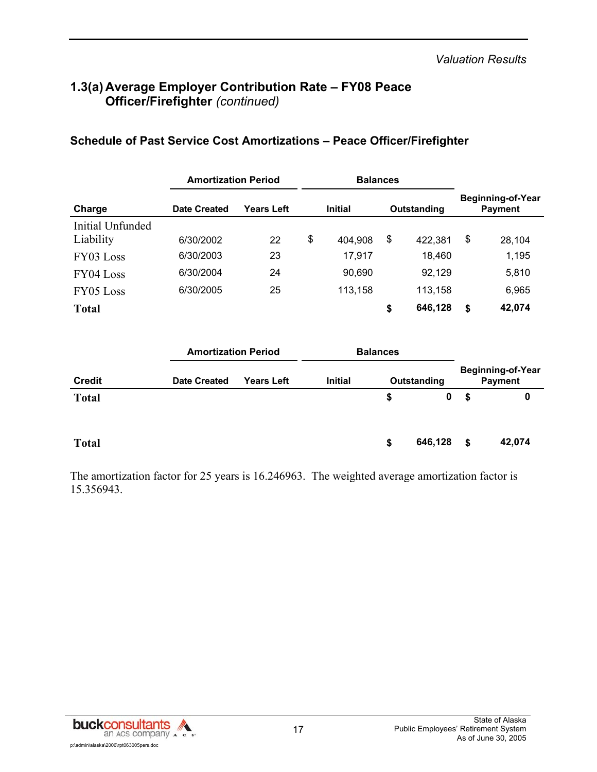## **1.3(a) Average Employer Contribution Rate – FY08 Peace Officer/Firefighter** *(continued)*

|                  | <b>Amortization Period</b> |            |                               | <b>Balances</b> |    |                                            |    |        |
|------------------|----------------------------|------------|-------------------------------|-----------------|----|--------------------------------------------|----|--------|
| Charge           | <b>Date Created</b>        | Years Left | <b>Initial</b><br>Outstanding |                 |    | <b>Beginning-of-Year</b><br><b>Payment</b> |    |        |
| Initial Unfunded |                            |            |                               |                 |    |                                            |    |        |
| Liability        | 6/30/2002                  | 22         | \$                            | 404,908         | \$ | 422,381                                    | \$ | 28.104 |
| FY03 Loss        | 6/30/2003                  | 23         |                               | 17,917          |    | 18,460                                     |    | 1,195  |
| FY04 Loss        | 6/30/2004                  | 24         |                               | 90,690          |    | 92,129                                     |    | 5,810  |
| FY05 Loss        | 6/30/2005                  | 25         |                               | 113,158         |    | 113,158                                    |    | 6,965  |
| <b>Total</b>     |                            |            |                               |                 | \$ | 646,128                                    | \$ | 42,074 |

#### **Schedule of Past Service Cost Amortizations – Peace Officer/Firefighter**

|               |                     | <b>Amortization Period</b> |                | <b>Balances</b> |             |                                            |        |  |  |
|---------------|---------------------|----------------------------|----------------|-----------------|-------------|--------------------------------------------|--------|--|--|
| <b>Credit</b> | <b>Date Created</b> | <b>Years Left</b>          | <b>Initial</b> |                 | Outstanding | <b>Beginning-of-Year</b><br><b>Payment</b> |        |  |  |
| <b>Total</b>  |                     |                            |                | \$              | 0           | S.                                         | 0      |  |  |
| <b>Total</b>  |                     |                            |                | \$              | 646,128     | \$                                         | 42,074 |  |  |

The amortization factor for 25 years is 16.246963. The weighted average amortization factor is 15.356943.

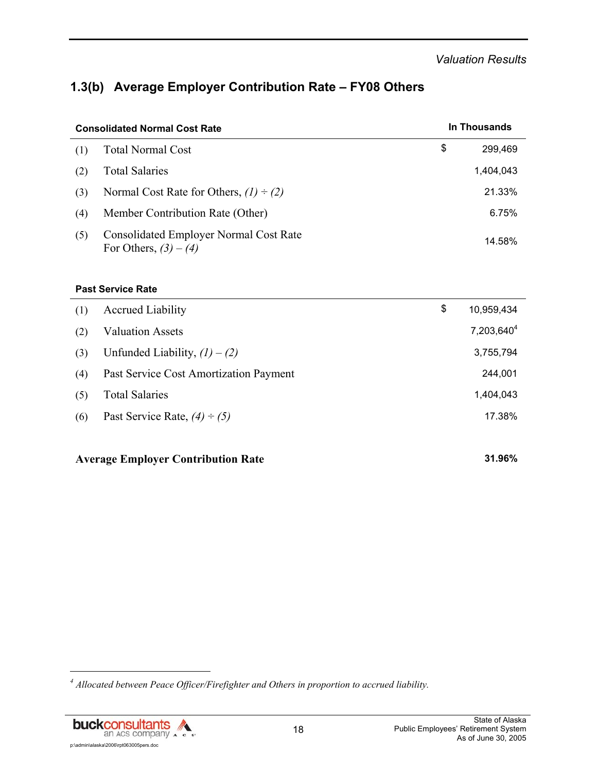## **1.3(b) Average Employer Contribution Rate – FY08 Others**

| <b>Consolidated Normal Cost Rate</b> |                                                                          |    | In Thousands |  |  |
|--------------------------------------|--------------------------------------------------------------------------|----|--------------|--|--|
| (1)                                  | <b>Total Normal Cost</b>                                                 | \$ | 299,469      |  |  |
| (2)                                  | <b>Total Salaries</b>                                                    |    | 1,404,043    |  |  |
| (3)                                  | Normal Cost Rate for Others, $(1) \div (2)$                              |    | 21.33%       |  |  |
| (4)                                  | Member Contribution Rate (Other)                                         |    | 6.75%        |  |  |
| (5)                                  | <b>Consolidated Employer Normal Cost Rate</b><br>For Others, $(3) - (4)$ |    | 14.58%       |  |  |

#### **Past Service Rate**

| (1) | <b>Accrued Liability</b>               | \$<br>10,959,434       |
|-----|----------------------------------------|------------------------|
| (2) | <b>Valuation Assets</b>                | 7,203,640 <sup>4</sup> |
| (3) | Unfunded Liability, $(1) - (2)$        | 3,755,794              |
| (4) | Past Service Cost Amortization Payment | 244,001                |
| (5) | <b>Total Salaries</b>                  | 1,404,043              |
| (6) | Past Service Rate, $(4) \div (5)$      | 17.38%                 |
|     |                                        |                        |

#### **Average Employer Contribution Rate 31.96%**

<sup>&</sup>lt;sup>4</sup> Allocated between Peace Officer/Firefighter and Others in proportion to accrued liability.



l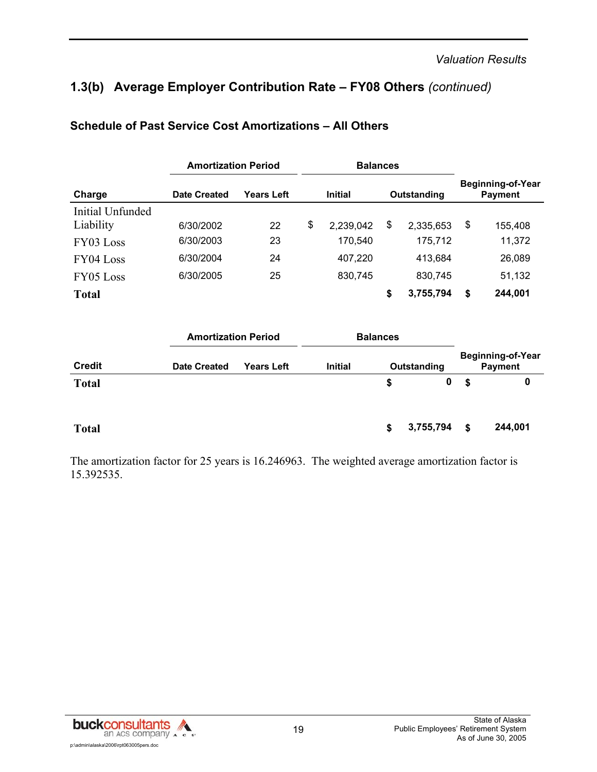## **1.3(b) Average Employer Contribution Rate – FY08 Others** *(continued)*

|                  | <b>Amortization Period</b> |                   |                | <b>Balances</b> |             |           |                                            |                   |
|------------------|----------------------------|-------------------|----------------|-----------------|-------------|-----------|--------------------------------------------|-------------------|
| Charge           | <b>Date Created</b>        | <b>Years Left</b> | <b>Initial</b> |                 | Outstanding |           | <b>Beginning-of-Year</b><br><b>Payment</b> |                   |
| Initial Unfunded |                            |                   |                |                 |             |           |                                            |                   |
| Liability        | 6/30/2002                  | 22                | \$             | 2,239,042       | \$          | 2,335,653 | \$                                         | 155,408           |
| FY03 Loss        | 6/30/2003                  | 23                |                | 170,540         |             | 175,712   |                                            | 11,372            |
| FY04 Loss        | 6/30/2004                  | 24                |                | 407,220         |             | 413,684   |                                            | 26,089            |
| FY05 Loss        | 6/30/2005                  | 25                |                | 830,745         |             | 830,745   |                                            | 51,132            |
| <b>Total</b>     |                            |                   |                |                 | \$          | 3,755,794 | \$                                         | 244,001           |
|                  | <b>Amortization Period</b> |                   |                | <b>Balances</b> |             |           |                                            |                   |
|                  |                            |                   |                |                 |             |           |                                            | Beginning-of-Year |

#### **Schedule of Past Service Cost Amortizations – All Others**

|               | AIIVIUZAUVII I GIVU |                   | Dalahucs       |   |             |    |                                     |
|---------------|---------------------|-------------------|----------------|---|-------------|----|-------------------------------------|
| <b>Credit</b> | <b>Date Created</b> | <b>Years Left</b> | <b>Initial</b> |   | Outstanding |    | <b>Beginning-of-Year</b><br>Payment |
| <b>Total</b>  |                     |                   |                | S | 0           | S. | 0                                   |
| <b>Total</b>  |                     |                   |                | S | 3,755,794   | \$ | 244,001                             |

The amortization factor for 25 years is 16.246963. The weighted average amortization factor is 15.392535.

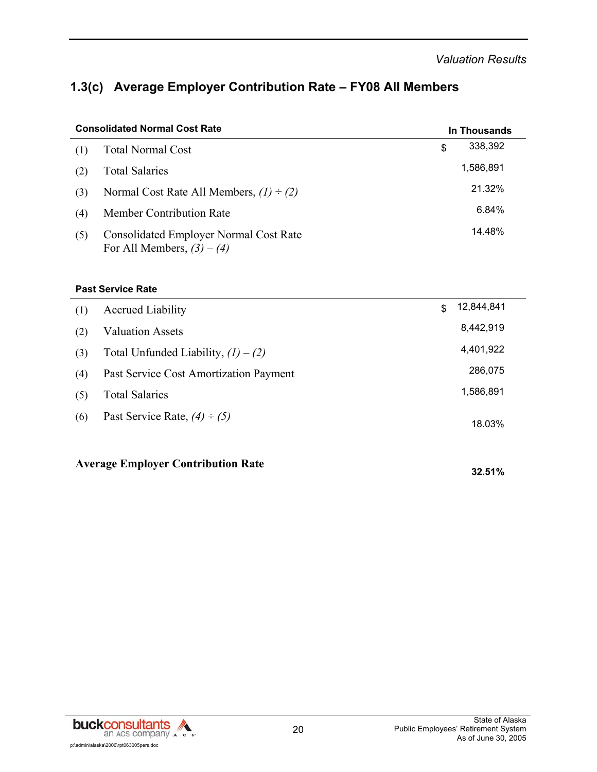## **1.3(c) Average Employer Contribution Rate – FY08 All Members**

| <b>Consolidated Normal Cost Rate</b> | In Thousands                                                                  |               |  |  |
|--------------------------------------|-------------------------------------------------------------------------------|---------------|--|--|
| (1)                                  | <b>Total Normal Cost</b>                                                      | \$<br>338,392 |  |  |
| (2)                                  | <b>Total Salaries</b>                                                         | 1,586,891     |  |  |
| (3)                                  | Normal Cost Rate All Members, $(1) \div (2)$                                  | 21.32%        |  |  |
| (4)                                  | <b>Member Contribution Rate</b>                                               | 6.84%         |  |  |
| (5)                                  | <b>Consolidated Employer Normal Cost Rate</b><br>For All Members, $(3) - (4)$ | 14.48%        |  |  |

#### **Past Service Rate**

| <b>Average Employer Contribution Rate</b> | 32.51%                                 |                  |
|-------------------------------------------|----------------------------------------|------------------|
| (6)                                       | Past Service Rate, $(4) \div (5)$      | 18.03%           |
| (5)                                       | <b>Total Salaries</b>                  | 1,586,891        |
| (4)                                       | Past Service Cost Amortization Payment | 286,075          |
| (3)                                       | Total Unfunded Liability, $(1) - (2)$  | 4,401,922        |
| (2)                                       | <b>Valuation Assets</b>                | 8,442,919        |
| (1)                                       | <b>Accrued Liability</b>               | \$<br>12,844,841 |

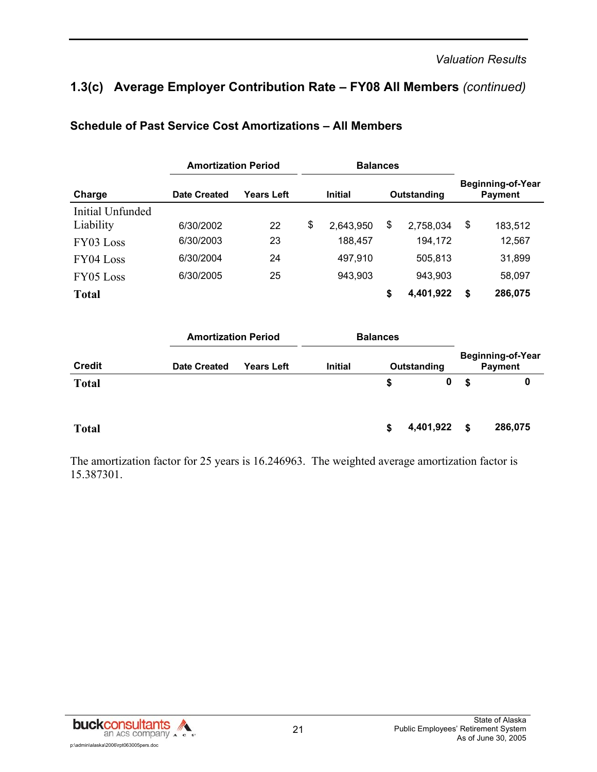## **1.3(c) Average Employer Contribution Rate – FY08 All Members** *(continued)*

|                  | <b>Amortization Period</b> |                            |    | <b>Balances</b> |    |             |                                            |
|------------------|----------------------------|----------------------------|----|-----------------|----|-------------|--------------------------------------------|
| Charge           | <b>Date Created</b>        | <b>Years Left</b>          |    | <b>Initial</b>  |    | Outstanding | <b>Beginning-of-Year</b><br><b>Payment</b> |
| Initial Unfunded |                            |                            |    |                 |    |             |                                            |
| Liability        | 6/30/2002                  | 22                         | \$ | 2,643,950       | \$ | 2,758,034   | \$<br>183,512                              |
| FY03 Loss        | 6/30/2003                  | 23                         |    | 188,457         |    | 194,172     | 12,567                                     |
| FY04 Loss        | 6/30/2004                  | 24                         |    | 497,910         |    | 505,813     | 31,899                                     |
| FY05 Loss        | 6/30/2005                  | 25                         |    | 943,903         |    | 943,903     | 58,097                                     |
| <b>Total</b>     |                            |                            |    |                 | \$ | 4,401,922   | \$<br>286,075                              |
|                  |                            | <b>Amortization Period</b> |    | <b>Balances</b> |    |             |                                            |
| <b>Credit</b>    | <b>Date Created</b>        | <b>Years Left</b>          |    | <b>Initial</b>  |    | Outstanding | Beginning-of-Year<br><b>Payment</b>        |
| <b>Total</b>     |                            |                            |    |                 | \$ | 0           | \$<br>0                                    |

#### **Schedule of Past Service Cost Amortizations – All Members**

**Total \$ 4,401,922 \$ 286,075** 

The amortization factor for 25 years is 16.246963. The weighted average amortization factor is 15.387301.

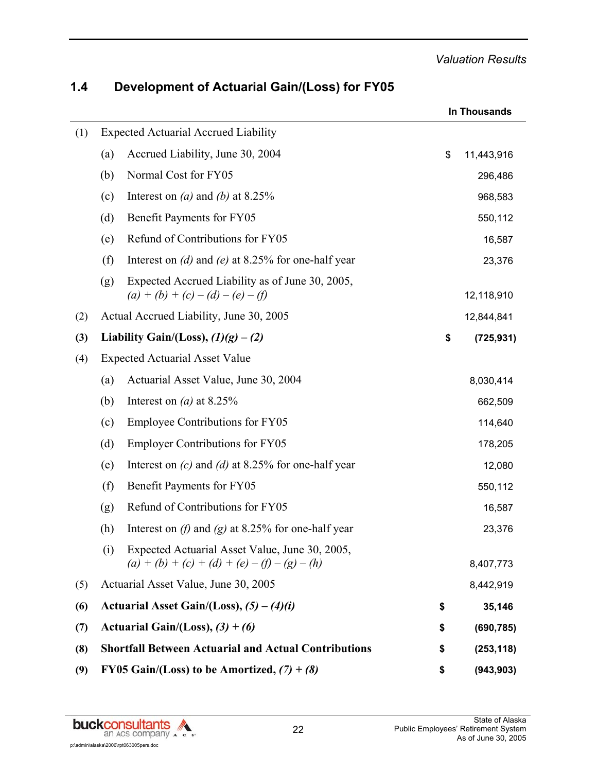|     |     |                                                                                                   | In Thousands |            |  |  |
|-----|-----|---------------------------------------------------------------------------------------------------|--------------|------------|--|--|
| (1) |     | <b>Expected Actuarial Accrued Liability</b>                                                       |              |            |  |  |
|     | (a) | Accrued Liability, June 30, 2004                                                                  | \$           | 11,443,916 |  |  |
|     | (b) | Normal Cost for FY05                                                                              |              | 296,486    |  |  |
|     | (c) | Interest on ( <i>a</i> ) and ( <i>b</i> ) at 8.25%                                                |              | 968,583    |  |  |
|     | (d) | Benefit Payments for FY05                                                                         |              | 550,112    |  |  |
|     | (e) | Refund of Contributions for FY05                                                                  |              | 16,587     |  |  |
|     | (f) | Interest on (d) and (e) at 8.25% for one-half year                                                |              | 23,376     |  |  |
|     | (g) | Expected Accrued Liability as of June 30, 2005,<br>$(a) + (b) + (c) - (d) - (e) - (f)$            |              | 12,118,910 |  |  |
| (2) |     | Actual Accrued Liability, June 30, 2005                                                           |              | 12,844,841 |  |  |
| (3) |     | Liability Gain/(Loss), $(1)(g) - (2)$                                                             | \$           | (725, 931) |  |  |
| (4) |     | <b>Expected Actuarial Asset Value</b>                                                             |              |            |  |  |
|     | (a) | Actuarial Asset Value, June 30, 2004                                                              |              | 8,030,414  |  |  |
|     | (b) | Interest on (a) at $8.25\%$                                                                       |              | 662,509    |  |  |
|     | (c) | <b>Employee Contributions for FY05</b>                                                            |              | 114,640    |  |  |
|     | (d) | <b>Employer Contributions for FY05</b>                                                            |              | 178,205    |  |  |
|     | (e) | Interest on $(c)$ and $(d)$ at 8.25% for one-half year                                            |              | 12,080     |  |  |
|     | (f) | Benefit Payments for FY05                                                                         |              | 550,112    |  |  |
|     | (g) | Refund of Contributions for FY05                                                                  |              | 16,587     |  |  |
|     | (h) | Interest on $(f)$ and $(g)$ at 8.25% for one-half year                                            |              | 23,376     |  |  |
|     | (i) | Expected Actuarial Asset Value, June 30, 2005,<br>$(a) + (b) + (c) + (d) + (e) - (f) - (g) - (h)$ |              | 8,407,773  |  |  |
| (5) |     | Actuarial Asset Value, June 30, 2005                                                              |              | 8,442,919  |  |  |
| (6) |     | Actuarial Asset Gain/(Loss), $(5) - (4)(i)$                                                       | \$           | 35,146     |  |  |
| (7) |     | Actuarial Gain/(Loss), $(3) + (6)$                                                                | \$           | (690, 785) |  |  |
| (8) |     | <b>Shortfall Between Actuarial and Actual Contributions</b>                                       | \$           | (253, 118) |  |  |
| (9) |     | FY05 Gain/(Loss) to be Amortized, $(7) + (8)$                                                     | \$           | (943, 903) |  |  |

## **1.4 Development of Actuarial Gain/(Loss) for FY05**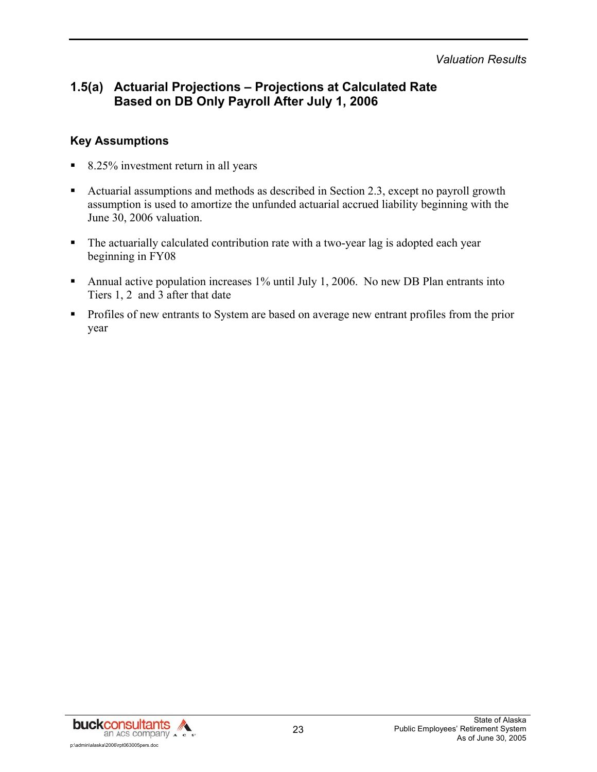## **1.5(a) Actuarial Projections – Projections at Calculated Rate Based on DB Only Payroll After July 1, 2006**

#### **Key Assumptions**

- 8.25% investment return in all years
- Actuarial assumptions and methods as described in Section 2.3, except no payroll growth assumption is used to amortize the unfunded actuarial accrued liability beginning with the June 30, 2006 valuation.
- The actuarially calculated contribution rate with a two-year lag is adopted each year beginning in FY08
- Annual active population increases 1% until July 1, 2006. No new DB Plan entrants into Tiers 1, 2 and 3 after that date
- **Profiles of new entrants to System are based on average new entrant profiles from the prior** year

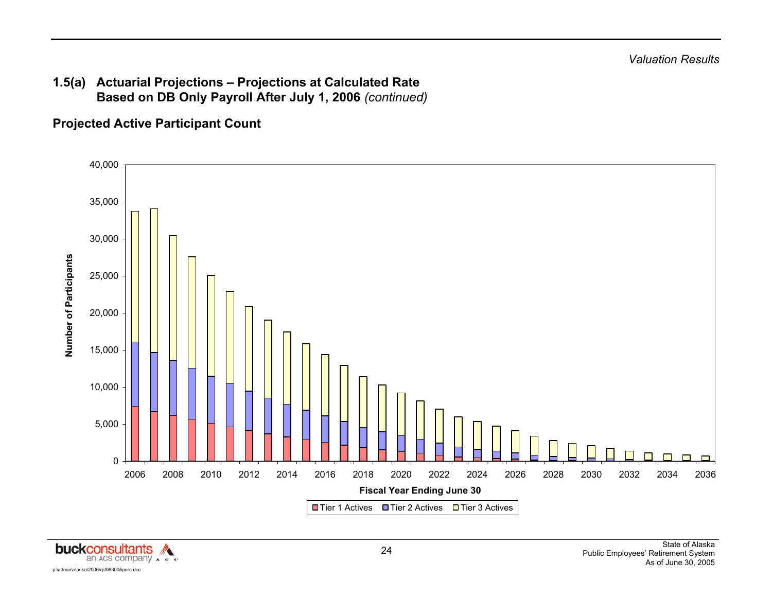## **Projected Active Participant Count**



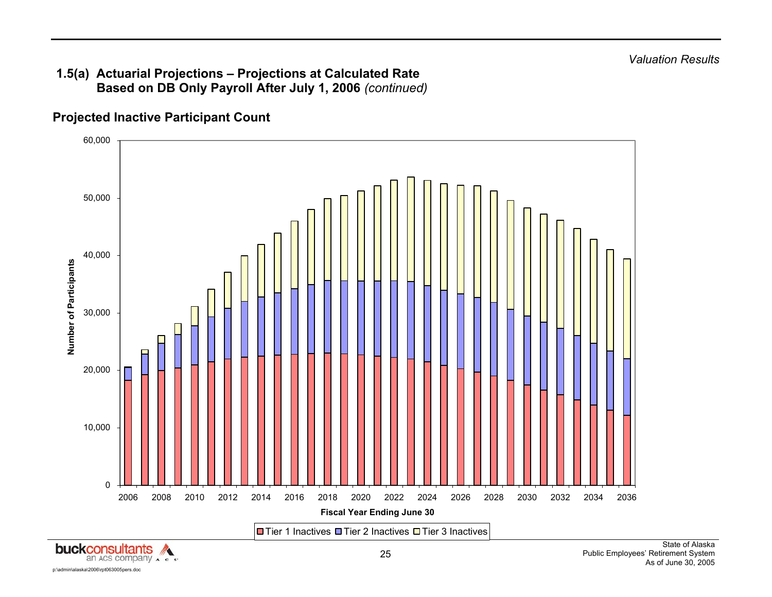

## **Projected Inactive Participant Count**

p:\admin\alaska\2006\rpt063005pers.doc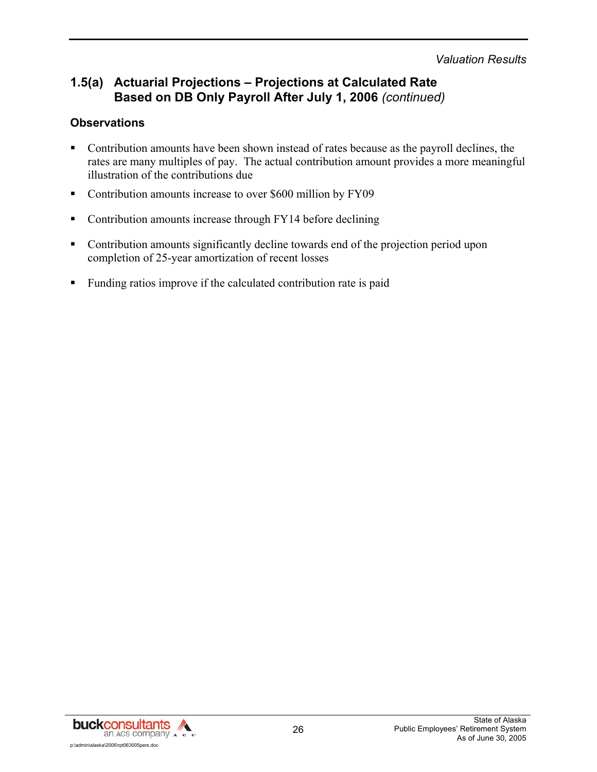## **1.5(a) Actuarial Projections – Projections at Calculated Rate Based on DB Only Payroll After July 1, 2006** *(continued)*

#### **Observations**

- Contribution amounts have been shown instead of rates because as the payroll declines, the rates are many multiples of pay. The actual contribution amount provides a more meaningful illustration of the contributions due
- Contribution amounts increase to over \$600 million by FY09
- Contribution amounts increase through FY14 before declining
- Contribution amounts significantly decline towards end of the projection period upon completion of 25-year amortization of recent losses
- Funding ratios improve if the calculated contribution rate is paid

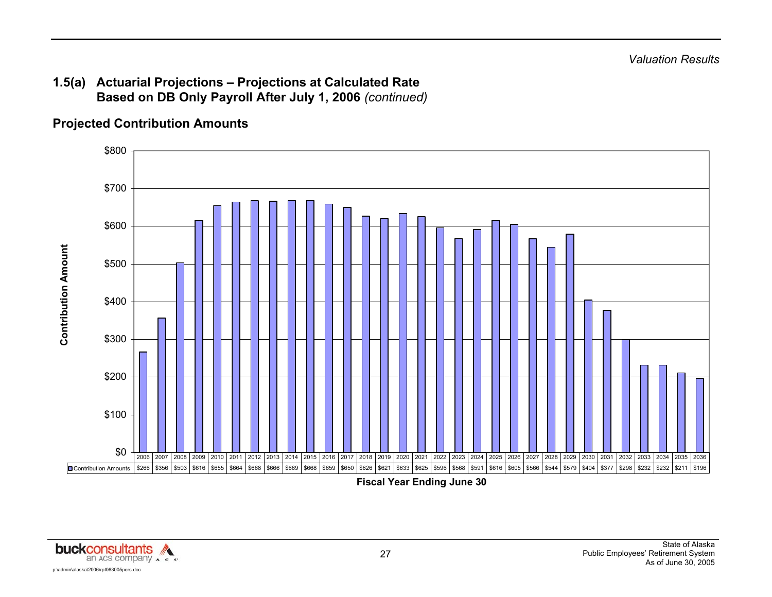## **Projected Contribution Amounts**



**Fiscal Year Ending June 30** 

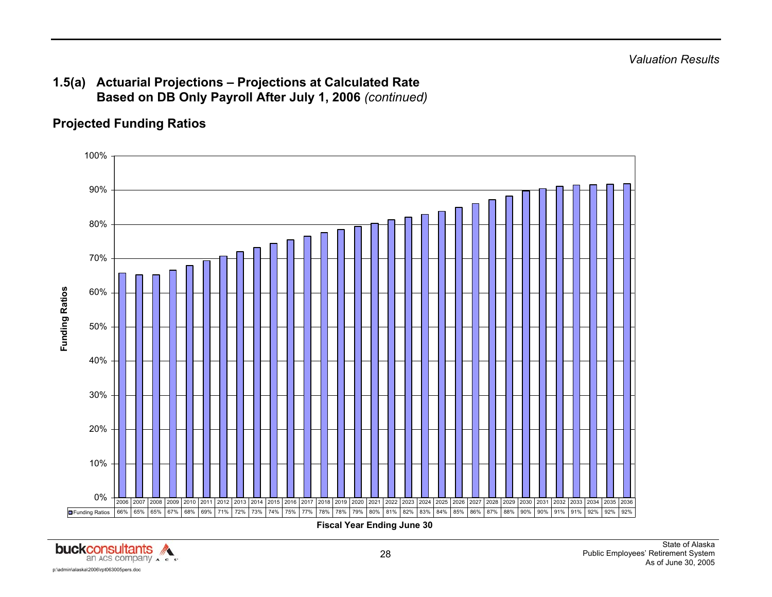## **Projected Funding Ratios**



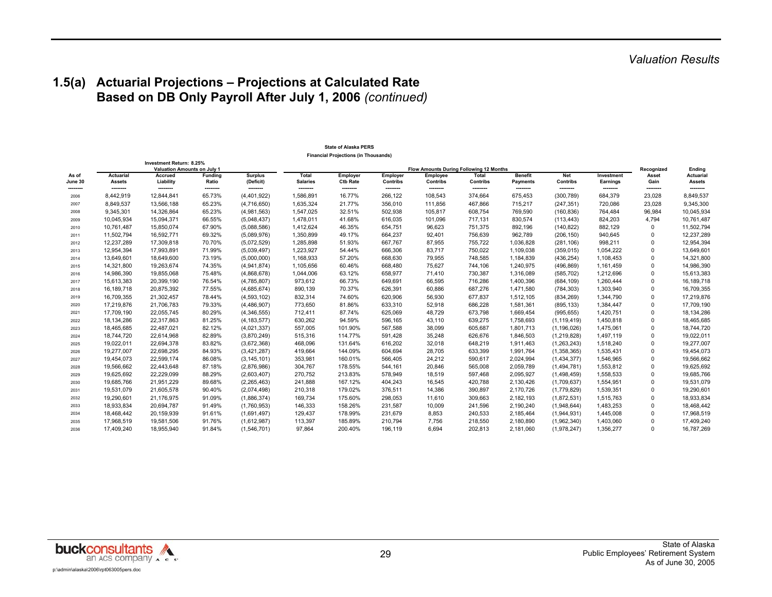#### **State of Alaska PERS Financial Projections (in Thousands)**

|                  | Investment Return: 8.25%<br>Valuation Amounts on July 1 |                        |                    |                             | Flow Amounts During Following 12 Months |                             |                      |                      |                          |                                   |                        |                        | Recognized         | Ending                     |
|------------------|---------------------------------------------------------|------------------------|--------------------|-----------------------------|-----------------------------------------|-----------------------------|----------------------|----------------------|--------------------------|-----------------------------------|------------------------|------------------------|--------------------|----------------------------|
| As of<br>June 30 | Actuarial<br><b>Assets</b>                              | Accrued<br>Liability   | Funding<br>Ratio   | <b>Surplus</b><br>(Deficit) | Total<br><b>Salaries</b>                | Employer<br><b>Ctb Rate</b> | Employer<br>Contribs | Employee<br>Contribs | <b>Total</b><br>Contribs | <b>Benefit</b><br><b>Payments</b> | Net<br>Contribs        | Investment<br>Earnings | Asset<br>Gain      | <b>Actuarial</b><br>Assets |
| --------<br>2006 | --------<br>8,442,919                                   | --------<br>12,844,841 | --------<br>65.73% | --------<br>(4,401,922)     | ---------<br>1,586,891                  | --------<br>16.77%          | --------<br>266,122  | --------<br>108,543  | --------<br>374,664      | --------<br>675,453               | --------<br>(300, 789) | --------<br>684,379    | --------<br>23,028 | --------<br>8,849,537      |
| 2007             | 8,849,537                                               | 13,566,188             | 65.23%             | (4,716,650)                 | 1,635,324                               | 21.77%                      | 356,010              | 111,856              | 467,866                  | 715,217                           | (247, 351)             | 720,086                | 23,028             | 9,345,300                  |
| 2008             | 9,345,301                                               | 14,326,864             | 65.23%             | (4,981,563)                 | 1,547,025                               | 32.51%                      | 502,938              | 105,817              | 608,754                  | 769,590                           | (160, 836)             | 764,484                | 96,984             | 10,045,934                 |
| 2009             | 10,045,934                                              | 15,094,371             | 66.55%             | (5,048,437)                 | 1,478,011                               | 41.68%                      | 616,035              | 101,096              | 717,131                  | 830,574                           | (113, 443)             | 824,203                | 4,794              | 10,761,487                 |
| 2010             | 10,761,487                                              | 15,850,074             | 67.90%             | (5,088,586)                 | 1,412,624                               | 46.35%                      | 654,751              | 96,623               | 751,375                  | 892,196                           | (140, 822)             | 882,129                | U                  | 11,502,794                 |
| 2011             | 11,502,794                                              | 16,592,771             | 69.32%             | (5,089,976)                 | 1,350,899                               | 49.17%                      | 664,237              | 92,401               | 756,639                  | 962,789                           | (206, 150)             | 940,645                | $\Omega$           | 12,237,289                 |
| 2012             | 12,237,289                                              | 17,309,818             | 70.70%             | (5,072,529)                 | 1,285,898                               | 51.93%                      | 667,767              | 87,955               | 755,722                  | 1,036,828                         | (281, 106)             | 998,211                | 0                  | 12,954,394                 |
| 2013             | 12,954,394                                              | 17,993,891             | 71.99%             | (5,039,497)                 | 1,223,927                               | 54.44%                      | 666,306              | 83,717               | 750,022                  | 1,109,038                         | (359, 015)             | 1,054,222              | 0                  | 13,649,601                 |
| 2014             | 13,649,601                                              | 18,649,600             | 73.19%             | (5,000,000)                 | 1,168,933                               | 57.20%                      | 668,630              | 79,955               | 748,585                  | 1,184,839                         | (436, 254)             | 1,108,453              | 0                  | 14,321,800                 |
| 2015             | 14,321,800                                              | 19,263,674             | 74.35%             | (4,941,874)                 | 1,105,656                               | 60.46%                      | 668,480              | 75,627               | 744,106                  | 1,240,975                         | (496, 869)             | 1,161,459              | 0                  | 14,986,390                 |
| 2016             | 14,986,390                                              | 19,855,068             | 75.48%             | (4,868,678)                 | 1,044,006                               | 63.12%                      | 658,977              | 71,410               | 730,387                  | 1,316,089                         | (585, 702)             | 1,212,696              | 0                  | 15,613,383                 |
| 2017             | 15,613,383                                              | 20,399,190             | 76.54%             | (4,785,807)                 | 973,612                                 | 66.73%                      | 649,691              | 66,595               | 716,286                  | 1,400,396                         | (684, 109)             | 1,260,444              | 0                  | 16,189,718                 |
| 2018             | 16,189,718                                              | 20,875,392             | 77.55%             | (4,685,674)                 | 890,139                                 | 70.37%                      | 626,391              | 60,886               | 687,276                  | 1,471,580                         | (784, 303)             | 1,303,940              | <sup>0</sup>       | 16,709,355                 |
| 2019             | 16,709,355                                              | 21,302,457             | 78.44%             | (4,593,102)                 | 832,314                                 | 74.60%                      | 620,906              | 56,930               | 677,837                  | 1,512,105                         | (834, 269)             | 1,344,790              | 0                  | 17,219,876                 |
| 2020             | 17,219,876                                              | 21,706,783             | 79.33%             | (4,486,907)                 | 773,650                                 | 81.86%                      | 633,310              | 52,918               | 686,228                  | 1,581,361                         | (895, 133)             | 1,384,447              | <sup>0</sup>       | 17,709,190                 |
| 2021             | 17,709,190                                              | 22,055,745             | 80.29%             | (4,346,555)                 | 712,411                                 | 87.74%                      | 625,069              | 48,729               | 673,798                  | 1,669,454                         | (995, 655)             | 1,420,751              | $\Omega$           | 18, 134, 286               |
| 2022             | 18,134,286                                              | 22,317,863             | 81.25%             | (4, 183, 577)               | 630,262                                 | 94.59%                      | 596,165              | 43,110               | 639,275                  | 1,758,693                         | (1, 119, 419)          | 1,450,818              | 0                  | 18,465,685                 |
| 2023             | 18,465,685                                              | 22,487,021             | 82.12%             | (4,021,337)                 | 557,005                                 | 101.90%                     | 567,588              | 38,099               | 605,687                  | 1,801,713                         | (1, 196, 026)          | 1,475,061              | 0                  | 18,744,720                 |
| 2024             | 18,744,720                                              | 22,614,968             | 82.89%             | (3,870,249)                 | 515,316                                 | 114.77%                     | 591,428              | 35,248               | 626,676                  | 1,846,503                         | (1,219,828)            | 1,497,119              | 0                  | 19,022,011                 |
| 2025             | 19,022,011                                              | 22,694,378             | 83.82%             | (3,672,368)                 | 468,096                                 | 131.64%                     | 616,202              | 32,018               | 648,219                  | 1,911,463                         | (1,263,243)            | 1,518,240              | 0                  | 19,277,007                 |
| 2026             | 19,277,007                                              | 22,698,295             | 84.93%             | (3,421,287)                 | 419,664                                 | 144.09%                     | 604,694              | 28,705               | 633,399                  | 1,991,764                         | (1,358,365)            | 1,535,431              | 0                  | 19,454,073                 |
| 2027             | 19,454,073                                              | 22,599,174             | 86.08%             | (3, 145, 101)               | 353,981                                 | 160.01%                     | 566,405              | 24,212               | 590,617                  | 2,024,994                         | (1,434,377)            | 1,546,965              | 0                  | 19,566,662                 |
| 2028             | 19,566,662                                              | 22,443,648             | 87.18%             | (2,876,986)                 | 304,767                                 | 178.55%                     | 544,161              | 20,846               | 565,008                  | 2,059,789                         | (1,494,781)            | 1,553,812              | 0                  | 19,625,692                 |
| 2029             | 19,625,692                                              | 22,229,099             | 88.29%             | (2,603,407)                 | 270,752                                 | 213.83%                     | 578,949              | 18,519               | 597,468                  | 2,095,927                         | (1,498,459)            | 1,558,533              | 0                  | 19,685,766                 |
| 2030             | 19,685,766                                              | 21,951,229             | 89.68%             | (2, 265, 463)               | 241,888                                 | 167.12%                     | 404,243              | 16,545               | 420,788                  | 2,130,426                         | (1,709,637)            | 1,554,951              | 0                  | 19,531,079                 |
| 2031             | 19,531,079                                              | 21,605,578             | 90.40%             | (2,074,498)                 | 210,318                                 | 179.02%                     | 376,511              | 14,386               | 390.897                  | 2,170,726                         | (1,779,829)            | 1,539,351              | 0                  | 19,290,601                 |
| 2032             | 19,290,601                                              | 21,176,975             | 91.09%             | (1,886,374)                 | 169,734                                 | 175.60%                     | 298,053              | 11,610               | 309,663                  | 2,182,193                         | (1,872,531)            | 1,515,763              | 0                  | 18,933,834                 |
| 2033             | 18,933,834                                              | 20,694,787             | 91.49%             | (1,760,953)                 | 146,333                                 | 158.26%                     | 231,587              | 10,009               | 241,596                  | 2,190,240                         | (1,948,644)            | 1,483,253              | 0                  | 18,468,442                 |
| 2034             | 18,468,442                                              | 20,159,939             | 91.61%             | (1,691,497)                 | 129,437                                 | 178.99%                     | 231,679              | 8,853                | 240,533                  | 2,185,464                         | (1,944,931)            | 1,445,008              | 0                  | 17,968,519                 |
| 2035             | 17,968,519                                              | 19,581,506             | 91.76%             | (1,612,987)                 | 113,397                                 | 185.89%                     | 210,794              | 7,756                | 218,550                  | 2,180,890                         | (1,962,340)            | 1,403,060              | ŋ                  | 17,409,240                 |
| 2036             | 17,409,240                                              | 18,955,940             | 91.84%             | (1,546,701)                 | 97,864                                  | 200.40%                     | 196,119              | 6,694                | 202,813                  | 2,181,060                         | (1,978,247)            | 1,356,277              | 0                  | 16,787,269                 |

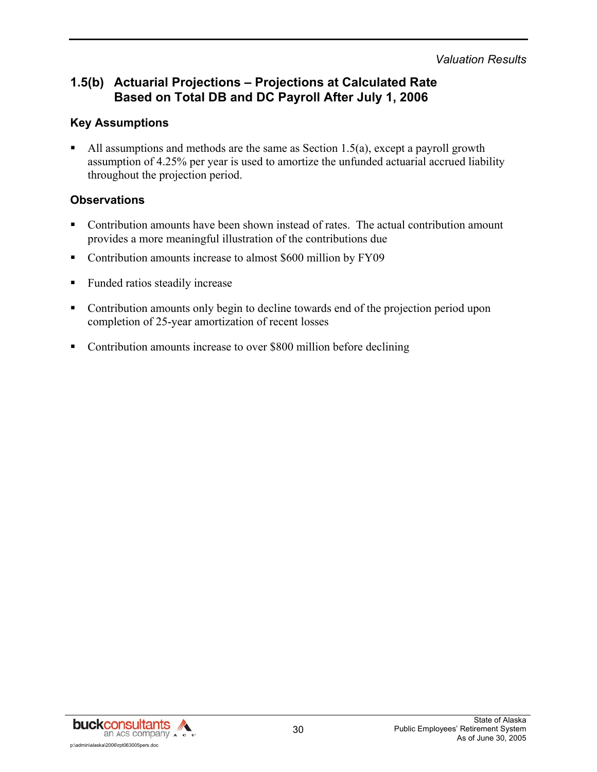## **1.5(b) Actuarial Projections – Projections at Calculated Rate Based on Total DB and DC Payroll After July 1, 2006**

#### **Key Assumptions**

All assumptions and methods are the same as Section 1.5(a), except a payroll growth assumption of 4.25% per year is used to amortize the unfunded actuarial accrued liability throughout the projection period.

#### **Observations**

- Contribution amounts have been shown instead of rates. The actual contribution amount provides a more meaningful illustration of the contributions due
- Contribution amounts increase to almost \$600 million by FY09
- Funded ratios steadily increase
- Contribution amounts only begin to decline towards end of the projection period upon completion of 25-year amortization of recent losses
- Contribution amounts increase to over \$800 million before declining

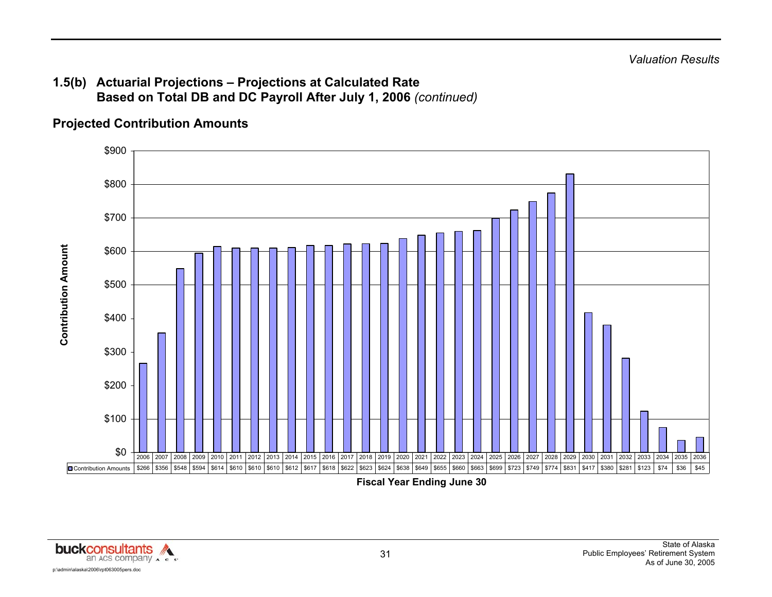## **1.5(b) Actuarial Projections – Projections at Calculated Rate Based on Total DB and DC Payroll After July 1, 2006** *(continued)*

## **Projected Contribution Amounts**



**Fiscal Year Ending June 30** 

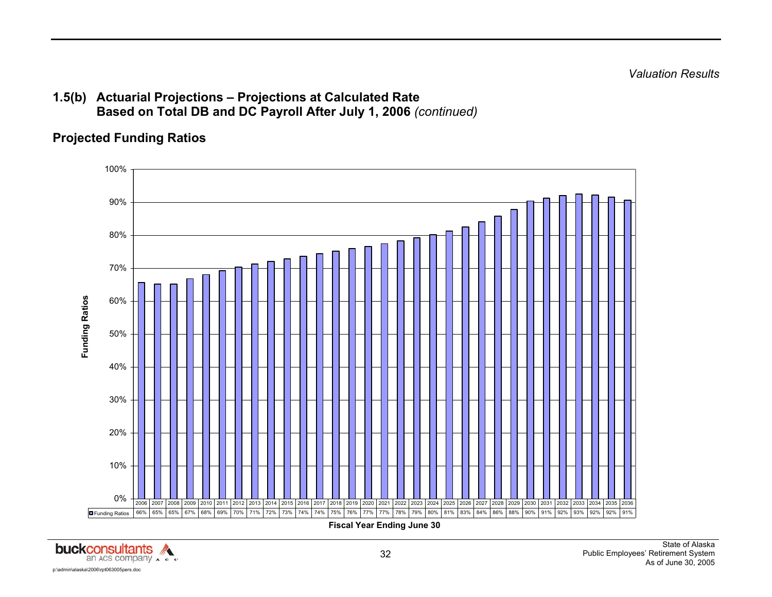*Valuation Results* 

#### **1.5(b) Actuarial Projections – Projections at Calculated Rate Based on Total DB and DC Payroll After July 1, 2006** *(continued)*

## **Projected Funding Ratios**



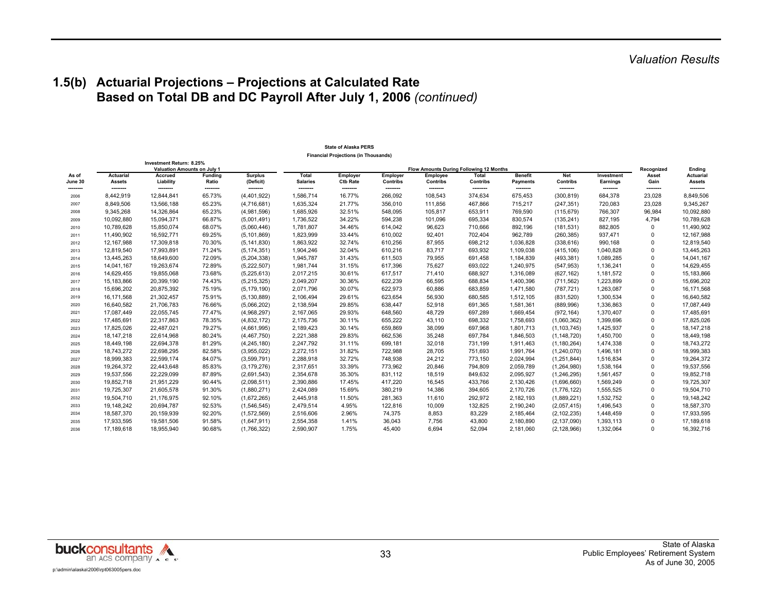## **1.5(b) Actuarial Projections – Projections at Calculated Rate Based on Total DB and DC Payroll After July 1, 2006** *(continued)*

#### **State of Alaska PERS Financial Projections (in Thousands)**

|                  |                                   | Investment Return: 8.25%<br><b>Valuation Amounts on July 1</b> |                         |                             |                          |                             | Recognized                  | Ending               |                          |                                   |                        |                        |                    |                            |
|------------------|-----------------------------------|----------------------------------------------------------------|-------------------------|-----------------------------|--------------------------|-----------------------------|-----------------------------|----------------------|--------------------------|-----------------------------------|------------------------|------------------------|--------------------|----------------------------|
| As of<br>June 30 | <b>Actuarial</b><br><b>Assets</b> | Accrued<br>Liability                                           | <b>Funding</b><br>Ratio | <b>Surplus</b><br>(Deficit) | Total<br><b>Salaries</b> | Employer<br><b>Ctb Rate</b> | Employer<br><b>Contribs</b> | Employee<br>Contribs | Total<br><b>Contribs</b> | <b>Benefit</b><br><b>Payments</b> | Net<br>Contribs        | Investment<br>Earnings | Asset<br>Gain      | <b>Actuarial</b><br>Assets |
| --------<br>2006 | --------<br>8,442,919             | <br>12,844,841                                                 | --------<br>65.73%      | --------<br>(4, 401, 922)   | --------<br>1.586.714    | --------<br>16.77%          | --------<br>266,092         | --------<br>108,543  | --------<br>374,634      | --------<br>675,453               | --------<br>(300, 819) | --------<br>684,378    | --------<br>23,028 | --------<br>8,849,506      |
| 2007             | 8,849,506                         | 13,566,188                                                     | 65.23%                  | (4,716,681)                 | 1,635,324                | 21.77%                      | 356,010                     | 111,856              | 467,866                  | 715,217                           | (247, 351)             | 720,083                | 23,028             | 9,345,267                  |
| 2008             | 9,345,268                         | 14,326,864                                                     | 65.23%                  | (4,981,596)                 | 1,685,926                | 32.51%                      | 548,095                     | 105,817              | 653,911                  | 769,590                           | (115, 679)             | 766,307                | 96,984             | 10,092,880                 |
| 2009             | 10,092,880                        | 15,094,371                                                     | 66.87%                  | (5,001,491)                 | 1,736,522                | 34.22%                      | 594,238                     | 101,096              | 695,334                  | 830,574                           | (135, 241)             | 827,195                | 4,794              | 10,789,628                 |
| 2010             | 10,789,628                        | 15,850,074                                                     | 68.07%                  | (5,060,446)                 | 1,781,807                | 34.46%                      | 614,042                     | 96,623               | 710,666                  | 892,196                           | (181, 531)             | 882,805                | $\mathbf 0$        | 11,490,902                 |
| 2011             | 11,490,902                        | 16,592,771                                                     | 69.25%                  | (5, 101, 869)               | 1,823,999                | 33.44%                      | 610.002                     | 92.401               | 702.404                  | 962,789                           | (260, 385)             | 937,471                | $\Omega$           | 12,167,988                 |
| 2012             | 12,167,988                        | 17,309,818                                                     | 70.30%                  | (5, 141, 830)               | 1,863,922                | 32.74%                      | 610,256                     | 87,955               | 698,212                  | 1,036,828                         | (338, 616)             | 990,168                | $\Omega$           | 12,819,540                 |
| 2013             | 12,819,540                        | 17,993,891                                                     | 71.24%                  | (5, 174, 351)               | 1,904,246                | 32.04%                      | 610,216                     | 83,717               | 693,932                  | 1,109,038                         | (415, 106)             | 1,040,828              | $\Omega$           | 13,445,263                 |
| 2014             | 13,445,263                        | 18,649,600                                                     | 72.09%                  | (5,204,338)                 | 1,945,787                | 31.43%                      | 611,503                     | 79,955               | 691,458                  | 1,184,839                         | (493, 381)             | 1,089,285              | $\Omega$           | 14,041,167                 |
| 2015             | 14,041,167                        | 19,263,674                                                     | 72.89%                  | (5,222,507)                 | 1,981,744                | 31.15%                      | 617.396                     | 75,627               | 693.022                  | 1,240,975                         | (547, 953)             | 1,136,241              | $\Omega$           | 14,629,455                 |
| 2016             | 14,629,455                        | 19,855,068                                                     | 73.68%                  | (5,225,613)                 | 2,017,215                | 30.61%                      | 617,517                     | 71,410               | 688,927                  | 1,316,089                         | (627, 162)             | 1,181,572              | $\Omega$           | 15,183,866                 |
| 2017             | 15,183,866                        | 20,399,190                                                     | 74.43%                  | (5,215,325)                 | 2,049,207                | 30.36%                      | 622.239                     | 66,595               | 688,834                  | 1,400,396                         | (711, 562)             | 1,223,899              | $\Omega$           | 15,696,202                 |
| 2018             | 15,696,202                        | 20,875,392                                                     | 75.19%                  | (5, 179, 190)               | 2,071,796                | 30.07%                      | 622,973                     | 60,886               | 683,859                  | 1,471,580                         | (787, 721)             | 1,263,087              | $\Omega$           | 16,171,568                 |
| 2019             | 16,171,568                        | 21,302,457                                                     | 75.91%                  | (5, 130, 889)               | 2,106,494                | 29.61%                      | 623,654                     | 56,930               | 680,585                  | 1,512,105                         | (831, 520)             | 1,300,534              | $\mathbf 0$        | 16,640,582                 |
| 2020             | 16,640,582                        | 21,706,783                                                     | 76.66%                  | (5,066,202)                 | 2,138,594                | 29.85%                      | 638.447                     | 52,918               | 691,365                  | 1,581,361                         | (889, 996)             | 1,336,863              | $\mathbf 0$        | 17,087,449                 |
| 2021             | 17,087,449                        | 22,055,745                                                     | 77.47%                  | (4,968,297)                 | 2,167,065                | 29.93%                      | 648,560                     | 48,729               | 697,289                  | 1,669,454                         | (972, 164)             | 1,370,407              | $\Omega$           | 17,485,691                 |
| 2022             | 17,485,691                        | 22,317,863                                                     | 78.35%                  | (4,832,172)                 | 2,175,736                | 30.11%                      | 655,222                     | 43,110               | 698,332                  | 1,758,693                         | (1,060,362)            | 1,399,696              | $\Omega$           | 17,825,026                 |
| 2023             | 17,825,026                        | 22,487,021                                                     | 79.27%                  | (4,661,995)                 | 2,189,423                | 30.14%                      | 659,869                     | 38,099               | 697,968                  | 1,801,713                         | (1, 103, 745)          | 1,425,937              | $\Omega$           | 18, 147, 218               |
| 2024             | 18, 147, 218                      | 22,614,968                                                     | 80.24%                  | (4, 467, 750)               | 2,221,388                | 29.83%                      | 662,536                     | 35,248               | 697,784                  | 1,846,503                         | (1, 148, 720)          | 1,450,700              | $\Omega$           | 18,449,198                 |
| 2025             | 18,449,198                        | 22,694,378                                                     | 81.29%                  | (4, 245, 180)               | 2,247,792                | 31.11%                      | 699,181                     | 32,018               | 731,199                  | 1,911,463                         | (1, 180, 264)          | 1,474,338              | $\Omega$           | 18,743,272                 |
| 2026             | 18,743,272                        | 22.698.295                                                     | 82.58%                  | (3,955,022)                 | 2,272,151                | 31.82%                      | 722.988                     | 28,705               | 751,693                  | 1,991,764                         | (1,240,070)            | 1,496,181              | $\Omega$           | 18,999,383                 |
| 2027             | 18,999,383                        | 22,599,174                                                     | 84.07%                  | (3,599,791)                 | 2,288,918                | 32.72%                      | 748,938                     | 24,212               | 773,150                  | 2,024,994                         | (1,251,844)            | 1,516,834              | $\mathbf 0$        | 19,264,372                 |
| 2028             | 19,264,372                        | 22,443,648                                                     | 85.83%                  | (3, 179, 276)               | 2,317,651                | 33.39%                      | 773,962                     | 20,846               | 794,809                  | 2,059,789                         | (1,264,980)            | 1,538,164              | $\mathbf 0$        | 19,537,556                 |
| 2029             | 19,537,556                        | 22,229,099                                                     | 87.89%                  | (2,691,543)                 | 2,354,678                | 35.30%                      | 831.112                     | 18,519               | 849,632                  | 2,095,927                         | (1, 246, 295)          | 1,561,457              | $\Omega$           | 19,852,718                 |
| 2030             | 19,852,718                        | 21,951,229                                                     | 90.44%                  | (2,098,511)                 | 2,390,886                | 17.45%                      | 417,220                     | 16,545               | 433,766                  | 2,130,426                         | (1,696,660)            | 1,569,249              | $\Omega$           | 19,725,307                 |
| 2031             | 19,725,307                        | 21,605,578                                                     | 91.30%                  | (1,880,271)                 | 2,424,089                | 15.69%                      | 380,219                     | 14,386               | 394,605                  | 2,170,726                         | (1,776,122)            | 1,555,525              | $\Omega$           | 19,504,710                 |
| 2032             | 19,504,710                        | 21,176,975                                                     | 92.10%                  | (1,672,265)                 | 2,445,918                | 11.50%                      | 281,363                     | 11,610               | 292,972                  | 2,182,193                         | (1,889,221)            | 1,532,752              | $\Omega$           | 19,148,242                 |
| 2033             | 19,148,242                        | 20,694,787                                                     | 92.53%                  | (1,546,545)                 | 2,479,514                | 4.95%                       | 122,816                     | 10,009               | 132,825                  | 2,190,240                         | (2,057,415)            | 1,496,543              | $\Omega$           | 18,587,370                 |
| 2034             | 18,587,370                        | 20,159,939                                                     | 92.20%                  | (1,572,569)                 | 2,516,606                | 2.96%                       | 74,375                      | 8,853                | 83,229                   | 2,185,464                         | (2, 102, 235)          | 1,448,459              | $\mathbf 0$        | 17,933,595                 |
| 2035             | 17,933,595                        | 19.581.506                                                     | 91.58%                  | (1,647,911)                 | 2,554,358                | 1.41%                       | 36,043                      | 7,756                | 43,800                   | 2,180,890                         | (2, 137, 090)          | 1,393,113              | $\mathbf 0$        | 17,189,618                 |
| 2036             | 17.189.618                        | 18.955.940                                                     | 90.68%                  | (1,766,322)                 | 2,590,907                | 1.75%                       | 45.400                      | 6.694                | 52.094                   | 2,181,060                         | (2, 128, 966)          | 1,332,064              | $\Omega$           | 16,392,716                 |

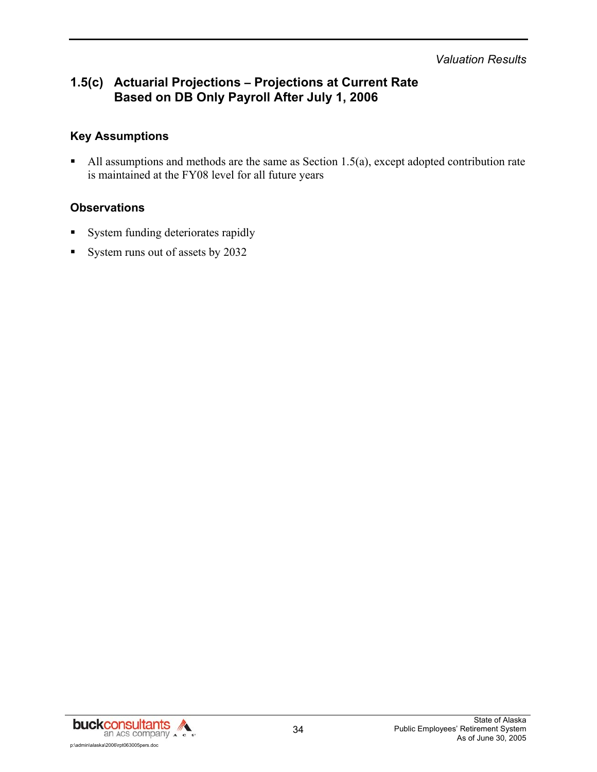*Valuation Results* 

## **1.5(c) Actuarial Projections – Projections at Current Rate Based on DB Only Payroll After July 1, 2006**

#### **Key Assumptions**

All assumptions and methods are the same as Section 1.5(a), except adopted contribution rate is maintained at the FY08 level for all future years

#### **Observations**

- System funding deteriorates rapidly
- System runs out of assets by 2032

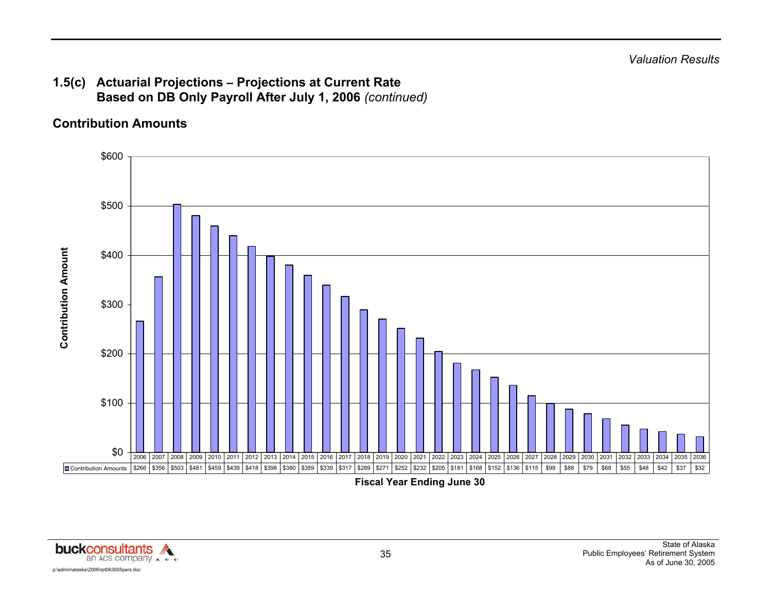## **1.5(c) Actuarial Projections – Projections at Current Rate Based on DB Only Payroll After July 1, 2006** *(continued)*

## **Contribution Amounts**



**Fiscal Year Ending June 30** 

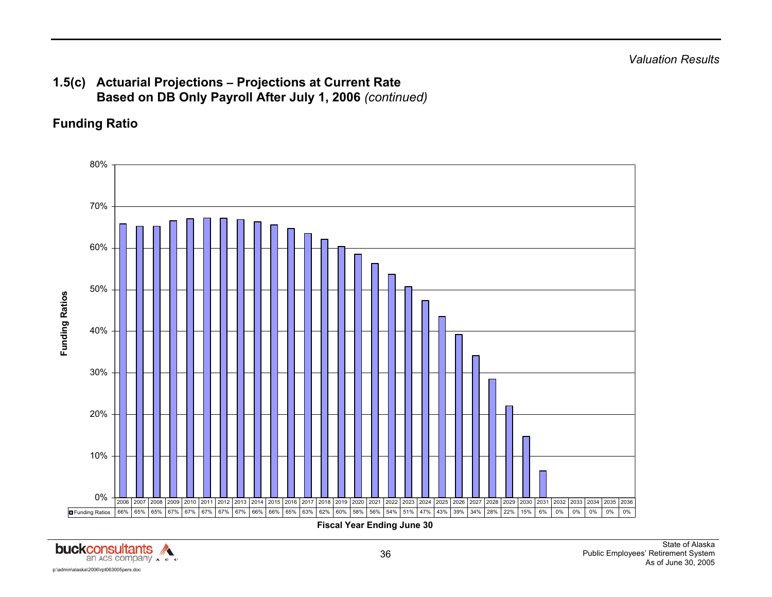## **1.5(c) Actuarial Projections – Projections at Current Rate Based on DB Only Payroll After July 1, 2006** *(continued)*

## **Funding Ratio**



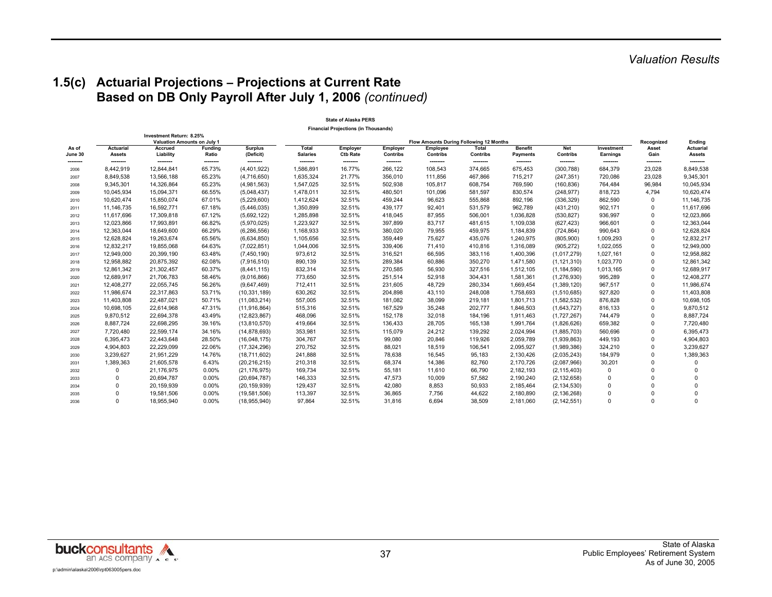### **1.5(c) Actuarial Projections – Projections at Current Rate Based on DB Only Payroll After July 1, 2006** *(continued)*

|                  |                            |                                                                |                                     |                             |                                 | <b>Financial Projections (in Thousands)</b> |                      |                                                                        |                     |                            |                        |                        |                    |                                   |
|------------------|----------------------------|----------------------------------------------------------------|-------------------------------------|-----------------------------|---------------------------------|---------------------------------------------|----------------------|------------------------------------------------------------------------|---------------------|----------------------------|------------------------|------------------------|--------------------|-----------------------------------|
|                  |                            | Investment Return: 8.25%<br><b>Valuation Amounts on July 1</b> |                                     |                             |                                 |                                             | Recognized           | Ending                                                                 |                     |                            |                        |                        |                    |                                   |
| As of<br>June 30 | Actuarial<br><b>Assets</b> | Accrued<br>Liability                                           | <b>Funding</b><br>Ratio<br>-------- | <b>Surplus</b><br>(Deficit) | <b>Total</b><br><b>Salaries</b> | Employer<br><b>Ctb Rate</b>                 | Employer<br>Contribs | Flow Amounts During Following 12 Months<br>Employee<br><b>Contribs</b> | Total<br>Contribs   | <b>Benefit</b><br>Payments | <b>Net</b><br>Contribs | Investment<br>Earnings | Asset<br>Gain      | <b>Actuarial</b><br><b>Assets</b> |
| --------<br>2006 | --------<br>8,442,919      | --------<br>12,844,841                                         | 65.73%                              | --------<br>(4,401,922)     | --------<br>1,586,891           | --------<br>16.77%                          | --------<br>266,122  | --------<br>108,543                                                    | --------<br>374,665 | --------<br>675,453        | --------<br>(300, 788) | --------<br>684,379    | --------<br>23,028 | --------<br>8,849,538             |
| 2007             | 8,849,538                  | 13,566,188                                                     | 65.23%                              | (4,716,650)                 | 1,635,324                       | 21.77%                                      | 356,010              | 111,856                                                                | 467,866             | 715,217                    | (247, 351)             | 720,086                | 23,028             | 9,345,301                         |
| 2008             | 9,345,301                  | 14,326,864                                                     | 65.23%                              | (4,981,563)                 | 1,547,025                       | 32.51%                                      | 502,938              | 105,817                                                                | 608,754             | 769,590                    | (160, 836)             | 764,484                | 96,984             | 10,045,934                        |
| 2009             | 10,045,934                 | 15,094,371                                                     | 66.55%                              | (5,048,437)                 | 1,478,011                       | 32.51%                                      | 480,501              | 101,096                                                                | 581,597             | 830,574                    | (248, 977)             | 818,723                | 4,794              | 10,620,474                        |
| 2010             | 10,620,474                 | 15,850,074                                                     | 67.01%                              | (5,229,600)                 | 1,412,624                       | 32.51%                                      | 459,244              | 96,623                                                                 | 555,868             | 892,196                    | (336, 329)             | 862,590                | $\Omega$           | 11,146,735                        |
| 2011             | 11,146,735                 | 16,592,771                                                     | 67.18%                              | (5,446,035)                 | 1,350,899                       | 32.51%                                      | 439,177              | 92,401                                                                 | 531,579             | 962,789                    | (431, 210)             | 902,171                | $\mathbf 0$        | 11,617,696                        |
| 2012             | 11.617.696                 | 17,309,818                                                     | 67.12%                              | (5,692,122)                 | 1,285,898                       | 32.51%                                      | 418,045              | 87,955                                                                 | 506,001             | 1,036,828                  | (530, 827)             | 936,997                | $\Omega$           | 12,023,866                        |
| 2013             | 12,023,866                 | 17,993,891                                                     | 66.82%                              | (5,970,025)                 | 1,223,927                       | 32.51%                                      | 397,899              | 83,717                                                                 | 481,615             | 1,109,038                  | (627, 423)             | 966,601                | $\Omega$           | 12,363,044                        |
| 2014             | 12,363,044                 | 18,649,600                                                     | 66.29%                              | (6, 286, 556)               | 1,168,933                       | 32.51%                                      | 380,020              | 79,955                                                                 | 459,975             | 1,184,839                  | (724, 864)             | 990,643                | $\mathbf 0$        | 12,628,824                        |
| 2015             | 12,628,824                 | 19,263,674                                                     | 65.56%                              | (6,634,850)                 | 1,105,656                       | 32.51%                                      | 359,449              | 75,627                                                                 | 435,076             | 1,240,975                  | (805, 900)             | 1,009,293              | $\mathbf 0$        | 12,832,217                        |
| 2016             | 12,832,217                 | 19,855,068                                                     | 64.63%                              | (7,022,851)                 | 1,044,006                       | 32.51%                                      | 339,406              | 71,410                                                                 | 410,816             | 1,316,089                  | (905, 272)             | 1,022,055              | $\mathbf 0$        | 12,949,000                        |
| 2017             | 12,949,000                 | 20,399,190                                                     | 63.48%                              | (7,450,190)                 | 973,612                         | 32.51%                                      | 316,521              | 66,595                                                                 | 383,116             | 1,400,396                  | (1,017,279)            | 1,027,161              | $\Omega$           | 12,958,882                        |
| 2018             | 12,958,882                 | 20,875,392                                                     | 62.08%                              | (7,916,510)                 | 890,139                         | 32.51%                                      | 289,384              | 60,886                                                                 | 350,270             | 1,471,580                  | (1, 121, 310)          | 1,023,770              | $\Omega$           | 12,861,342                        |
| 2019             | 12,861,342                 | 21,302,457                                                     | 60.37%                              | (8,441,115)                 | 832,314                         | 32.51%                                      | 270,585              | 56,930                                                                 | 327,516             | 1,512,105                  | (1, 184, 590)          | 1,013,165              | $\Omega$           | 12,689,917                        |
| 2020             | 12,689,917                 | 21,706,783                                                     | 58.46%                              | (9,016,866)                 | 773,650                         | 32.51%                                      | 251,514              | 52,918                                                                 | 304,431             | 1,581,361                  | (1,276,930)            | 995,289                | $\Omega$           | 12,408,277                        |
| 2021             | 12,408,277                 | 22,055,745                                                     | 56.26%                              | (9,647,469)                 | 712,411                         | 32.51%                                      | 231,605              | 48,729                                                                 | 280,334             | 1,669,454                  | (1,389,120)            | 967,517                | $\Omega$           | 11,986,674                        |
| 2022             | 11,986,674                 | 22,317,863                                                     | 53.71%                              | (10, 331, 189)              | 630,262                         | 32.51%                                      | 204,898              | 43,110                                                                 | 248,008             | 1,758,693                  | (1,510,685)            | 927,820                | $\Omega$           | 11,403,808                        |
| 2023             | 11,403,808                 | 22,487,021                                                     | 50.71%                              | (11,083,214)                | 557,005                         | 32.51%                                      | 181,082              | 38,099                                                                 | 219,181             | 1,801,713                  | (1,582,532)            | 876,828                | $\Omega$           | 10,698,105                        |
| 2024             | 10,698,105                 | 22,614,968                                                     | 47.31%                              | (11, 916, 864)              | 515,316                         | 32.51%                                      | 167,529              | 35,248                                                                 | 202,777             | 1,846,503                  | (1,643,727)            | 816,133                | $\Omega$           | 9,870,512                         |
| 2025             | 9,870,512                  | 22,694,378                                                     | 43.49%                              | (12, 823, 867)              | 468,096                         | 32.51%                                      | 152,178              | 32,018                                                                 | 184,196             | 1,911,463                  | (1,727,267)            | 744,479                | $\Omega$           | 8,887,724                         |
| 2026             | 8,887,724                  | 22,698,295                                                     | 39.16%                              | (13,810,570)                | 419,664                         | 32.51%                                      | 136,433              | 28,705                                                                 | 165,138             | 1,991,764                  | (1,826,626)            | 659,382                | $\Omega$           | 7,720,480                         |
| 2027             | 7,720,480                  | 22,599,174                                                     | 34.16%                              | (14, 878, 693)              | 353,981                         | 32.51%                                      | 115,079              | 24,212                                                                 | 139,292             | 2,024,994                  | (1,885,703)            | 560,696                | $\mathbf 0$        | 6,395,473                         |
| 2028             | 6,395,473                  | 22,443,648                                                     | 28.50%                              | (16,048,175)                | 304,767                         | 32.51%                                      | 99,080               | 20,846                                                                 | 119,926             | 2,059,789                  | (1,939,863)            | 449,193                | $\mathbf 0$        | 4,904,803                         |
| 2029             | 4,904,803                  | 22,229,099                                                     | 22.06%                              | (17, 324, 296)              | 270,752                         | 32.51%                                      | 88,021               | 18,519                                                                 | 106,541             | 2,095,927                  | (1,989,386)            | 324,210                | $\mathbf 0$        | 3,239,627                         |
| 2030             | 3,239,627                  | 21,951,229                                                     | 14.76%                              | (18, 711, 602)              | 241,888                         | 32.51%                                      | 78,638               | 16,545                                                                 | 95,183              | 2,130,426                  | (2,035,243)            | 184,979                | $\mathbf 0$        | 1,389,363                         |
| 2031             | 1,389,363                  | 21,605,578                                                     | 6.43%                               | (20, 216, 215)              | 210,318                         | 32.51%                                      | 68,374               | 14,386                                                                 | 82,760              | 2,170,726                  | (2,087,966)            | 30,201                 | $\Omega$           | $\mathbf 0$                       |
| 2032             | 0                          | 21,176,975                                                     | $0.00\%$                            | (21, 176, 975)              | 169,734                         | 32.51%                                      | 55,181               | 11,610                                                                 | 66,790              | 2,182,193                  | (2, 115, 403)          | $\mathbf 0$            | $\Omega$           | $\mathbf 0$                       |
| 2033             | $\Omega$                   | 20,694,787                                                     | 0.00%                               | (20, 694, 787)              | 146,333                         | 32.51%                                      | 47,573               | 10,009                                                                 | 57,582              | 2,190,240                  | (2, 132, 658)          | $\Omega$               | $\Omega$           | $\mathbf 0$                       |
| 2034             | $\Omega$                   | 20,159,939                                                     | $0.00\%$                            | (20, 159, 939)              | 129,437                         | 32.51%                                      | 42,080               | 8,853                                                                  | 50,933              | 2,185,464                  | (2, 134, 530)          | $\Omega$               | $\Omega$           | $\mathbf 0$                       |
| 2035             | $\Omega$                   | 19,581,506                                                     | 0.00%                               | (19,581,506)                | 113,397                         | 32.51%                                      | 36,865               | 7.756                                                                  | 44,622              | 2,180,890                  | (2, 136, 268)          | $\Omega$               | $\Omega$           | $\mathbf 0$                       |
| 2036             | $\Omega$                   | 18,955,940                                                     | 0.00%                               | (18,955,940)                | 97,864                          | 32.51%                                      | 31,816               | 6,694                                                                  | 38,509              | 2,181,060                  | (2, 142, 551)          | $\Omega$               | $\Omega$           | $\Omega$                          |

**State of Alaska PERS**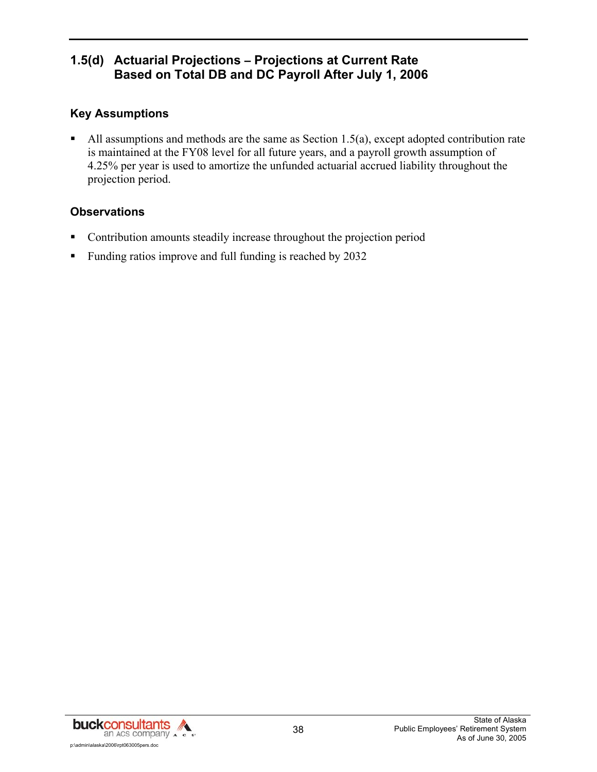## **1.5(d) Actuarial Projections – Projections at Current Rate Based on Total DB and DC Payroll After July 1, 2006**

## **Key Assumptions**

All assumptions and methods are the same as Section 1.5(a), except adopted contribution rate is maintained at the FY08 level for all future years, and a payroll growth assumption of 4.25% per year is used to amortize the unfunded actuarial accrued liability throughout the projection period.

### **Observations**

- Contribution amounts steadily increase throughout the projection period
- Funding ratios improve and full funding is reached by 2032

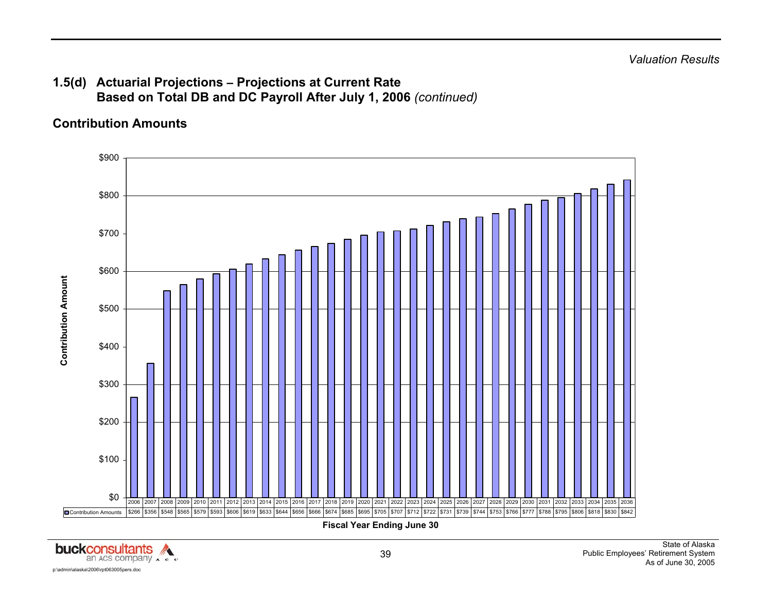## **1.5(d) Actuarial Projections – Projections at Current Rate Based on Total DB and DC Payroll After July 1, 2006** *(continued)*

## **Contribution Amounts**



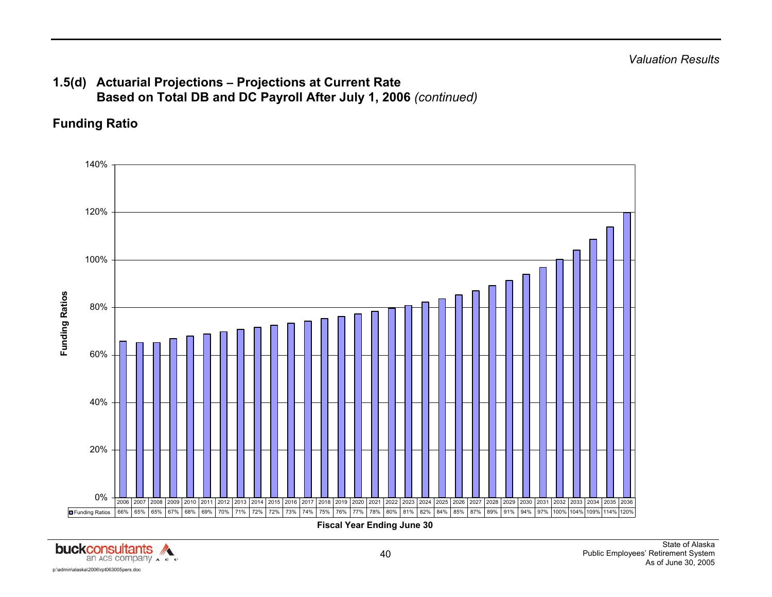## **1.5(d) Actuarial Projections – Projections at Current Rate Based on Total DB and DC Payroll After July 1, 2006** *(continued)*

## **Funding Ratio**



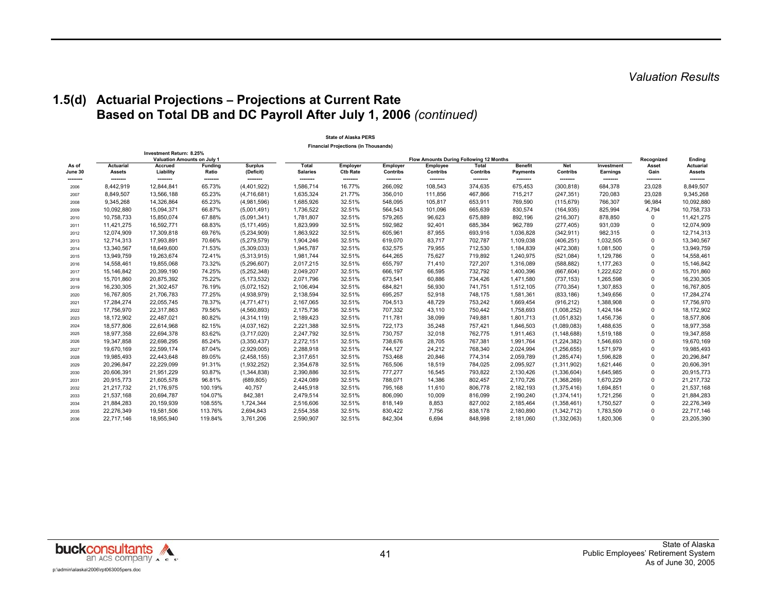#### **1.5(d) Actuarial Projections – Projections at Current Rate Based on Total DB and DC Payroll After July 1, 2006** *(continued)*

|                  |                       |                                                      |                    |                         |                       | <b>State of Alaska PERS</b>                 |                     |                                                     |                     |                     |                        |                     |                     |                            |
|------------------|-----------------------|------------------------------------------------------|--------------------|-------------------------|-----------------------|---------------------------------------------|---------------------|-----------------------------------------------------|---------------------|---------------------|------------------------|---------------------|---------------------|----------------------------|
|                  |                       |                                                      |                    |                         |                       | <b>Financial Projections (in Thousands)</b> |                     |                                                     |                     |                     |                        |                     |                     |                            |
|                  |                       | Investment Return: 8.25%                             |                    |                         |                       |                                             |                     |                                                     |                     |                     |                        |                     |                     |                            |
| As of            | <b>Actuarial</b>      | <b>Valuation Amounts on July 1</b><br><b>Accrued</b> | <b>Funding</b>     | <b>Surplus</b>          | Total                 | <b>Employer</b>                             | Employer            | Flow Amounts During Following 12 Months<br>Employee | Total               | <b>Benefit</b>      | <b>Net</b>             | Investment          | Recognized<br>Asset | Ending<br><b>Actuarial</b> |
| June 30          | <b>Assets</b>         | Liability                                            | Ratio              | (Deficit)               | <b>Salaries</b>       | <b>Ctb Rate</b>                             | Contribs            | Contribs                                            | Contribs            | Payments            | Contribs               | Earnings            | Gain                | <b>Assets</b>              |
| --------<br>2006 | --------<br>8,442,919 | --------<br>12.844.841                               | --------<br>65.73% | --------<br>(4,401,922) | --------<br>1.586.714 | --------<br>16.77%                          | --------<br>266.092 | --------<br>108.543                                 | --------<br>374.635 | --------<br>675.453 | --------<br>(300, 818) | --------<br>684.378 | --------<br>23.028  | --------<br>8,849,507      |
| 2007             | 8,849,507             | 13,566,188                                           | 65.23%             | (4,716,681)             | 1,635,324             | 21.77%                                      | 356,010             | 111,856                                             | 467,866             | 715,217             | (247, 351)             | 720,083             | 23,028              | 9,345,268                  |
| 2008             | 9,345,268             | 14,326,864                                           | 65.23%             | (4,981,596)             | 1,685,926             | 32.51%                                      | 548,095             | 105,817                                             | 653,911             | 769,590             | (115, 679)             | 766,307             | 96,984              | 10,092,880                 |
| 2009             | 10,092,880            | 15,094,371                                           | 66.87%             | (5,001,491)             | 1,736,522             | 32.51%                                      | 564,543             | 101,096                                             | 665,639             | 830,574             | (164, 935)             | 825,994             | 4,794               | 10,758,733                 |
| 2010             | 10,758,733            | 15,850,074                                           | 67.88%             | (5,091,341)             | 1,781,807             | 32.51%                                      | 579,265             | 96,623                                              | 675,889             | 892,196             | (216, 307)             | 878,850             | 0                   | 11,421,275                 |
| 2011             | 11,421,275            | 16,592,771                                           | 68.83%             | (5, 171, 495)           | 1,823,999             | 32.51%                                      | 592,982             | 92,401                                              | 685,384             | 962,789             | (277, 405)             | 931,039             | <sup>0</sup>        | 12,074,909                 |
| 2012             | 12,074,909            | 17,309,818                                           | 69.76%             | (5,234,909)             | 1,863,922             | 32.51%                                      | 605,961             | 87,955                                              | 693,916             | 1,036,828           | (342, 911)             | 982,315             | <sup>0</sup>        | 12,714,313                 |
| 2013             | 12,714,313            | 17,993,891                                           | 70.66%             | (5,279,579)             | 1,904,246             | 32.51%                                      | 619.070             | 83,717                                              | 702,787             | 1,109,038           | (406, 251)             | 1,032,505           | <sup>0</sup>        | 13,340,567                 |
| 2014             | 13,340,567            | 18,649,600                                           | 71.53%             | (5,309,033)             | 1,945,787             | 32.51%                                      | 632,575             | 79.955                                              | 712,530             | 1,184,839           | (472, 308)             | 1,081,500           | <sup>0</sup>        | 13,949,759                 |
| 2015             | 13,949,759            | 19,263,674                                           | 72.41%             | (5,313,915)             | 1,981,744             | 32.51%                                      | 644.265             | 75,627                                              | 719,892             | 1,240,975           | (521, 084)             | 1,129,786           | 0                   | 14,558,461                 |
| 2016             | 14,558,461            | 19,855,068                                           | 73.32%             | (5,296,607)             | 2,017,215             | 32.51%                                      | 655,797             | 71,410                                              | 727,207             | 1,316,089           | (588, 882)             | 1,177,263           | 0                   | 15,146,842                 |
| 2017             | 15,146,842            | 20,399,190                                           | 74.25%             | (5,252,348)             | 2,049,207             | 32.51%                                      | 666,197             | 66,595                                              | 732,792             | 1,400,396           | (667, 604)             | 1,222,622           | 0                   | 15,701,860                 |
| 2018             | 15,701,860            | 20,875,392                                           | 75.22%             | (5, 173, 532)           | 2,071,796             | 32.51%                                      | 673,541             | 60,886                                              | 734,426             | 1,471,580           | (737, 153)             | 1,265,598           | 0                   | 16,230,305                 |
| 2019             | 16,230,305            | 21,302,457                                           | 76.19%             | (5,072,152)             | 2,106,494             | 32.51%                                      | 684,821             | 56,930                                              | 741,751             | 1,512,105           | (770, 354)             | 1,307,853           | 0                   | 16,767,805                 |
| 2020             | 16,767,805            | 21,706,783                                           | 77.25%             | (4,938,979)             | 2,138,594             | 32.51%                                      | 695,257             | 52,918                                              | 748,175             | 1,581,361           | (833, 186)             | 1,349,656           | <sup>0</sup>        | 17,284,274                 |
| 2021             | 17,284,274            | 22,055,745                                           | 78.37%             | (4,771,471)             | 2,167,065             | 32.51%                                      | 704,513             | 48,729                                              | 753,242             | 1,669,454           | (916, 212)             | 1,388,908           | <sup>0</sup>        | 17,756,970                 |
| 2022             | 17,756,970            | 22,317,863                                           | 79.56%             | (4,560,893)             | 2,175,736             | 32.51%                                      | 707,332             | 43,110                                              | 750,442             | 1,758,693           | (1,008,252)            | 1,424,184           | 0                   | 18,172,902                 |
| 2023             | 18,172,902            | 22,487,021                                           | 80.82%             | (4,314,119)             | 2,189,423             | 32.51%                                      | 711,781             | 38,099                                              | 749,881             | 1,801,713           | (1,051,832)            | 1,456,736           | 0                   | 18,577,806                 |
| 2024             | 18,577,806            | 22,614,968                                           | 82.15%             | (4,037,162)             | 2,221,388             | 32.51%                                      | 722,173             | 35,248                                              | 757,421             | 1,846,503           | (1,089,083)            | 1,488,635           | 0                   | 18,977,358                 |
| 2025             | 18,977,358            | 22,694,378                                           | 83.62%             | (3,717,020)             | 2,247,792             | 32.51%                                      | 730,757             | 32,018                                              | 762,775             | 1,911,463           | (1, 148, 688)          | 1,519,188           | 0                   | 19,347,858                 |
| 2026             | 19,347,858            | 22,698,295                                           | 85.24%             | (3,350,437)             | 2,272,151             | 32.51%                                      | 738,676             | 28,705                                              | 767,381             | 1,991,764           | (1,224,382)            | 1,546,693           | 0                   | 19,670,169                 |
| 2027             | 19,670,169            | 22,599,174                                           | 87.04%             | (2,929,005)             | 2,288,918             | 32.51%                                      | 744,127             | 24,212                                              | 768,340             | 2,024,994           | (1, 256, 655)          | 1,571,979           | 0                   | 19,985,493                 |
| 2028             | 19,985,493            | 22,443,648                                           | 89.05%             | (2,458,155)             | 2,317,651             | 32.51%                                      | 753,468             | 20,846                                              | 774,314             | 2,059,789           | (1, 285, 474)          | 1,596,828           | 0                   | 20,296,847                 |
| 2029             | 20,296,847            | 22,229,099                                           | 91.31%             | (1,932,252)             | 2,354,678             | 32.51%                                      | 765,506             | 18,519                                              | 784,025             | 2,095,927           | (1,311,902)            | 1,621,446           | 0                   | 20,606,391                 |
| 2030             | 20,606,391            | 21,951,229                                           | 93.87%             | (1,344,838)             | 2,390,886             | 32.51%                                      | 777,277             | 16,545                                              | 793,822             | 2,130,426           | (1,336,604)            | 1,645,985           | 0                   | 20,915,773                 |
| 2031             | 20,915,773            | 21,605,578                                           | 96.81%             | (689, 805)              | 2,424,089             | 32.51%                                      | 788,071             | 14,386                                              | 802,457             | 2,170,726           | (1,368,269)            | 1,670,229           | 0                   | 21,217,732                 |
| 2032             | 21,217,732            | 21,176,975                                           | 100.19%            | 40,757                  | 2,445,918             | 32.51%                                      | 795,168             | 11,610                                              | 806,778             | 2,182,193           | (1,375,416)            | 1,694,851           | 0                   | 21,537,168                 |
| 2033             | 21,537,168            | 20,694,787                                           | 104.07%            | 842,381                 | 2,479,514             | 32.51%                                      | 806.090             | 10.009                                              | 816,099             | 2,190,240           | (1, 374, 141)          | 1,721,256           | 0                   | 21,884,283                 |
| 2034             | 21,884,283            | 20,159,939                                           | 108.55%            | 1,724,344               | 2,516,606             | 32.51%                                      | 818,149             | 8,853                                               | 827,002             | 2,185,464           | (1,358,461)            | 1,750,527           | 0                   | 22,276,349                 |
| 2035             | 22,276,349            | 19,581,506                                           | 113.76%            | 2,694,843               | 2,554,358             | 32.51%                                      | 830,422             | 7,756                                               | 838,178             | 2,180,890           | (1,342,712)            | 1,783,509           | 0                   | 22,717,146                 |
| 2036             | 22,717,146            | 18,955,940                                           | 119.84%            | 3,761,206               | 2,590,907             | 32.51%                                      | 842,304             | 6,694                                               | 848,998             | 2,181,060           | (1,332,063)            | 1,820,306           | 0                   | 23,205,390                 |

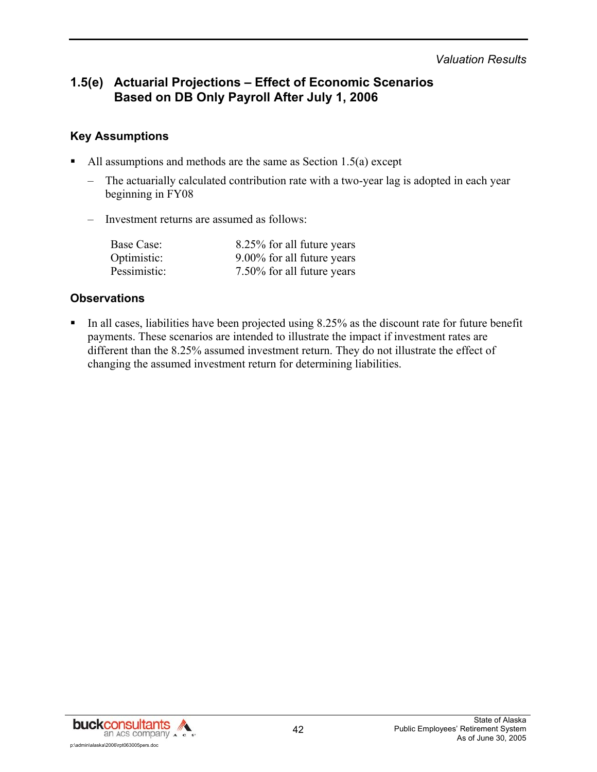*Valuation Results* 

## **1.5(e) Actuarial Projections – Effect of Economic Scenarios Based on DB Only Payroll After July 1, 2006**

#### **Key Assumptions**

- All assumptions and methods are the same as Section 1.5(a) except
	- The actuarially calculated contribution rate with a two-year lag is adopted in each year beginning in FY08
	- Investment returns are assumed as follows:

| Base Case:   | 8.25% for all future years |
|--------------|----------------------------|
| Optimistic:  | 9.00% for all future years |
| Pessimistic: | 7.50% for all future years |

#### **Observations**

 In all cases, liabilities have been projected using 8.25% as the discount rate for future benefit payments. These scenarios are intended to illustrate the impact if investment rates are different than the 8.25% assumed investment return. They do not illustrate the effect of changing the assumed investment return for determining liabilities.

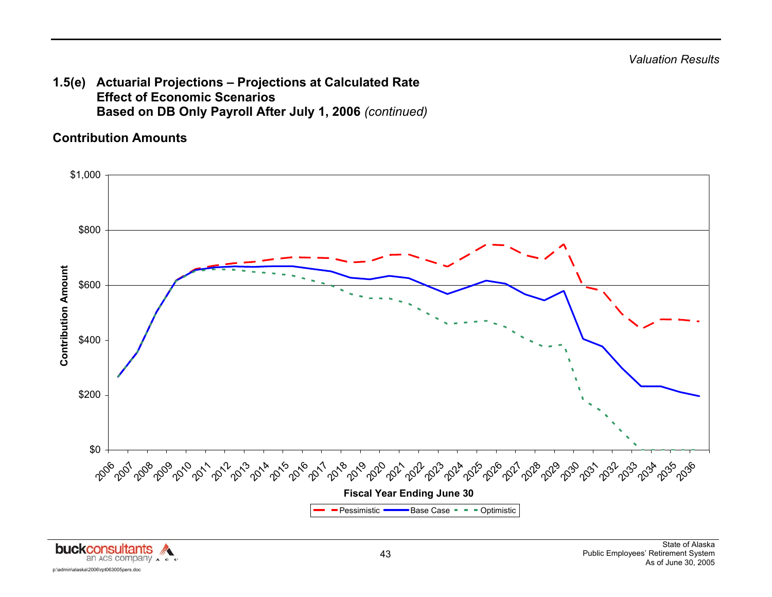**1.5(e) Actuarial Projections – Projections at Calculated Rate Effect of Economic Scenarios Based on DB Only Payroll After July 1, 2006** *(continued)*

#### **Contribution Amounts**



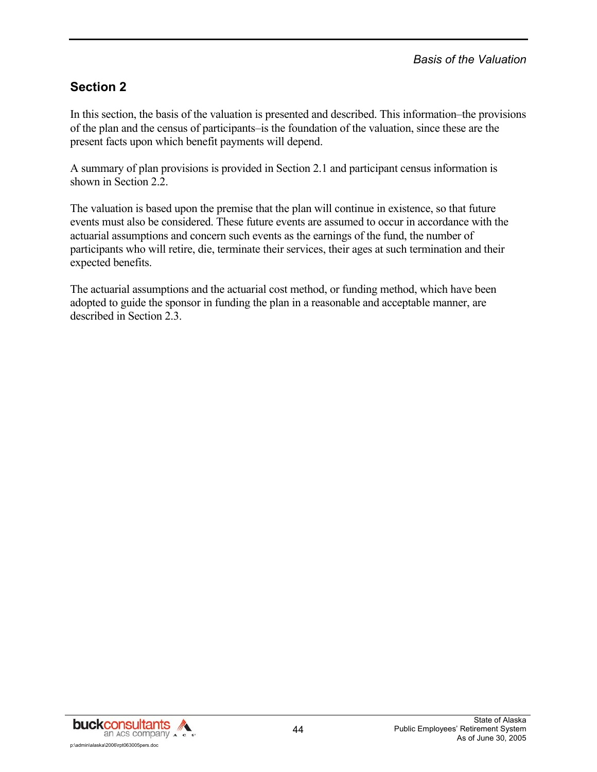## **Section 2**

In this section, the basis of the valuation is presented and described. This information–the provisions of the plan and the census of participants–is the foundation of the valuation, since these are the present facts upon which benefit payments will depend.

A summary of plan provisions is provided in Section 2.1 and participant census information is shown in Section 2.2.

The valuation is based upon the premise that the plan will continue in existence, so that future events must also be considered. These future events are assumed to occur in accordance with the actuarial assumptions and concern such events as the earnings of the fund, the number of participants who will retire, die, terminate their services, their ages at such termination and their expected benefits.

The actuarial assumptions and the actuarial cost method, or funding method, which have been adopted to guide the sponsor in funding the plan in a reasonable and acceptable manner, are described in Section 2.3.

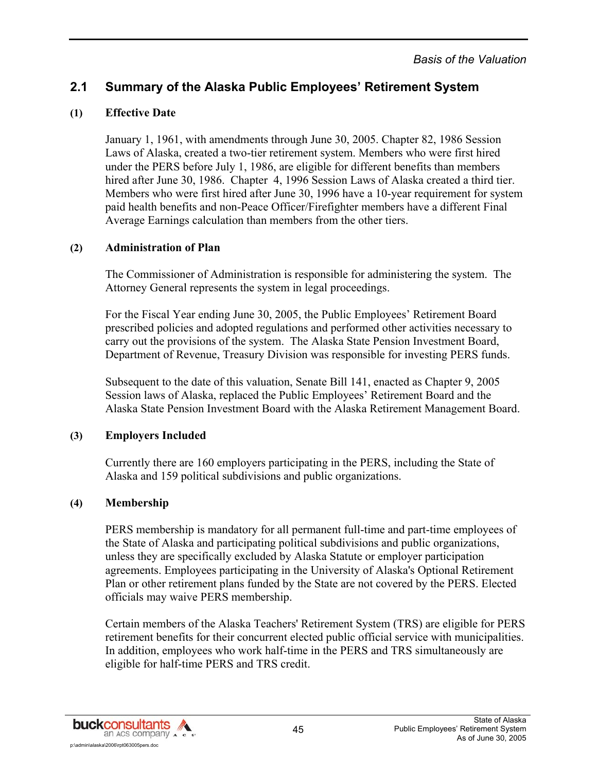### **(1) Effective Date**

January 1, 1961, with amendments through June 30, 2005. Chapter 82, 1986 Session Laws of Alaska, created a two-tier retirement system. Members who were first hired under the PERS before July 1, 1986, are eligible for different benefits than members hired after June 30, 1986. Chapter 4, 1996 Session Laws of Alaska created a third tier. Members who were first hired after June 30, 1996 have a 10-year requirement for system paid health benefits and non-Peace Officer/Firefighter members have a different Final Average Earnings calculation than members from the other tiers.

#### **(2) Administration of Plan**

The Commissioner of Administration is responsible for administering the system. The Attorney General represents the system in legal proceedings.

For the Fiscal Year ending June 30, 2005, the Public Employees' Retirement Board prescribed policies and adopted regulations and performed other activities necessary to carry out the provisions of the system. The Alaska State Pension Investment Board, Department of Revenue, Treasury Division was responsible for investing PERS funds.

Subsequent to the date of this valuation, Senate Bill 141, enacted as Chapter 9, 2005 Session laws of Alaska, replaced the Public Employees' Retirement Board and the Alaska State Pension Investment Board with the Alaska Retirement Management Board.

### **(3) Employers Included**

Currently there are 160 employers participating in the PERS, including the State of Alaska and 159 political subdivisions and public organizations.

### **(4) Membership**

PERS membership is mandatory for all permanent full-time and part-time employees of the State of Alaska and participating political subdivisions and public organizations, unless they are specifically excluded by Alaska Statute or employer participation agreements. Employees participating in the University of Alaska's Optional Retirement Plan or other retirement plans funded by the State are not covered by the PERS. Elected officials may waive PERS membership.

Certain members of the Alaska Teachers' Retirement System (TRS) are eligible for PERS retirement benefits for their concurrent elected public official service with municipalities. In addition, employees who work half-time in the PERS and TRS simultaneously are eligible for half-time PERS and TRS credit.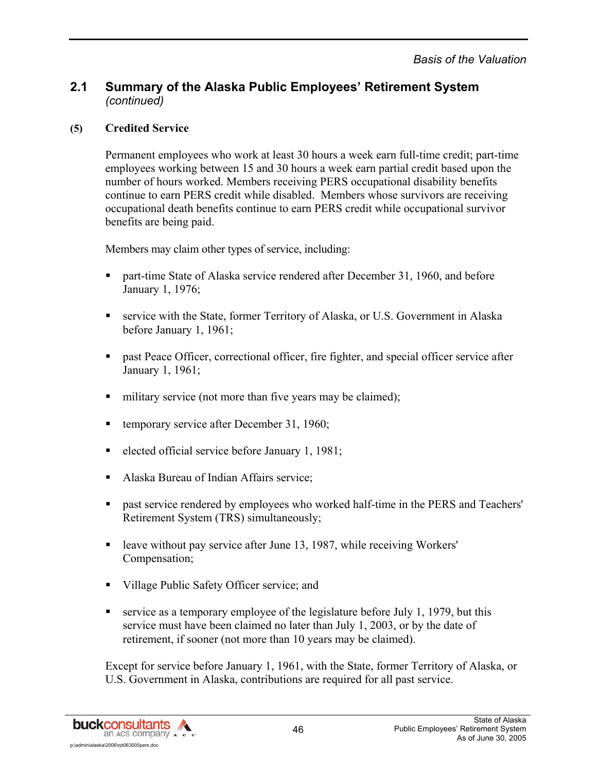#### **(5) Credited Service**

Permanent employees who work at least 30 hours a week earn full-time credit; part-time employees working between 15 and 30 hours a week earn partial credit based upon the number of hours worked. Members receiving PERS occupational disability benefits continue to earn PERS credit while disabled. Members whose survivors are receiving occupational death benefits continue to earn PERS credit while occupational survivor benefits are being paid.

Members may claim other types of service, including:

- **F** part-time State of Alaska service rendered after December 31, 1960, and before January 1, 1976;
- service with the State, former Territory of Alaska, or U.S. Government in Alaska before January 1, 1961;
- past Peace Officer, correctional officer, fire fighter, and special officer service after January 1, 1961;
- military service (not more than five years may be claimed);
- temporary service after December 31, 1960;
- elected official service before January 1, 1981;
- Alaska Bureau of Indian Affairs service;
- past service rendered by employees who worked half-time in the PERS and Teachers' Retirement System (TRS) simultaneously;
- leave without pay service after June 13, 1987, while receiving Workers' Compensation;
- Village Public Safety Officer service; and
- service as a temporary employee of the legislature before July 1, 1979, but this service must have been claimed no later than July 1, 2003, or by the date of retirement, if sooner (not more than 10 years may be claimed).

Except for service before January 1, 1961, with the State, former Territory of Alaska, or U.S. Government in Alaska, contributions are required for all past service.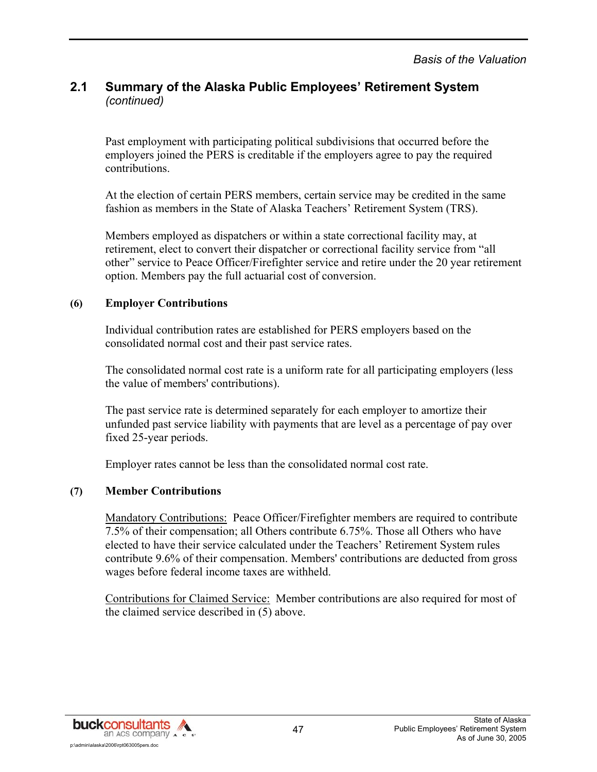Past employment with participating political subdivisions that occurred before the employers joined the PERS is creditable if the employers agree to pay the required contributions.

At the election of certain PERS members, certain service may be credited in the same fashion as members in the State of Alaska Teachers' Retirement System (TRS).

Members employed as dispatchers or within a state correctional facility may, at retirement, elect to convert their dispatcher or correctional facility service from "all other" service to Peace Officer/Firefighter service and retire under the 20 year retirement option. Members pay the full actuarial cost of conversion.

#### **(6) Employer Contributions**

Individual contribution rates are established for PERS employers based on the consolidated normal cost and their past service rates.

The consolidated normal cost rate is a uniform rate for all participating employers (less the value of members' contributions).

The past service rate is determined separately for each employer to amortize their unfunded past service liability with payments that are level as a percentage of pay over fixed 25-year periods.

Employer rates cannot be less than the consolidated normal cost rate.

#### **(7) Member Contributions**

Mandatory Contributions: Peace Officer/Firefighter members are required to contribute 7.5% of their compensation; all Others contribute 6.75%. Those all Others who have elected to have their service calculated under the Teachers' Retirement System rules contribute 9.6% of their compensation. Members' contributions are deducted from gross wages before federal income taxes are withheld.

Contributions for Claimed Service: Member contributions are also required for most of the claimed service described in (5) above.

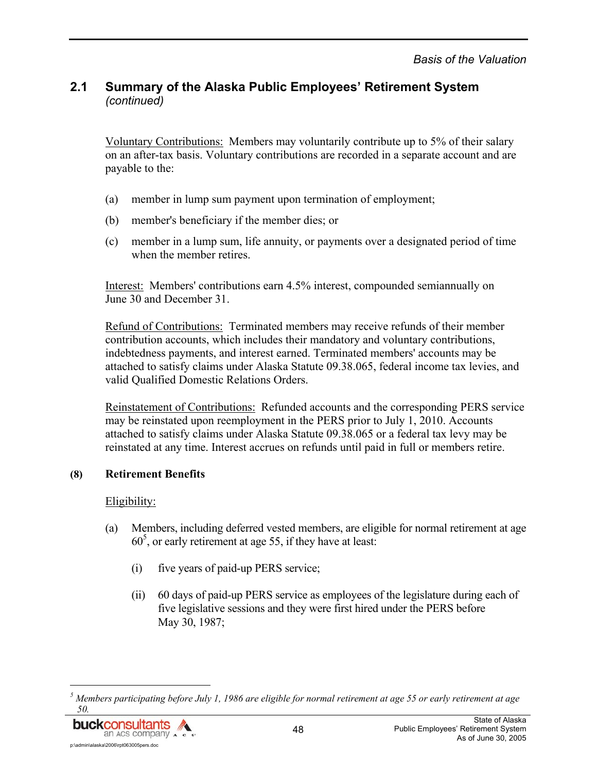Voluntary Contributions: Members may voluntarily contribute up to 5% of their salary on an after-tax basis. Voluntary contributions are recorded in a separate account and are payable to the:

- (a) member in lump sum payment upon termination of employment;
- (b) member's beneficiary if the member dies; or
- (c) member in a lump sum, life annuity, or payments over a designated period of time when the member retires.

Interest: Members' contributions earn 4.5% interest, compounded semiannually on June 30 and December 31.

Refund of Contributions: Terminated members may receive refunds of their member contribution accounts, which includes their mandatory and voluntary contributions, indebtedness payments, and interest earned. Terminated members' accounts may be attached to satisfy claims under Alaska Statute 09.38.065, federal income tax levies, and valid Qualified Domestic Relations Orders.

Reinstatement of Contributions: Refunded accounts and the corresponding PERS service may be reinstated upon reemployment in the PERS prior to July 1, 2010. Accounts attached to satisfy claims under Alaska Statute 09.38.065 or a federal tax levy may be reinstated at any time. Interest accrues on refunds until paid in full or members retire.

#### **(8) Retirement Benefits**

#### Eligibility:

- (a) Members, including deferred vested members, are eligible for normal retirement at age  $60<sup>5</sup>$ , or early retirement at age 55, if they have at least:
	- (i) five years of paid-up PERS service;
	- (ii) 60 days of paid-up PERS service as employees of the legislature during each of five legislative sessions and they were first hired under the PERS before May 30, 1987;

*<sup>5</sup> Members participating before July 1, 1986 are eligible for normal retirement at age 55 or early retirement at age* 



l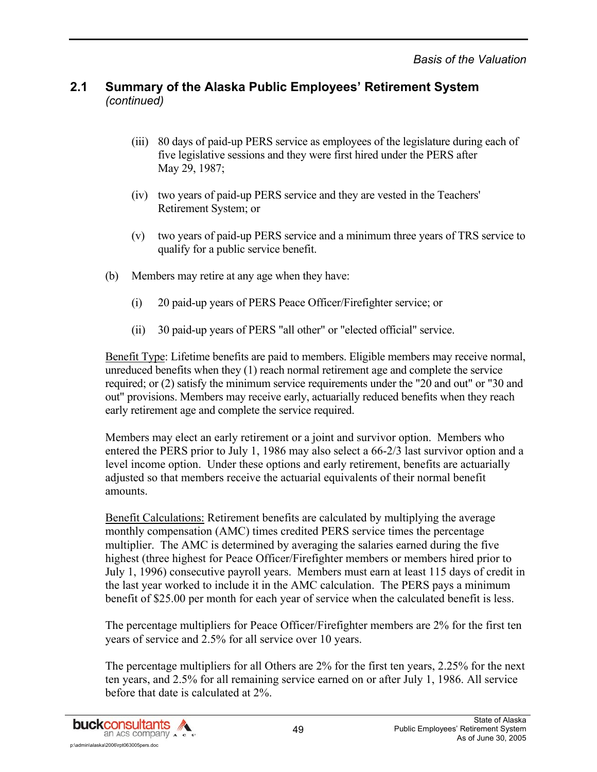- (iii) 80 days of paid-up PERS service as employees of the legislature during each of five legislative sessions and they were first hired under the PERS after May 29, 1987;
- (iv) two years of paid-up PERS service and they are vested in the Teachers' Retirement System; or
- (v) two years of paid-up PERS service and a minimum three years of TRS service to qualify for a public service benefit.
- (b) Members may retire at any age when they have:
	- (i) 20 paid-up years of PERS Peace Officer/Firefighter service; or
	- (ii) 30 paid-up years of PERS "all other" or "elected official" service.

Benefit Type: Lifetime benefits are paid to members. Eligible members may receive normal, unreduced benefits when they (1) reach normal retirement age and complete the service required; or (2) satisfy the minimum service requirements under the "20 and out" or "30 and out" provisions. Members may receive early, actuarially reduced benefits when they reach early retirement age and complete the service required.

Members may elect an early retirement or a joint and survivor option. Members who entered the PERS prior to July 1, 1986 may also select a 66-2/3 last survivor option and a level income option. Under these options and early retirement, benefits are actuarially adjusted so that members receive the actuarial equivalents of their normal benefit amounts.

Benefit Calculations: Retirement benefits are calculated by multiplying the average monthly compensation (AMC) times credited PERS service times the percentage multiplier. The AMC is determined by averaging the salaries earned during the five highest (three highest for Peace Officer/Firefighter members or members hired prior to July 1, 1996) consecutive payroll years. Members must earn at least 115 days of credit in the last year worked to include it in the AMC calculation. The PERS pays a minimum benefit of \$25.00 per month for each year of service when the calculated benefit is less.

The percentage multipliers for Peace Officer/Firefighter members are 2% for the first ten years of service and 2.5% for all service over 10 years.

The percentage multipliers for all Others are 2% for the first ten years, 2.25% for the next ten years, and 2.5% for all remaining service earned on or after July 1, 1986. All service before that date is calculated at 2%.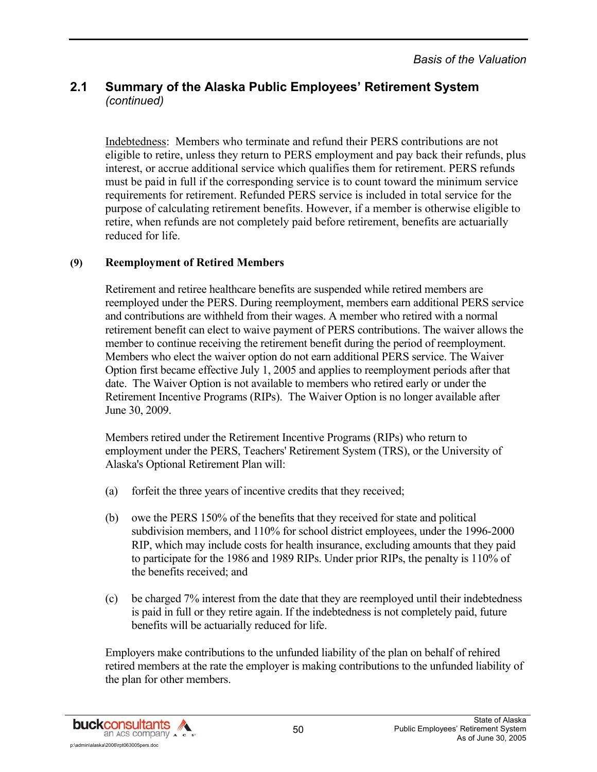Indebtedness: Members who terminate and refund their PERS contributions are not eligible to retire, unless they return to PERS employment and pay back their refunds, plus interest, or accrue additional service which qualifies them for retirement. PERS refunds must be paid in full if the corresponding service is to count toward the minimum service requirements for retirement. Refunded PERS service is included in total service for the purpose of calculating retirement benefits. However, if a member is otherwise eligible to retire, when refunds are not completely paid before retirement, benefits are actuarially reduced for life.

#### **(9) Reemployment of Retired Members**

Retirement and retiree healthcare benefits are suspended while retired members are reemployed under the PERS. During reemployment, members earn additional PERS service and contributions are withheld from their wages. A member who retired with a normal retirement benefit can elect to waive payment of PERS contributions. The waiver allows the member to continue receiving the retirement benefit during the period of reemployment. Members who elect the waiver option do not earn additional PERS service. The Waiver Option first became effective July 1, 2005 and applies to reemployment periods after that date. The Waiver Option is not available to members who retired early or under the Retirement Incentive Programs (RIPs). The Waiver Option is no longer available after June 30, 2009.

Members retired under the Retirement Incentive Programs (RIPs) who return to employment under the PERS, Teachers' Retirement System (TRS), or the University of Alaska's Optional Retirement Plan will:

- (a) forfeit the three years of incentive credits that they received;
- (b) owe the PERS 150% of the benefits that they received for state and political subdivision members, and 110% for school district employees, under the 1996-2000 RIP, which may include costs for health insurance, excluding amounts that they paid to participate for the 1986 and 1989 RIPs. Under prior RIPs, the penalty is 110% of the benefits received; and
- (c) be charged 7% interest from the date that they are reemployed until their indebtedness is paid in full or they retire again. If the indebtedness is not completely paid, future benefits will be actuarially reduced for life.

Employers make contributions to the unfunded liability of the plan on behalf of rehired retired members at the rate the employer is making contributions to the unfunded liability of the plan for other members.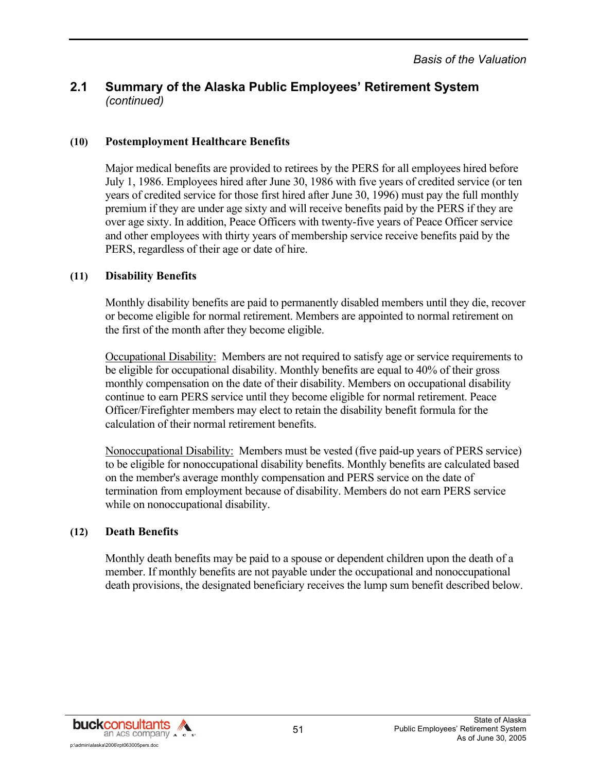#### **(10) Postemployment Healthcare Benefits**

Major medical benefits are provided to retirees by the PERS for all employees hired before July 1, 1986. Employees hired after June 30, 1986 with five years of credited service (or ten years of credited service for those first hired after June 30, 1996) must pay the full monthly premium if they are under age sixty and will receive benefits paid by the PERS if they are over age sixty. In addition, Peace Officers with twenty-five years of Peace Officer service and other employees with thirty years of membership service receive benefits paid by the PERS, regardless of their age or date of hire.

#### **(11) Disability Benefits**

Monthly disability benefits are paid to permanently disabled members until they die, recover or become eligible for normal retirement. Members are appointed to normal retirement on the first of the month after they become eligible.

Occupational Disability: Members are not required to satisfy age or service requirements to be eligible for occupational disability. Monthly benefits are equal to 40% of their gross monthly compensation on the date of their disability. Members on occupational disability continue to earn PERS service until they become eligible for normal retirement. Peace Officer/Firefighter members may elect to retain the disability benefit formula for the calculation of their normal retirement benefits.

Nonoccupational Disability: Members must be vested (five paid-up years of PERS service) to be eligible for nonoccupational disability benefits. Monthly benefits are calculated based on the member's average monthly compensation and PERS service on the date of termination from employment because of disability. Members do not earn PERS service while on nonoccupational disability.

#### **(12) Death Benefits**

Monthly death benefits may be paid to a spouse or dependent children upon the death of a member. If monthly benefits are not payable under the occupational and nonoccupational death provisions, the designated beneficiary receives the lump sum benefit described below.

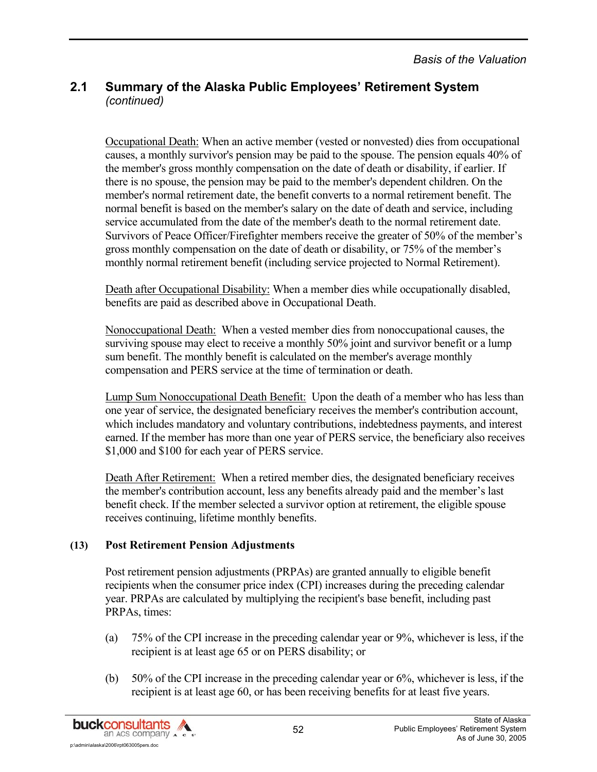Occupational Death: When an active member (vested or nonvested) dies from occupational causes, a monthly survivor's pension may be paid to the spouse. The pension equals 40% of the member's gross monthly compensation on the date of death or disability, if earlier. If there is no spouse, the pension may be paid to the member's dependent children. On the member's normal retirement date, the benefit converts to a normal retirement benefit. The normal benefit is based on the member's salary on the date of death and service, including service accumulated from the date of the member's death to the normal retirement date. Survivors of Peace Officer/Firefighter members receive the greater of 50% of the member's gross monthly compensation on the date of death or disability, or 75% of the member's monthly normal retirement benefit (including service projected to Normal Retirement).

Death after Occupational Disability: When a member dies while occupationally disabled, benefits are paid as described above in Occupational Death.

Nonoccupational Death: When a vested member dies from nonoccupational causes, the surviving spouse may elect to receive a monthly 50% joint and survivor benefit or a lump sum benefit. The monthly benefit is calculated on the member's average monthly compensation and PERS service at the time of termination or death.

Lump Sum Nonoccupational Death Benefit: Upon the death of a member who has less than one year of service, the designated beneficiary receives the member's contribution account, which includes mandatory and voluntary contributions, indebtedness payments, and interest earned. If the member has more than one year of PERS service, the beneficiary also receives \$1,000 and \$100 for each year of PERS service.

Death After Retirement: When a retired member dies, the designated beneficiary receives the member's contribution account, less any benefits already paid and the member's last benefit check. If the member selected a survivor option at retirement, the eligible spouse receives continuing, lifetime monthly benefits.

#### **(13) Post Retirement Pension Adjustments**

Post retirement pension adjustments (PRPAs) are granted annually to eligible benefit recipients when the consumer price index (CPI) increases during the preceding calendar year. PRPAs are calculated by multiplying the recipient's base benefit, including past PRPAs, times:

- (a) 75% of the CPI increase in the preceding calendar year or 9%, whichever is less, if the recipient is at least age 65 or on PERS disability; or
- (b) 50% of the CPI increase in the preceding calendar year or 6%, whichever is less, if the recipient is at least age 60, or has been receiving benefits for at least five years.

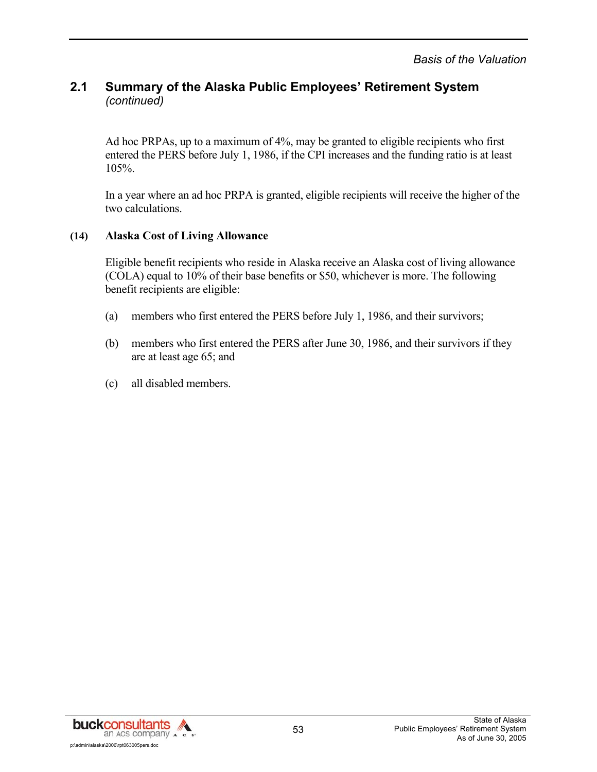Ad hoc PRPAs, up to a maximum of 4%, may be granted to eligible recipients who first entered the PERS before July 1, 1986, if the CPI increases and the funding ratio is at least 105%.

In a year where an ad hoc PRPA is granted, eligible recipients will receive the higher of the two calculations.

#### **(14) Alaska Cost of Living Allowance**

Eligible benefit recipients who reside in Alaska receive an Alaska cost of living allowance (COLA) equal to 10% of their base benefits or \$50, whichever is more. The following benefit recipients are eligible:

- (a) members who first entered the PERS before July 1, 1986, and their survivors;
- (b) members who first entered the PERS after June 30, 1986, and their survivors if they are at least age 65; and
- (c) all disabled members.

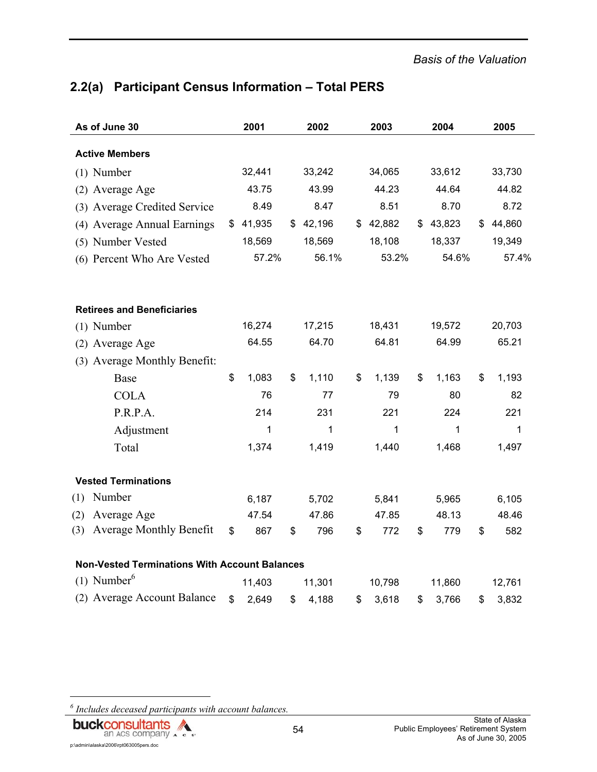# **2.2(a) Participant Census Information – Total PERS**

| As of June 30                                        | 2001         | 2002         | 2003        | 2004        | 2005         |
|------------------------------------------------------|--------------|--------------|-------------|-------------|--------------|
| <b>Active Members</b>                                |              |              |             |             |              |
| $(1)$ Number                                         | 32,441       | 33,242       | 34,065      | 33,612      | 33,730       |
| (2) Average Age                                      | 43.75        | 43.99        | 44.23       | 44.64       | 44.82        |
| (3) Average Credited Service                         | 8.49         | 8.47         | 8.51        | 8.70        | 8.72         |
| (4) Average Annual Earnings                          | \$<br>41,935 | \$<br>42,196 | \$42,882    | \$43,823    | \$<br>44,860 |
| (5) Number Vested                                    | 18,569       | 18,569       | 18,108      | 18,337      | 19,349       |
| (6) Percent Who Are Vested                           | 57.2%        | 56.1%        | 53.2%       | 54.6%       | 57.4%        |
|                                                      |              |              |             |             |              |
| <b>Retirees and Beneficiaries</b>                    |              |              |             |             |              |
| $(1)$ Number                                         | 16,274       | 17,215       | 18,431      | 19,572      | 20,703       |
| (2) Average Age                                      | 64.55        | 64.70        | 64.81       | 64.99       | 65.21        |
| (3) Average Monthly Benefit:                         |              |              |             |             |              |
| Base                                                 | \$<br>1,083  | \$<br>1,110  | \$<br>1,139 | \$<br>1,163 | \$<br>1,193  |
| <b>COLA</b>                                          | 76           | 77           | 79          | 80          | 82           |
| P.R.P.A.                                             | 214          | 231          | 221         | 224         | 221          |
| Adjustment                                           | 1            | 1            | 1           | 1           | 1            |
| Total                                                | 1,374        | 1,419        | 1,440       | 1,468       | 1,497        |
| <b>Vested Terminations</b>                           |              |              |             |             |              |
| Number<br>(1)                                        | 6,187        | 5,702        | 5,841       | 5,965       | 6,105        |
| Average Age<br>(2)                                   | 47.54        | 47.86        | 47.85       | 48.13       | 48.46        |
| <b>Average Monthly Benefit</b><br>(3)                | \$<br>867    | \$<br>796    | \$<br>772   | \$<br>779   | \$<br>582    |
| <b>Non-Vested Terminations With Account Balances</b> |              |              |             |             |              |
| $(1)$ Number <sup>6</sup>                            | 11,403       | 11,301       | 10,798      | 11,860      | 12,761       |
| (2) Average Account Balance                          | \$<br>2,649  | \$<br>4,188  | \$<br>3,618 | \$<br>3,766 | \$<br>3,832  |

*6 Includes deceased participants with account balances.* 

l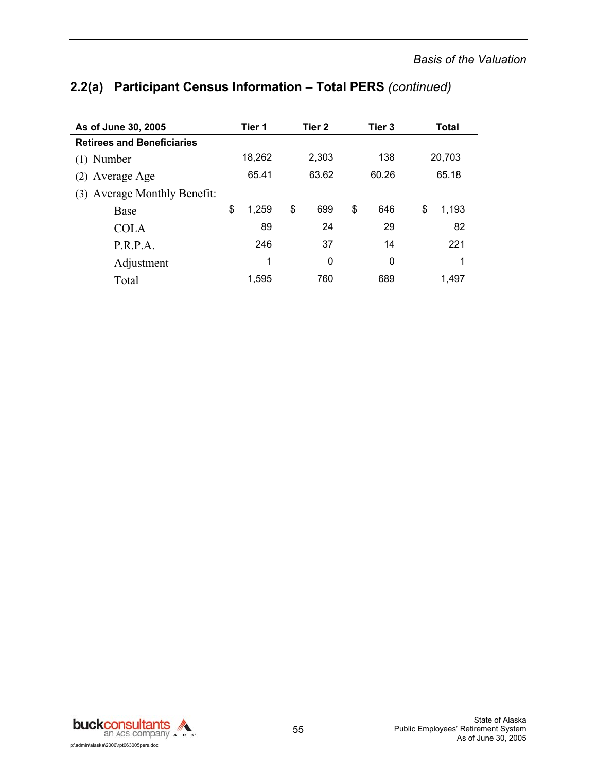# **2.2(a) Participant Census Information – Total PERS** *(continued)*

| As of June 30, 2005               |        | Tier 1 |       | Tier 2 |     | Tier 3 | Total |        |  |
|-----------------------------------|--------|--------|-------|--------|-----|--------|-------|--------|--|
| <b>Retirees and Beneficiaries</b> |        |        |       |        |     |        |       |        |  |
| $(1)$ Number                      | 18,262 |        | 2,303 |        | 138 |        |       | 20,703 |  |
| (2) Average Age                   |        | 65.41  |       | 63.62  |     | 60.26  |       | 65.18  |  |
| (3) Average Monthly Benefit:      |        |        |       |        |     |        |       |        |  |
| Base                              | \$     | 1,259  | \$    | 699    | \$  | 646    | \$    | 1.193  |  |
| <b>COLA</b>                       |        | 89     |       | 24     |     | 29     |       | 82     |  |
| P.R.P.A.                          |        | 246    |       | 37     |     | 14     |       | 221    |  |
| Adjustment                        |        | 1      |       | 0      |     | 0      |       | 1      |  |
| Total                             |        | 1.595  |       | 760    |     | 689    |       | 1.497  |  |

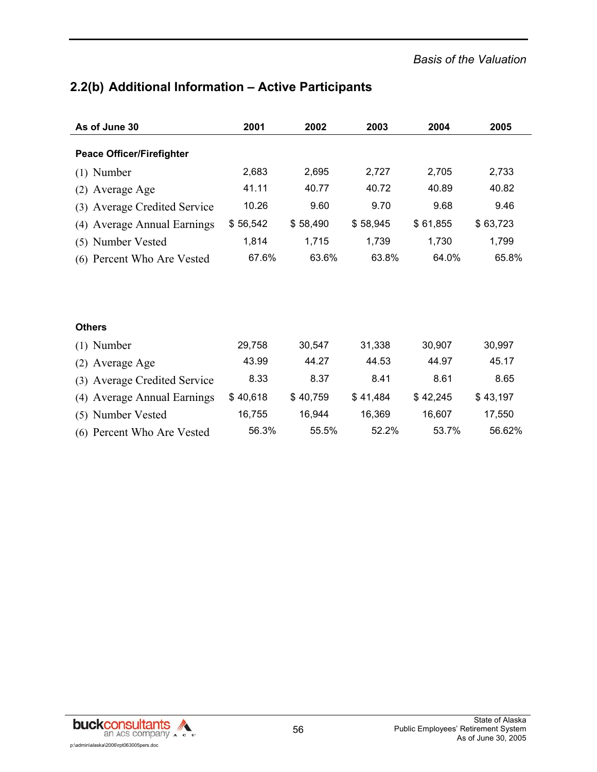-

# **2.2(b) Additional Information – Active Participants**

| As of June 30                    | 2001     | 2002     | 2003     | 2004     | 2005     |
|----------------------------------|----------|----------|----------|----------|----------|
| <b>Peace Officer/Firefighter</b> |          |          |          |          |          |
| $(1)$ Number                     | 2,683    | 2,695    | 2,727    | 2,705    | 2,733    |
| (2) Average Age                  | 41.11    | 40.77    | 40.72    | 40.89    | 40.82    |
| (3) Average Credited Service     | 10.26    | 9.60     | 9.70     | 9.68     | 9.46     |
| (4) Average Annual Earnings      | \$56,542 | \$58,490 | \$58,945 | \$61,855 | \$63,723 |
| (5) Number Vested                | 1,814    | 1,715    | 1,739    | 1,730    | 1,799    |
| (6) Percent Who Are Vested       | 67.6%    | 63.6%    | 63.8%    | 64.0%    | 65.8%    |
|                                  |          |          |          |          |          |
|                                  |          |          |          |          |          |
| <b>Others</b>                    |          |          |          |          |          |
| $(1)$ Number                     | 29,758   | 30,547   | 31,338   | 30,907   | 30,997   |
| (2) Average Age                  | 43.99    | 44.27    | 44.53    | 44.97    | 45.17    |
| (3) Average Credited Service     | 8.33     | 8.37     | 8.41     | 8.61     | 8.65     |
| (4) Average Annual Earnings      | \$40,618 | \$40,759 | \$41,484 | \$42,245 | \$43,197 |
| (5) Number Vested                | 16,755   | 16,944   | 16,369   | 16,607   | 17,550   |
| (6) Percent Who Are Vested       | 56.3%    | 55.5%    | 52.2%    | 53.7%    | 56.62%   |

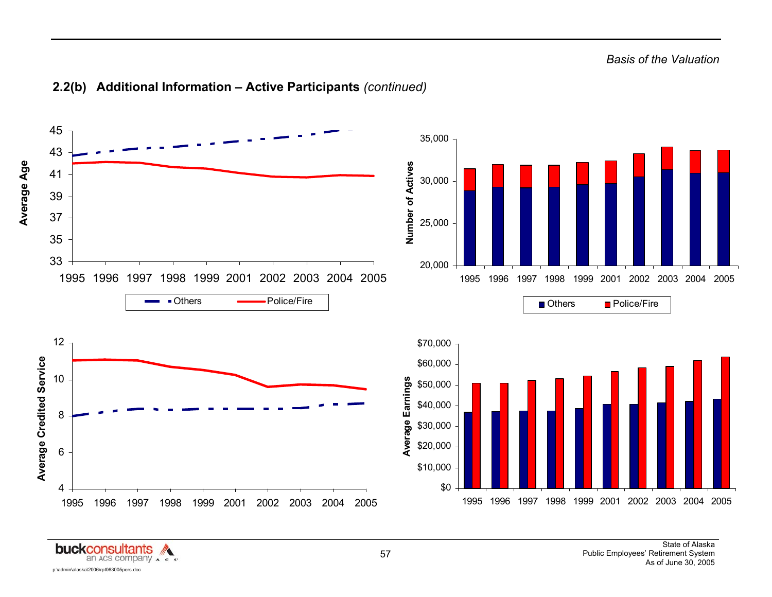

#### **2.2(b) Additional Information – Active Participants** *(continued)*

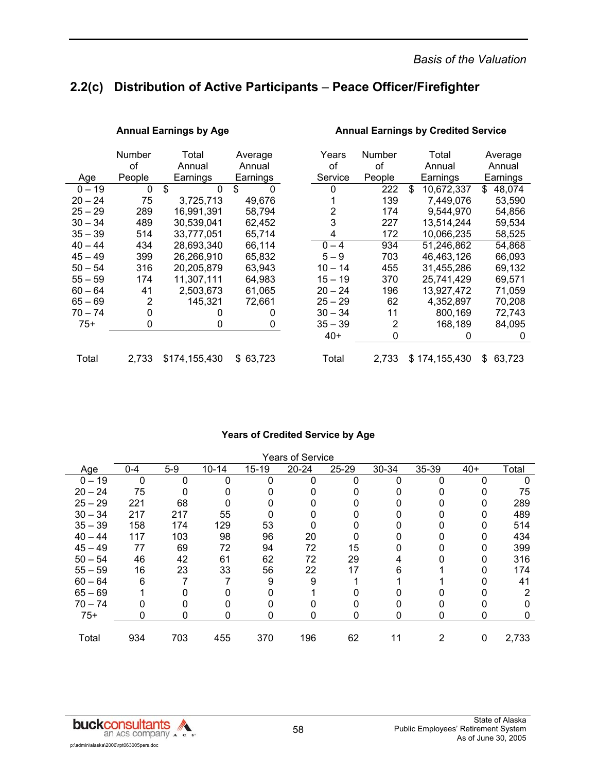## **2.2(c) Distribution of Active Participants** – **Peace Officer/Firefighter**

|           | <b>Number</b><br>of | Total<br>Annual    | Average<br>Annual | Years<br>οf | <b>Number</b><br>οf | Total<br>Annual  | Average<br>Annual |
|-----------|---------------------|--------------------|-------------------|-------------|---------------------|------------------|-------------------|
| Age       | People              | Earnings           | Earnings          | Service     | People              | Earnings         | Earnings          |
| $0 - 19$  | 0                   | \$<br>$\mathbf{0}$ | \$<br>0           | 0           | 222                 | \$<br>10,672,337 | \$<br>48,074      |
| $20 - 24$ | 75                  | 3,725,713          | 49,676            |             | 139                 | 7,449,076        | 53,590            |
| $25 - 29$ | 289                 | 16,991,391         | 58,794            | 2           | 174                 | 9,544,970        | 54,856            |
| $30 - 34$ | 489                 | 30,539,041         | 62,452            | 3           | 227                 | 13,514,244       | 59,534            |
| $35 - 39$ | 514                 | 33.777.051         | 65,714            | 4           | 172                 | 10,066,235       | 58,525            |
| $40 - 44$ | 434                 | 28.693.340         | 66,114            | $0 - 4$     | 934                 | 51,246,862       | 54,868            |
| $45 - 49$ | 399                 | 26,266,910         | 65,832            | $5 - 9$     | 703                 | 46,463,126       | 66,093            |
| $50 - 54$ | 316                 | 20,205,879         | 63,943            | $10 - 14$   | 455                 | 31,455,286       | 69,132            |
| $55 - 59$ | 174                 | 11,307,111         | 64,983            | $15 - 19$   | 370                 | 25,741,429       | 69,571            |
| $60 - 64$ | 41                  | 2,503,673          | 61,065            | $20 - 24$   | 196                 | 13,927,472       | 71,059            |
| $65 - 69$ | 2                   | 145,321            | 72.661            | $25 - 29$   | 62                  | 4,352,897        | 70,208            |
| $70 - 74$ | 0                   | 0                  | 0                 | $30 - 34$   | 11                  | 800,169          | 72,743            |
| $75+$     | 0                   | 0                  | 0                 | $35 - 39$   | 2                   | 168,189          | 84,095            |
|           |                     |                    |                   | $40+$       | 0                   | 0                | 0                 |
| Total     | 2,733               | \$174,155,430      | 63,723<br>\$.     | Total       | 2,733               | \$174,155,430    | \$<br>63,723      |

#### Annual Earnings by Age **Annual Earnings by Credited Service**

#### **Years of Credited Service by Age**

| <b>Years of Service</b> |         |       |           |           |           |       |       |       |       |       |  |
|-------------------------|---------|-------|-----------|-----------|-----------|-------|-------|-------|-------|-------|--|
| Age                     | $0 - 4$ | $5-9$ | $10 - 14$ | $15 - 19$ | $20 - 24$ | 25-29 | 30-34 | 35-39 | $40+$ | Total |  |
| $0 - 19$                | 0       | ი     | ი         | 0         | O         | 0     | 0     |       |       |       |  |
| $20 - 24$               | 75      |       |           |           |           |       |       |       |       | 75    |  |
| $25 - 29$               | 221     | 68    |           |           |           |       |       |       | 0     | 289   |  |
| $30 - 34$               | 217     | 217   | 55        |           |           |       |       |       | 0     | 489   |  |
| $35 - 39$               | 158     | 174   | 129       | 53        |           |       |       |       |       | 514   |  |
| $40 - 44$               | 117     | 103   | 98        | 96        | 20        |       |       |       |       | 434   |  |
| $45 - 49$               | 77      | 69    | 72        | 94        | 72        | 15    |       |       |       | 399   |  |
| $50 - 54$               | 46      | 42    | 61        | 62        | 72        | 29    |       |       |       | 316   |  |
| $55 - 59$               | 16      | 23    | 33        | 56        | 22        | 17    | 6     |       |       | 174   |  |
| $60 - 64$               | 6       |       |           | 9         | 9         |       |       |       |       | 41    |  |
| $65 - 69$               |         |       |           |           |           |       |       |       |       | 2     |  |
| $70 - 74$               |         |       |           |           |           |       |       |       |       |       |  |
| $75+$                   | 0       | 0     | 0         | 0         | 0         | 0     | 0     | 0     | 0     | 0     |  |
|                         |         |       |           |           |           |       |       |       |       |       |  |
| Total                   | 934     | 703   | 455       | 370       | 196       | 62    | 11    | 2     | 0     | 2,733 |  |

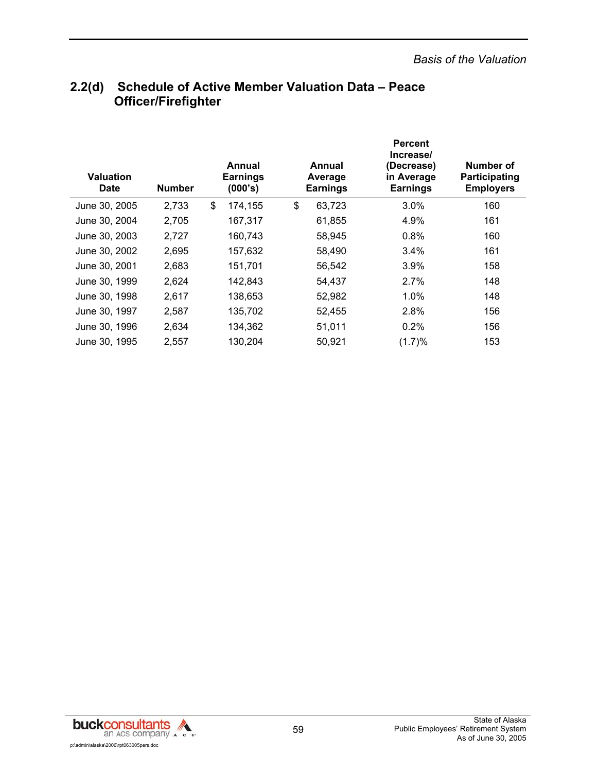| <b>Valuation</b><br><b>Date</b> | <b>Number</b> | Annual<br><b>Earnings</b><br>(000's) |    | Annual<br>Average<br><b>Earnings</b> | <b>Percent</b><br>Increase/<br>(Decrease)<br>in Average<br><b>Earnings</b> | Number of<br>Participating<br><b>Employers</b> |
|---------------------------------|---------------|--------------------------------------|----|--------------------------------------|----------------------------------------------------------------------------|------------------------------------------------|
| June 30, 2005                   | 2,733         | \$<br>174,155                        | \$ | 63,723                               | $3.0\%$                                                                    | 160                                            |
| June 30, 2004                   | 2,705         | 167,317                              |    | 61,855                               | 4.9%                                                                       | 161                                            |
| June 30, 2003                   | 2,727         | 160,743                              |    | 58,945                               | 0.8%                                                                       | 160                                            |
| June 30, 2002                   | 2,695         | 157,632                              |    | 58,490                               | 3.4%                                                                       | 161                                            |
| June 30, 2001                   | 2,683         | 151,701                              |    | 56,542                               | 3.9%                                                                       | 158                                            |
| June 30, 1999                   | 2,624         | 142,843                              |    | 54,437                               | 2.7%                                                                       | 148                                            |
| June 30, 1998                   | 2,617         | 138,653                              |    | 52,982                               | $1.0\%$                                                                    | 148                                            |
| June 30, 1997                   | 2,587         | 135,702                              |    | 52,455                               | 2.8%                                                                       | 156                                            |
| June 30, 1996                   | 2,634         | 134,362                              |    | 51,011                               | 0.2%                                                                       | 156                                            |
| June 30, 1995                   | 2,557         | 130,204                              |    | 50,921                               | (1.7)%                                                                     | 153                                            |

## **2.2(d) Schedule of Active Member Valuation Data – Peace Officer/Firefighter**

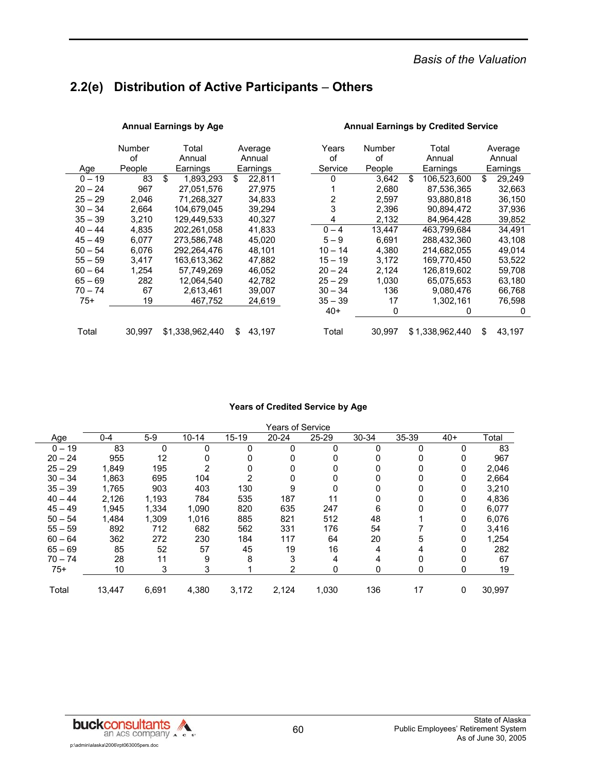## **2.2(e) Distribution of Active Participants** – **Others**

|           | Number | Total           | Average       | Years     | Number | Total             | Average      |
|-----------|--------|-----------------|---------------|-----------|--------|-------------------|--------------|
|           | οf     | Annual          | Annual        | οf        | of     | Annual            | Annual       |
| Age       | People | Earnings        | Earnings      | Service   | People | Earnings          | Earnings     |
| $0 - 19$  | 83     | \$<br>1,893,293 | \$<br>22,811  | 0         | 3,642  | \$<br>106,523,600 | \$<br>29,249 |
| $20 - 24$ | 967    | 27,051,576      | 27.975        |           | 2,680  | 87,536,365        | 32,663       |
| $25 - 29$ | 2.046  | 71.268.327      | 34.833        | 2         | 2.597  | 93.880.818        | 36,150       |
| $30 - 34$ | 2,664  | 104,679,045     | 39,294        | 3         | 2,396  | 90.894.472        | 37,936       |
| $35 - 39$ | 3.210  | 129.449.533     | 40,327        | 4         | 2,132  | 84,964,428        | 39,852       |
| $40 - 44$ | 4.835  | 202.261.058     | 41.833        | $0 - 4$   | 13.447 | 463.799.684       | 34.491       |
| $45 - 49$ | 6,077  | 273,586,748     | 45,020        | $5 - 9$   | 6,691  | 288,432,360       | 43,108       |
| $50 - 54$ | 6,076  | 292,264,476     | 48,101        | $10 - 14$ | 4,380  | 214,682,055       | 49,014       |
| $55 - 59$ | 3.417  | 163,613,362     | 47.882        | $15 - 19$ | 3.172  | 169.770.450       | 53,522       |
| $60 - 64$ | 1,254  | 57,749,269      | 46,052        | $20 - 24$ | 2,124  | 126,819,602       | 59,708       |
| $65 - 69$ | 282    | 12,064,540      | 42.782        | $25 - 29$ | 1.030  | 65.075.653        | 63,180       |
| $70 - 74$ | 67     | 2,613,461       | 39,007        | $30 - 34$ | 136    | 9,080,476         | 66,768       |
| $75+$     | 19     | 467,752         | 24,619        | $35 - 39$ | 17     | 1,302,161         | 76,598       |
|           |        |                 |               | $40+$     | 0      | $\Omega$          | 0            |
| Total     | 30.997 | \$1,338,962,440 | 43,197<br>\$. | Total     | 30,997 | \$1,338,962,440   | \$<br>43,197 |

#### **Annual Earnings by Age Annual Earnings by Credited Service**

#### **Years of Credited Service by Age**

|           | <b>Years of Service</b> |       |           |           |           |       |       |       |       |        |  |
|-----------|-------------------------|-------|-----------|-----------|-----------|-------|-------|-------|-------|--------|--|
| Age       | $0 - 4$                 | $5-9$ | $10 - 14$ | $15 - 19$ | $20 - 24$ | 25-29 | 30-34 | 35-39 | $40+$ | Total  |  |
| $0 - 19$  | 83                      | 0     | 0         | $\Omega$  | 0         | 0     | 0     | 0     | 0     | 83     |  |
| $20 - 24$ | 955                     | 12    | 0         |           | 0         | 0     | 0     | 0     | 0     | 967    |  |
| $25 - 29$ | 1,849                   | 195   | 2         | 0         | 0         | 0     | 0     | 0     | 0     | 2,046  |  |
| $30 - 34$ | 1,863                   | 695   | 104       |           | 0         |       | 0     | 0     | 0     | 2,664  |  |
| $35 - 39$ | 1.765                   | 903   | 403       | 130       | 9         |       | 0     | 0     | 0     | 3,210  |  |
| $40 - 44$ | 2,126                   | 1,193 | 784       | 535       | 187       | 11    | 0     | 0     | 0     | 4,836  |  |
| $45 - 49$ | 1,945                   | 1,334 | 1,090     | 820       | 635       | 247   | 6     | 0     | 0     | 6,077  |  |
| $50 - 54$ | 1,484                   | 1,309 | 1,016     | 885       | 821       | 512   | 48    |       | 0     | 6,076  |  |
| $55 - 59$ | 892                     | 712   | 682       | 562       | 331       | 176   | 54    |       | 0     | 3,416  |  |
| $60 - 64$ | 362                     | 272   | 230       | 184       | 117       | 64    | 20    | 5     | 0     | 1,254  |  |
| $65 - 69$ | 85                      | 52    | 57        | 45        | 19        | 16    | 4     | 4     | 0     | 282    |  |
| $70 - 74$ | 28                      | 11    | 9         | 8         | 3         | 4     | 4     | 0     | 0     | 67     |  |
| $75+$     | 10                      | 3     | 3         |           | 2         | 0     | 0     | 0     | 0     | 19     |  |
| Total     | 13,447                  | 6,691 | 4,380     | 3,172     | 2,124     | 1,030 | 136   | 17    | 0     | 30,997 |  |

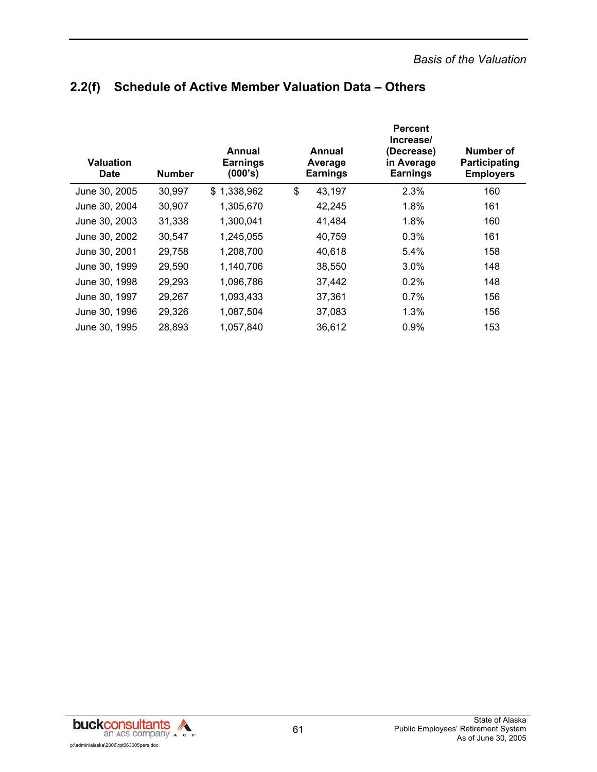## **2.2(f) Schedule of Active Member Valuation Data – Others**

| Valuation<br><b>Date</b> | <b>Number</b> | Annual<br><b>Earnings</b><br>(000's) | Annual<br>Average<br><b>Earnings</b> | <b>Percent</b><br>Increase/<br>(Decrease)<br>in Average<br><b>Earnings</b> | Number of<br>Participating<br><b>Employers</b> |
|--------------------------|---------------|--------------------------------------|--------------------------------------|----------------------------------------------------------------------------|------------------------------------------------|
| June 30, 2005            | 30,997        | \$1,338,962                          | \$<br>43,197                         | 2.3%                                                                       | 160                                            |
| June 30, 2004            | 30,907        | 1,305,670                            | 42,245                               | 1.8%                                                                       | 161                                            |
| June 30, 2003            | 31,338        | 1,300,041                            | 41,484                               | 1.8%                                                                       | 160                                            |
| June 30, 2002            | 30,547        | 1,245,055                            | 40,759                               | 0.3%                                                                       | 161                                            |
| June 30, 2001            | 29,758        | 1,208,700                            | 40,618                               | 5.4%                                                                       | 158                                            |
| June 30, 1999            | 29,590        | 1,140,706                            | 38,550                               | 3.0%                                                                       | 148                                            |
| June 30, 1998            | 29,293        | 1,096,786                            | 37,442                               | 0.2%                                                                       | 148                                            |
| June 30, 1997            | 29,267        | 1,093,433                            | 37,361                               | 0.7%                                                                       | 156                                            |
| June 30, 1996            | 29,326        | 1,087,504                            | 37,083                               | 1.3%                                                                       | 156                                            |
| June 30, 1995            | 28,893        | 1,057,840                            | 36,612                               | 0.9%                                                                       | 153                                            |

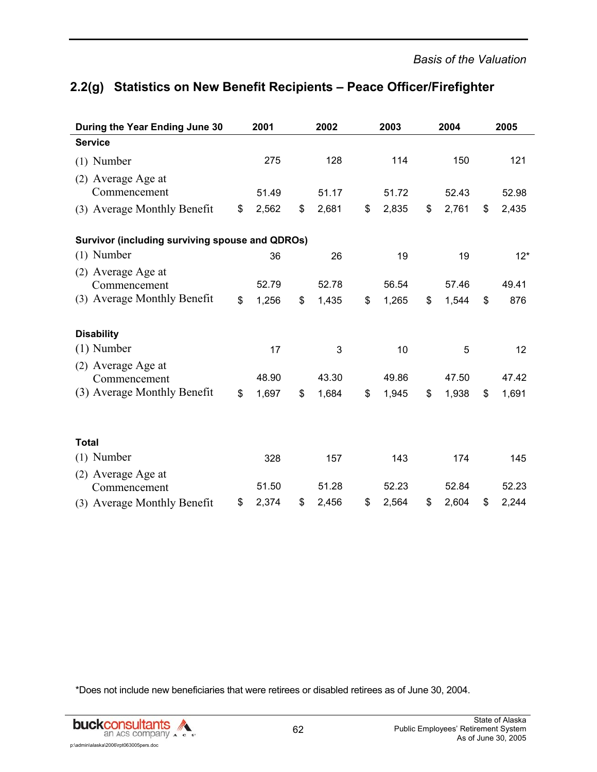# **2.2(g) Statistics on New Benefit Recipients – Peace Officer/Firefighter**

| During the Year Ending June 30                  | 2001        | 2002        | 2003        | 2004        | 2005        |
|-------------------------------------------------|-------------|-------------|-------------|-------------|-------------|
| <b>Service</b>                                  |             |             |             |             |             |
| $(1)$ Number                                    | 275         | 128         | 114         | 150         | 121         |
| (2) Average Age at<br>Commencement              | 51.49       | 51.17       | 51.72       | 52.43       | 52.98       |
| (3) Average Monthly Benefit                     | \$<br>2,562 | \$<br>2,681 | \$<br>2,835 | \$<br>2,761 | \$<br>2,435 |
| Survivor (including surviving spouse and QDROs) |             |             |             |             |             |
| $(1)$ Number                                    | 36          | 26          | 19          | 19          | $12*$       |
| (2) Average Age at<br>Commencement              | 52.79       | 52.78       | 56.54       | 57.46       | 49.41       |
| (3) Average Monthly Benefit                     | \$<br>1,256 | \$<br>1,435 | \$<br>1,265 | \$<br>1,544 | \$<br>876   |
| <b>Disability</b>                               |             |             |             |             |             |
| $(1)$ Number                                    | 17          | 3           | 10          | 5           | 12          |
| (2) Average Age at<br>Commencement              | 48.90       | 43.30       | 49.86       | 47.50       | 47.42       |
| (3) Average Monthly Benefit                     | \$<br>1,697 | \$<br>1,684 | \$<br>1,945 | \$<br>1,938 | \$<br>1,691 |
|                                                 |             |             |             |             |             |
| <b>Total</b>                                    |             |             |             |             |             |
| $(1)$ Number                                    | 328         | 157         | 143         | 174         | 145         |
| (2) Average Age at<br>Commencement              | 51.50       | 51.28       | 52.23       | 52.84       | 52.23       |
| (3) Average Monthly Benefit                     | \$<br>2,374 | \$<br>2,456 | \$<br>2,564 | \$<br>2,604 | \$<br>2,244 |

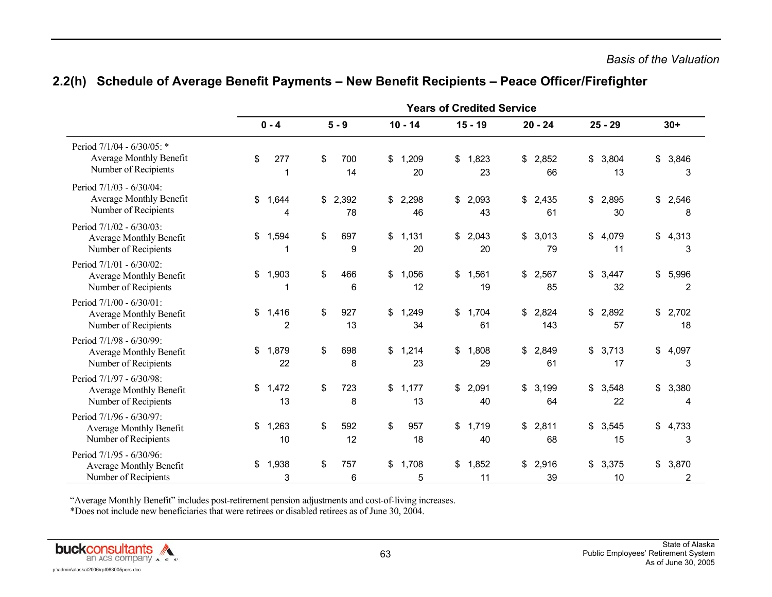|                                                                                    | <b>Years of Credited Service</b> |                         |    |             |    |             |    |             |    |              |                   |                   |
|------------------------------------------------------------------------------------|----------------------------------|-------------------------|----|-------------|----|-------------|----|-------------|----|--------------|-------------------|-------------------|
|                                                                                    |                                  | $0 - 4$                 |    | $5 - 9$     |    | $10 - 14$   |    | $15 - 19$   |    | $20 - 24$    | $25 - 29$         | $30+$             |
| Period 7/1/04 - 6/30/05: *<br>Average Monthly Benefit<br>Number of Recipients      | \$                               | 277<br>1                | \$ | 700<br>14   | \$ | 1,209<br>20 | \$ | 1,823<br>23 | \$ | 2,852<br>66  | \$<br>3,804<br>13 | \$<br>3,846<br>3  |
| Period 7/1/03 - 6/30/04:<br>Average Monthly Benefit<br>Number of Recipients        | \$                               | 1,644<br>4              | \$ | 2,392<br>78 | \$ | 2,298<br>46 | \$ | 2,093<br>43 | \$ | 2,435<br>61  | \$<br>2,895<br>30 | \$<br>2,546<br>8  |
| Period 7/1/02 - 6/30/03:<br>Average Monthly Benefit<br>Number of Recipients        | \$                               | 1,594                   | \$ | 697<br>9    | \$ | 1,131<br>20 | \$ | 2,043<br>20 | \$ | 3,013<br>79  | \$<br>4,079<br>11 | \$<br>4,313<br>3  |
| Period 7/1/01 - 6/30/02:<br>Average Monthly Benefit<br>Number of Recipients        | \$                               | 1,903<br>1              | \$ | 466<br>6    | \$ | 1,056<br>12 | \$ | 1,561<br>19 | \$ | 2,567<br>85  | \$<br>3,447<br>32 | \$<br>5,996<br>2  |
| Period 7/1/00 - 6/30/01:<br>Average Monthly Benefit<br>Number of Recipients        | \$                               | 1,416<br>$\overline{2}$ | \$ | 927<br>13   | \$ | 1,249<br>34 | \$ | 1,704<br>61 | \$ | 2,824<br>143 | \$<br>2,892<br>57 | \$<br>2,702<br>18 |
| Period 7/1/98 - 6/30/99:<br>Average Monthly Benefit<br>Number of Recipients        | \$                               | 1,879<br>22             | \$ | 698<br>8    | \$ | 1,214<br>23 | \$ | 1,808<br>29 | \$ | 2,849<br>61  | \$<br>3,713<br>17 | \$<br>4,097<br>3  |
| Period 7/1/97 - 6/30/98:<br>Average Monthly Benefit<br>Number of Recipients        | \$                               | 1,472<br>13             | \$ | 723<br>8    | \$ | 1,177<br>13 | \$ | 2,091<br>40 | \$ | 3,199<br>64  | \$<br>3,548<br>22 | \$<br>3,380<br>4  |
| Period 7/1/96 - 6/30/97:<br><b>Average Monthly Benefit</b><br>Number of Recipients | \$                               | 1,263<br>10             | \$ | 592<br>12   | \$ | 957<br>18   | \$ | 1,719<br>40 | \$ | 2,811<br>68  | \$<br>3,545<br>15 | \$<br>4,733<br>3  |
| Period 7/1/95 - 6/30/96:<br><b>Average Monthly Benefit</b><br>Number of Recipients | \$                               | 1,938<br>3              | \$ | 757<br>6    | \$ | 1,708<br>5  | \$ | 1,852<br>11 | \$ | 2,916<br>39  | \$<br>3,375<br>10 | \$<br>3,870<br>2  |

#### **2.2(h) Schedule of Average Benefit Payments – New Benefit Recipients – Peace Officer/Firefighter**

"Average Monthly Benefit" includes post-retirement pension adjustments and cost-of-living increases.

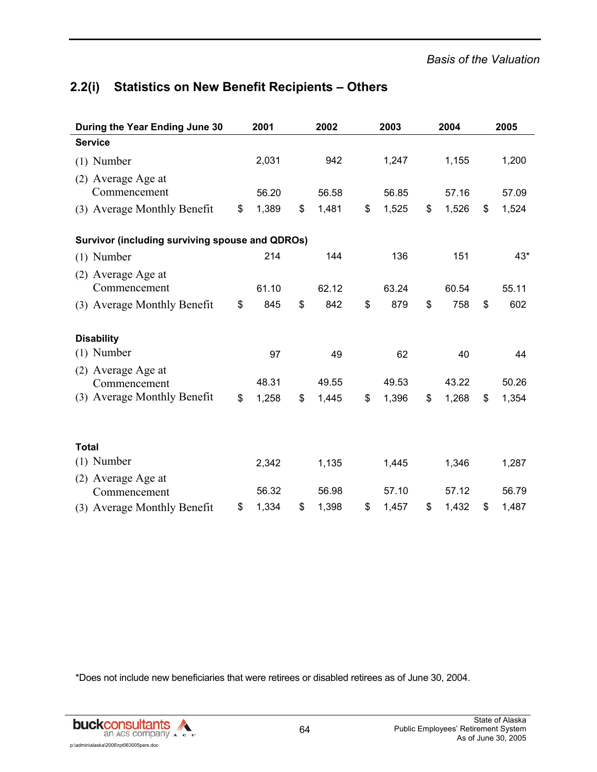## **2.2(i) Statistics on New Benefit Recipients – Others**

| During the Year Ending June 30                         | 2001        | 2002        | 2003        | 2004        | 2005        |
|--------------------------------------------------------|-------------|-------------|-------------|-------------|-------------|
| <b>Service</b>                                         |             |             |             |             |             |
| $(1)$ Number                                           | 2,031       | 942         | 1,247       | 1,155       | 1,200       |
| (2) Average Age at<br>Commencement                     | 56.20       | 56.58       | 56.85       | 57.16       | 57.09       |
| (3) Average Monthly Benefit                            | \$<br>1,389 | \$<br>1,481 | \$<br>1,525 | \$<br>1,526 | \$<br>1,524 |
| <b>Survivor (including surviving spouse and QDROs)</b> |             |             |             |             |             |
| $(1)$ Number                                           | 214         | 144         | 136         | 151         | 43*         |
| (2) Average Age at<br>Commencement                     | 61.10       | 62.12       | 63.24       | 60.54       | 55.11       |
| (3) Average Monthly Benefit                            | \$<br>845   | \$<br>842   | \$<br>879   | \$<br>758   | \$<br>602   |
| <b>Disability</b>                                      |             |             |             |             |             |
| $(1)$ Number                                           | 97          | 49          | 62          | 40          | 44          |
| (2) Average Age at<br>Commencement                     | 48.31       | 49.55       | 49.53       | 43.22       | 50.26       |
| (3) Average Monthly Benefit                            | \$<br>1,258 | \$<br>1,445 | \$<br>1,396 | \$<br>1,268 | \$<br>1,354 |
|                                                        |             |             |             |             |             |
| <b>Total</b>                                           |             |             |             |             |             |
| $(1)$ Number                                           | 2,342       | 1,135       | 1,445       | 1,346       | 1,287       |
| (2) Average Age at<br>Commencement                     | 56.32       | 56.98       | 57.10       | 57.12       | 56.79       |
| (3) Average Monthly Benefit                            | \$<br>1,334 | \$<br>1,398 | \$<br>1,457 | \$<br>1,432 | \$<br>1,487 |

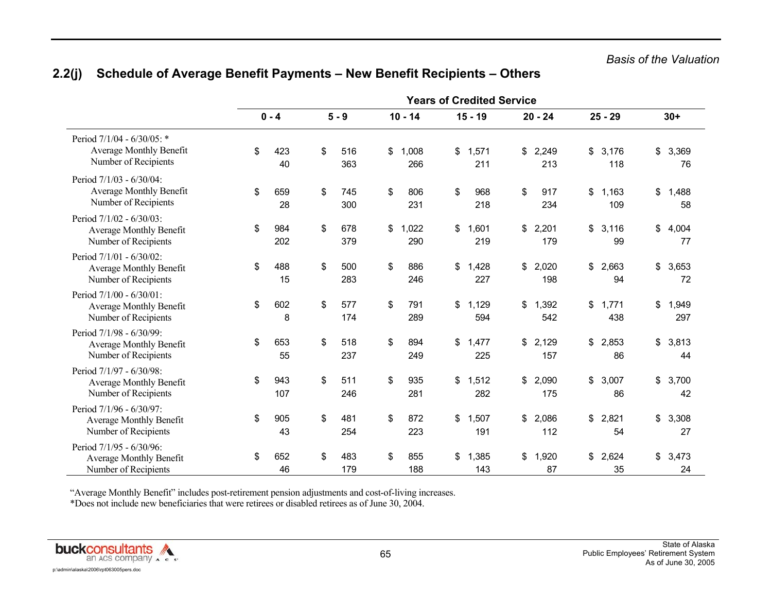|                                                                                    | <b>Years of Credited Service</b> |            |    |            |    |              |    |              |    |              |                    |                    |
|------------------------------------------------------------------------------------|----------------------------------|------------|----|------------|----|--------------|----|--------------|----|--------------|--------------------|--------------------|
|                                                                                    |                                  | $0 - 4$    |    | $5 - 9$    |    | $10 - 14$    |    | $15 - 19$    |    | $20 - 24$    | $25 - 29$          | $30+$              |
| Period 7/1/04 - 6/30/05: *<br>Average Monthly Benefit<br>Number of Recipients      | \$                               | 423<br>40  | \$ | 516<br>363 | \$ | 1,008<br>266 | \$ | 1,571<br>211 | \$ | 2,249<br>213 | \$<br>3,176<br>118 | \$<br>3,369<br>76  |
| Period 7/1/03 - 6/30/04:<br>Average Monthly Benefit<br>Number of Recipients        | \$                               | 659<br>28  | \$ | 745<br>300 | \$ | 806<br>231   | \$ | 968<br>218   | \$ | 917<br>234   | \$<br>1,163<br>109 | \$<br>1,488<br>58  |
| Period 7/1/02 - 6/30/03:<br><b>Average Monthly Benefit</b><br>Number of Recipients | \$                               | 984<br>202 | \$ | 678<br>379 | \$ | 1,022<br>290 | \$ | 1,601<br>219 | \$ | 2,201<br>179 | \$<br>3,116<br>99  | \$<br>4,004<br>77  |
| Period 7/1/01 - 6/30/02:<br>Average Monthly Benefit<br>Number of Recipients        | \$                               | 488<br>15  | \$ | 500<br>283 | \$ | 886<br>246   | \$ | 1,428<br>227 | \$ | 2,020<br>198 | \$<br>2,663<br>94  | \$<br>3,653<br>72  |
| Period 7/1/00 - 6/30/01:<br>Average Monthly Benefit<br>Number of Recipients        | \$                               | 602<br>8   | \$ | 577<br>174 | \$ | 791<br>289   | \$ | 1,129<br>594 | \$ | 1,392<br>542 | \$<br>1,771<br>438 | \$<br>1,949<br>297 |
| Period 7/1/98 - 6/30/99:<br><b>Average Monthly Benefit</b><br>Number of Recipients | $\sqrt[6]{3}$                    | 653<br>55  | \$ | 518<br>237 | \$ | 894<br>249   | \$ | 1,477<br>225 | \$ | 2,129<br>157 | \$<br>2,853<br>86  | \$<br>3,813<br>44  |
| Period 7/1/97 - 6/30/98:<br>Average Monthly Benefit<br>Number of Recipients        | \$                               | 943<br>107 | \$ | 511<br>246 | \$ | 935<br>281   | \$ | 1,512<br>282 | \$ | 2,090<br>175 | \$<br>3,007<br>86  | \$<br>3,700<br>42  |
| Period 7/1/96 - 6/30/97:<br>Average Monthly Benefit<br>Number of Recipients        | \$                               | 905<br>43  | \$ | 481<br>254 | \$ | 872<br>223   | \$ | 1,507<br>191 | \$ | 2,086<br>112 | \$<br>2,821<br>54  | \$<br>3,308<br>27  |
| Period 7/1/95 - 6/30/96:<br>Average Monthly Benefit<br>Number of Recipients        | \$                               | 652<br>46  | \$ | 483<br>179 | \$ | 855<br>188   | \$ | 1,385<br>143 | \$ | 1,920<br>87  | \$<br>2,624<br>35  | \$<br>3,473<br>24  |

# **2.2(j) Schedule of Average Benefit Payments – New Benefit Recipients – Others**

"Average Monthly Benefit" includes post-retirement pension adjustments and cost-of-living increases.

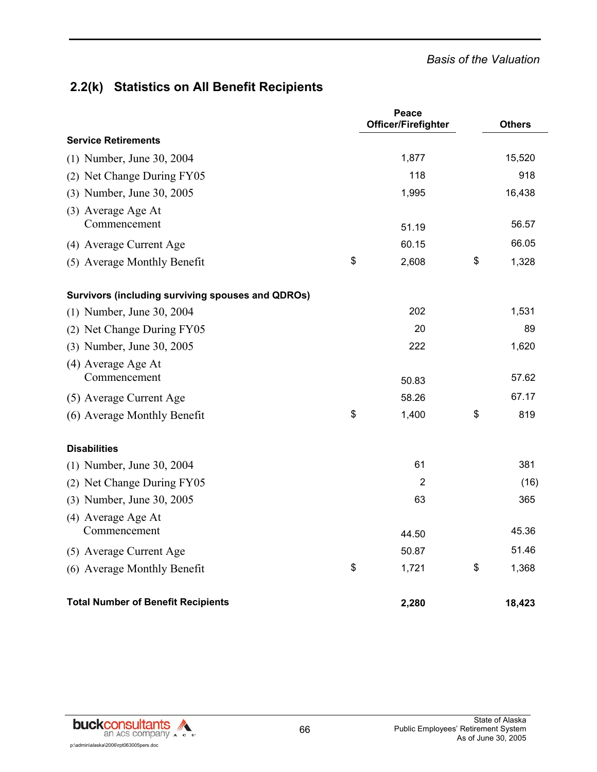#### *Basis of the Valuation*

## **2.2(k) Statistics on All Benefit Recipients**

|                                                   | Peace<br>Officer/Firefighter | <b>Others</b> |
|---------------------------------------------------|------------------------------|---------------|
| <b>Service Retirements</b>                        |                              |               |
| (1) Number, June 30, 2004                         | 1,877                        | 15,520        |
| (2) Net Change During FY05                        | 118                          | 918           |
| (3) Number, June 30, 2005                         | 1,995                        | 16,438        |
| (3) Average Age At<br>Commencement                | 51.19                        | 56.57         |
| (4) Average Current Age                           | 60.15                        | 66.05         |
| (5) Average Monthly Benefit                       | \$<br>2,608                  | \$<br>1,328   |
| Survivors (including surviving spouses and QDROs) |                              |               |
| (1) Number, June 30, 2004                         | 202                          | 1,531         |
| (2) Net Change During FY05                        | 20                           | 89            |
| (3) Number, June 30, 2005                         | 222                          | 1,620         |
| (4) Average Age At                                |                              |               |
| Commencement                                      | 50.83                        | 57.62         |
| (5) Average Current Age                           | 58.26                        | 67.17         |
| (6) Average Monthly Benefit                       | \$<br>1,400                  | \$<br>819     |
| <b>Disabilities</b>                               |                              |               |
| (1) Number, June 30, 2004                         | 61                           | 381           |
| (2) Net Change During FY05                        | $\overline{2}$               | (16)          |
| (3) Number, June 30, 2005                         | 63                           | 365           |
| (4) Average Age At                                |                              |               |
| Commencement                                      | 44.50                        | 45.36         |
| (5) Average Current Age                           | 50.87                        | 51.46         |
| (6) Average Monthly Benefit                       | \$<br>1,721                  | \$<br>1,368   |
| <b>Total Number of Benefit Recipients</b>         | 2,280                        | 18,423        |

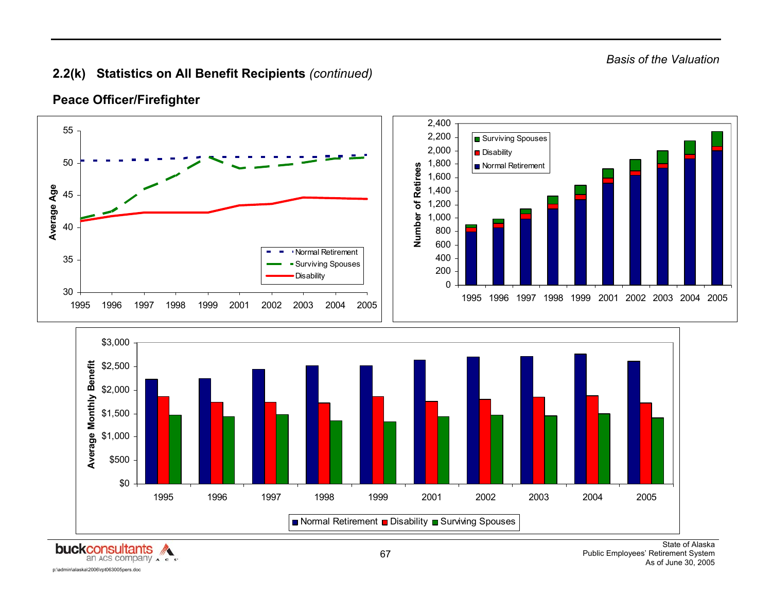## **2.2(k) Statistics on All Benefit Recipients** *(continued)*



#### **Peace Officer/Firefighter**

**buckconsultants** p:\admin\alaska\2006\rpt063005pers.doc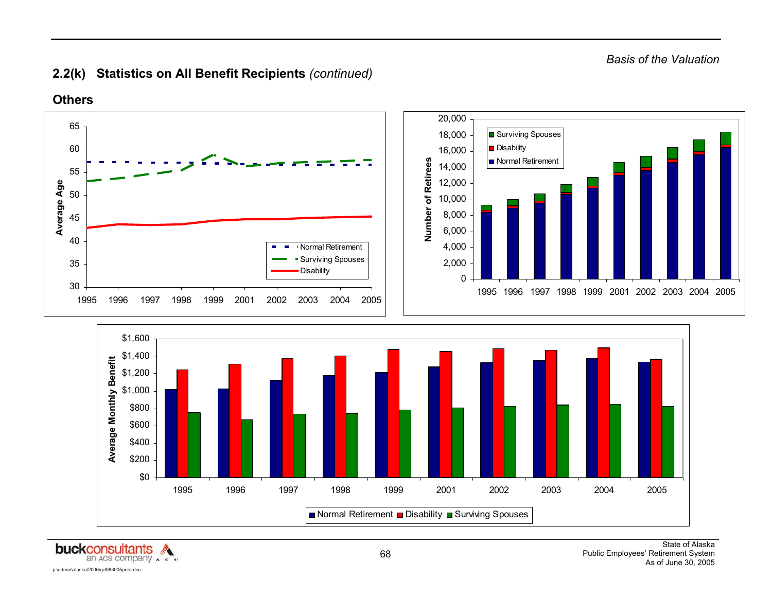*Basis of the Valuation* 

## **2.2(k) Statistics on All Benefit Recipients** *(continued)*



Normal Retirement **□** Disability ■ Surviving Spouses

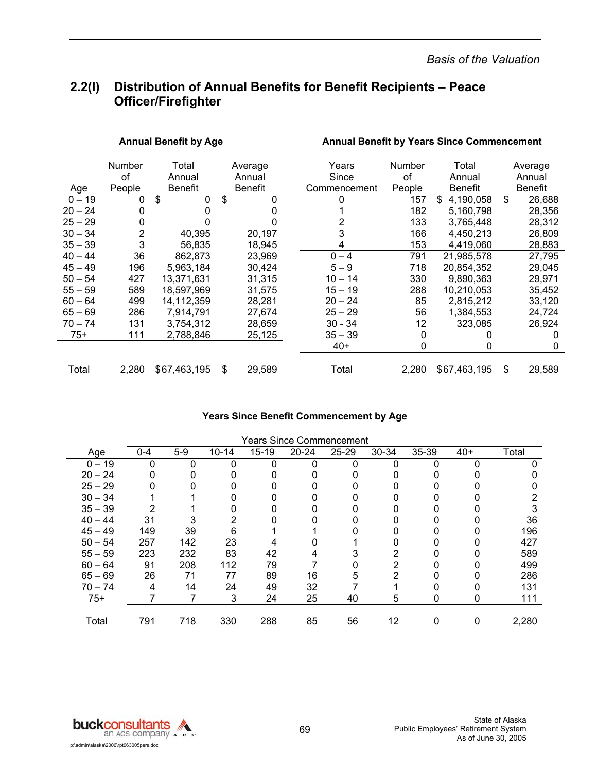*Basis of the Valuation* 

## **2.2(l) Distribution of Annual Benefits for Benefit Recipients – Peace Officer/Firefighter**

|           | <b>Number</b> | Total               |    | Average        |  | Years        | Number | Total           |    | Average        |
|-----------|---------------|---------------------|----|----------------|--|--------------|--------|-----------------|----|----------------|
|           | οf            | Annual              |    | Annual         |  | Since        | οf     | Annual          |    | Annual         |
| Age       | People        | <b>Benefit</b>      |    | <b>Benefit</b> |  | Commencement | People | <b>Benefit</b>  |    | <b>Benefit</b> |
| $0 - 19$  | 0             | $\mathfrak{S}$<br>0 | \$ | 0              |  | 0            | 157    | \$<br>4,190,058 | \$ | 26,688         |
| $20 - 24$ | 0             | 0                   |    |                |  |              | 182    | 5,160,798       |    | 28,356         |
| $25 - 29$ | 0             |                     |    |                |  |              | 133    | 3,765,448       |    | 28,312         |
| $30 - 34$ | 2             | 40,395              |    | 20,197         |  | 3            | 166    | 4,450,213       |    | 26,809         |
| $35 - 39$ | 3             | 56,835              |    | 18,945         |  | 4            | 153    | 4,419,060       |    | 28,883         |
| $40 - 44$ | 36            | 862,873             |    | 23.969         |  | $0 - 4$      | 791    | 21,985,578      |    | 27,795         |
| $45 - 49$ | 196           | 5,963,184           |    | 30,424         |  | $5 - 9$      | 718    | 20,854,352      |    | 29,045         |
| $50 - 54$ | 427           | 13.371.631          |    | 31,315         |  | $10 - 14$    | 330    | 9.890.363       |    | 29,971         |
| $55 - 59$ | 589           | 18,597,969          |    | 31,575         |  | $15 - 19$    | 288    | 10,210,053      |    | 35,452         |
| $60 - 64$ | 499           | 14.112.359          |    | 28,281         |  | $20 - 24$    | 85     | 2,815,212       |    | 33,120         |
| $65 - 69$ | 286           | 7,914,791           |    | 27,674         |  | $25 - 29$    | 56     | 1,384,553       |    | 24,724         |
| $70 - 74$ | 131           | 3.754.312           |    | 28.659         |  | 30 - 34      | 12     | 323.085         |    | 26.924         |
| $75+$     | 111           | 2,788,846           |    | 25,125         |  | $35 - 39$    | 0      |                 |    | 0              |
|           |               |                     |    |                |  | $40+$        | 0      | 0               |    | 0              |
| Total     | 2,280         | \$67,463,195        | \$ | 29,589         |  | Total        | 2,280  | \$67,463,195    | S  | 29,589         |

Annual Benefit by Age **Annual Benefit by Years Since Commencement** 

#### **Years Since Benefit Commencement by Age**

|           | <b>Years Since Commencement</b> |       |           |           |           |       |       |       |       |       |  |  |
|-----------|---------------------------------|-------|-----------|-----------|-----------|-------|-------|-------|-------|-------|--|--|
| Age       | $0 - 4$                         | $5-9$ | $10 - 14$ | $15 - 19$ | $20 - 24$ | 25-29 | 30-34 | 35-39 | $40+$ | Total |  |  |
| $0 - 19$  | 0                               |       |           | 0         |           |       |       |       | n     |       |  |  |
| $20 - 24$ |                                 |       |           |           |           |       |       |       |       |       |  |  |
| $25 - 29$ |                                 |       |           |           |           |       |       | O     |       |       |  |  |
| $30 - 34$ |                                 |       |           |           |           |       |       |       |       |       |  |  |
| $35 - 39$ |                                 |       |           |           |           |       |       |       |       |       |  |  |
| $40 - 44$ | 31                              |       | 2         |           |           |       |       |       |       | 36    |  |  |
| $45 - 49$ | 149                             | 39    | 6         |           |           |       |       |       |       | 196   |  |  |
| $50 - 54$ | 257                             | 142   | 23        |           |           |       |       |       |       | 427   |  |  |
| $55 - 59$ | 223                             | 232   | 83        | 42        | 4         |       | 2     |       |       | 589   |  |  |
| $60 - 64$ | 91                              | 208   | 112       | 79        |           |       |       |       |       | 499   |  |  |
| $65 - 69$ | 26                              | 71    | 77        | 89        | 16        | 5     | 2     |       |       | 286   |  |  |
| $70 - 74$ | 4                               | 14    | 24        | 49        | 32        |       |       |       |       | 131   |  |  |
| $75+$     |                                 |       | 3         | 24        | 25        | 40    | 5     | 0     |       | 111   |  |  |
|           |                                 |       |           |           |           |       |       |       |       |       |  |  |
| Total     | 791                             | 718   | 330       | 288       | 85        | 56    | 12    | 0     | 0     | 2,280 |  |  |

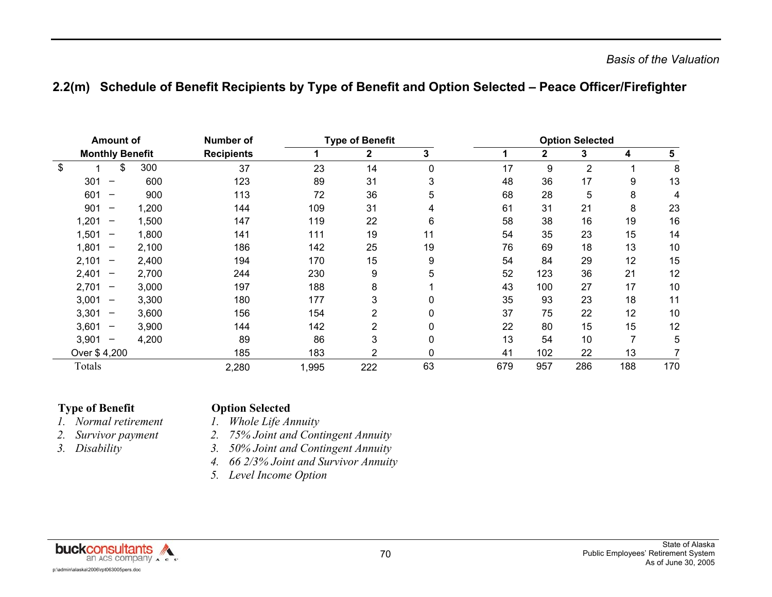## **2.2(m) Schedule of Benefit Recipients by Type of Benefit and Option Selected – Peace Officer/Firefighter**

| <b>Amount of</b> |                                       |       | <b>Number of</b>  |       | <b>Type of Benefit</b> |    | <b>Option Selected</b> |              |                |     |                |  |
|------------------|---------------------------------------|-------|-------------------|-------|------------------------|----|------------------------|--------------|----------------|-----|----------------|--|
|                  | <b>Monthly Benefit</b>                |       | <b>Recipients</b> |       | 2                      | 3  |                        | $\mathbf{2}$ | 3              | 4   | $5\phantom{1}$ |  |
| \$               | \$                                    | 300   | 37                | 23    | 14                     | 0  | 17                     | 9            | $\overline{2}$ |     | 8              |  |
|                  | 301<br>-                              | 600   | 123               | 89    | 31                     | 3  | 48                     | 36           | 17             | 9   | 13             |  |
|                  | 601                                   | 900   | 113               | 72    | 36                     | 5  | 68                     | 28           | 5              | 8   | 4              |  |
|                  | 901                                   | 1,200 | 144               | 109   | 31                     | 4  | 61                     | 31           | 21             | 8   | 23             |  |
|                  | 1,201<br>$\overline{\phantom{m}}$     | 1,500 | 147               | 119   | 22                     | 6  | 58                     | 38           | 16             | 19  | 16             |  |
|                  | 1,501<br>$\overline{\phantom{m}}$     | 1,800 | 141               | 111   | 19                     | 11 | 54                     | 35           | 23             | 15  | 14             |  |
|                  | 1,801<br>$\overline{\phantom{m}}$     | 2,100 | 186               | 142   | 25                     | 19 | 76                     | 69           | 18             | 13  | 10             |  |
|                  | 2,101<br>$\hspace{0.05cm}$            | 2,400 | 194               | 170   | 15                     | 9  | 54                     | 84           | 29             | 12  | 15             |  |
|                  | 2,401<br>$\overline{\phantom{m}}$     | 2,700 | 244               | 230   | 9                      | 5  | 52                     | 123          | 36             | 21  | 12             |  |
|                  | 2,701<br>$\overline{\phantom{m}}$     | 3,000 | 197               | 188   | 8                      |    | 43                     | 100          | 27             | 17  | 10             |  |
|                  | 3,001<br>$\qquad \qquad \blacksquare$ | 3,300 | 180               | 177   | 3                      | 0  | 35                     | 93           | 23             | 18  | 11             |  |
|                  | 3,301<br>$\qquad \qquad$              | 3,600 | 156               | 154   | 2                      |    | 37                     | 75           | 22             | 12  | 10             |  |
|                  | 3,601<br>$\overline{\phantom{m}}$     | 3,900 | 144               | 142   | 2                      |    | 22                     | 80           | 15             | 15  | 12             |  |
|                  | 3,901<br>$\hspace{0.05cm}$            | 4,200 | 89                | 86    | 3                      |    | 13                     | 54           | 10             |     | 5              |  |
|                  | Over \$4,200                          |       | 185               | 183   | 2                      |    | 41                     | 102          | 22             | 13  |                |  |
|                  | Totals                                |       | 2,280             | 1,995 | 222                    | 63 | 679                    | 957          | 286            | 188 | 170            |  |

#### **Type of Benefit Christian Coption Selected**

- *1.*
- *2.*
- *3.*
- *Normal retirement 1. Whole Life Annuity Survivor payment 2. 75% Joint and Contingent Annuity* 
	- *Disability 3. 50% Joint and Contingent Annuity*
	- *4. 66 2/3% Joint and Survivor Annuity*
	- *5. Level Income Option*

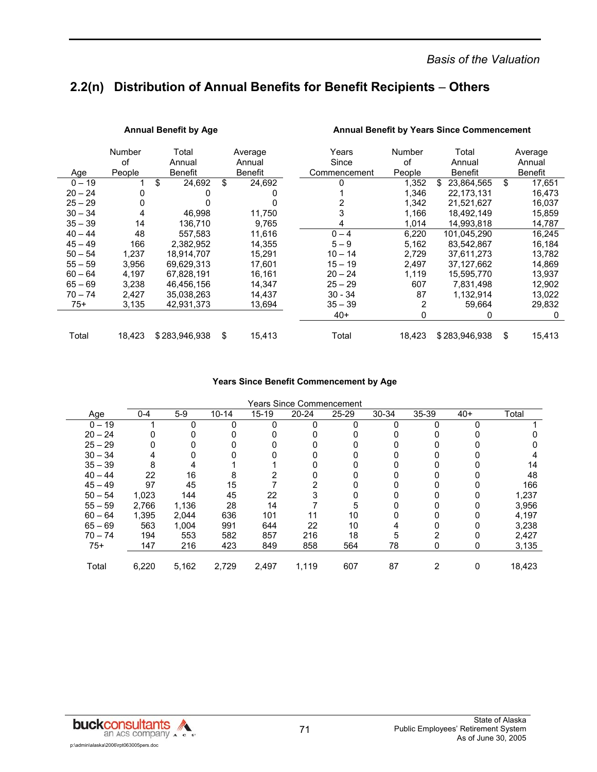*Basis of the Valuation* 

## **2.2(n) Distribution of Annual Benefits for Benefit Recipients** – **Others**

|           | Number | Total          | Average        | Years        | Number         | Total            | Average      |
|-----------|--------|----------------|----------------|--------------|----------------|------------------|--------------|
|           | οf     | Annual         | Annual         | Since        | of             | Annual           | Annual       |
| Age       | People | <b>Benefit</b> | <b>Benefit</b> | Commencement | People         | <b>Benefit</b>   | Benefit      |
| $0 - 19$  |        | \$<br>24,692   | \$<br>24,692   | O            | 1,352          | 23,864,565<br>\$ | \$<br>17,651 |
| $20 - 24$ | 0      |                |                |              | 1,346          | 22,173,131       | 16,473       |
| $25 - 29$ | 0      |                |                |              | 1,342          | 21,521,627       | 16,037       |
| $30 - 34$ | 4      | 46.998         | 11.750         |              | 1,166          | 18,492,149       | 15,859       |
| $35 - 39$ | 14     | 136.710        | 9.765          | 4            | 1,014          | 14,993,818       | 14,787       |
| $40 - 44$ | 48     | 557.583        | 11.616         | $0 - 4$      | 6,220          | 101,045,290      | 16,245       |
| $45 - 49$ | 166    | 2.382.952      | 14.355         | $5 - 9$      | 5.162          | 83,542,867       | 16,184       |
| $50 - 54$ | 1,237  | 18,914,707     | 15,291         | $10 - 14$    | 2,729          | 37,611,273       | 13,782       |
| $55 - 59$ | 3,956  | 69,629,313     | 17.601         | $15 - 19$    | 2,497          | 37,127,662       | 14,869       |
| $60 - 64$ | 4,197  | 67.828.191     | 16.161         | $20 - 24$    | 1,119          | 15,595,770       | 13,937       |
| $65 - 69$ | 3,238  | 46,456,156     | 14,347         | $25 - 29$    | 607            | 7,831,498        | 12,902       |
| $70 - 74$ | 2.427  | 35.038.263     | 14.437         | $30 - 34$    | 87             | 1,132,914        | 13,022       |
| $75+$     | 3,135  | 42,931,373     | 13,694         | $35 - 39$    | $\overline{2}$ | 59,664           | 29,832       |
|           |        |                |                | $40+$        | 0              | 0                | 0            |
|           |        |                |                |              |                |                  |              |
| Total     | 18,423 | \$283,946,938  | \$<br>15,413   | Total        | 18,423         | \$283,946,938    | \$<br>15,413 |

Annual Benefit by Age **Annual Benefit by Years Since Commencement** 

#### **Years Since Benefit Commencement by Age**

|  | <b>Years Since Commencement</b> |
|--|---------------------------------|
|  |                                 |

| Age       | 0-4   | $5-9$ | $10 - 14$ | $15 - 19$ | $20 - 24$ | $25 - 29$ | 30-34 | 35-39 | $40+$ | Total  |
|-----------|-------|-------|-----------|-----------|-----------|-----------|-------|-------|-------|--------|
| $0 - 19$  |       |       | 0         | 0         |           |           |       |       | O     |        |
| $20 - 24$ |       |       |           |           |           |           |       |       |       |        |
| $25 - 29$ |       |       |           |           |           |           |       |       |       |        |
| $30 - 34$ |       |       |           |           |           |           |       |       |       |        |
| $35 - 39$ | 8     |       |           |           |           |           |       |       |       | 14     |
| $40 - 44$ | 22    | 16    | 8         |           |           |           |       |       |       | 48     |
| $45 - 49$ | 97    | 45    | 15        |           |           |           |       |       |       | 166    |
| $50 - 54$ | 1,023 | 144   | 45        | 22        | 3         |           |       |       | Ω     | 1,237  |
| $55 - 59$ | 2,766 | 1,136 | 28        | 14        |           | 5         |       |       |       | 3,956  |
| $60 - 64$ | 1,395 | 2.044 | 636       | 101       | 11        | 10        |       |       |       | 4,197  |
| $65 - 69$ | 563   | 1,004 | 991       | 644       | 22        | 10        |       |       |       | 3,238  |
| $70 - 74$ | 194   | 553   | 582       | 857       | 216       | 18        | 5     |       | 0     | 2,427  |
| $75+$     | 147   | 216   | 423       | 849       | 858       | 564       | 78    | 0     | 0     | 3,135  |
|           |       |       |           |           |           |           |       |       |       |        |
| Total     | 6,220 | 5,162 | 2,729     | 2,497     | 1,119     | 607       | 87    | 2     | 0     | 18,423 |
|           |       |       |           |           |           |           |       |       |       |        |

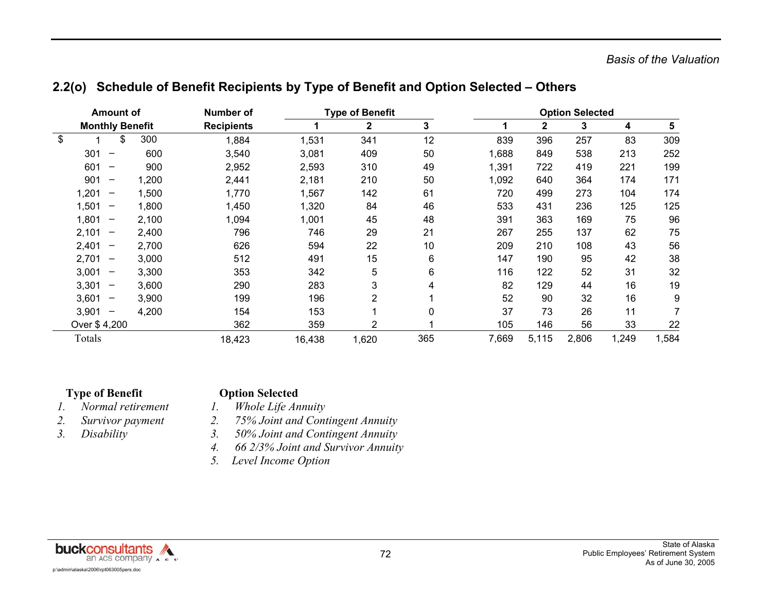|  |  | 2.2(o) Schedule of Benefit Recipients by Type of Benefit and Option Selected - Others |  |
|--|--|---------------------------------------------------------------------------------------|--|
|--|--|---------------------------------------------------------------------------------------|--|

| Amount of |                                       | Number of |                   | <b>Type of Benefit</b> |                |     |       | <b>Option Selected</b> |       |       |       |
|-----------|---------------------------------------|-----------|-------------------|------------------------|----------------|-----|-------|------------------------|-------|-------|-------|
|           | <b>Monthly Benefit</b>                |           | <b>Recipients</b> |                        | 2              | 3   | 1     | 2                      | 3     | 4     | 5     |
| \$        | \$                                    | 300       | 1,884             | 1,531                  | 341            | 12  | 839   | 396                    | 257   | 83    | 309   |
|           | 301<br>$\qquad \qquad$                | 600       | 3,540             | 3,081                  | 409            | 50  | 1,688 | 849                    | 538   | 213   | 252   |
|           | 601<br>$\qquad \qquad \blacksquare$   | 900       | 2,952             | 2,593                  | 310            | 49  | 1,391 | 722                    | 419   | 221   | 199   |
|           | 901<br>$\qquad \qquad \blacksquare$   | 1,200     | 2,441             | 2,181                  | 210            | 50  | 1,092 | 640                    | 364   | 174   | 171   |
|           | 1,201<br>$\qquad \qquad \blacksquare$ | 1,500     | 1,770             | 1,567                  | 142            | 61  | 720   | 499                    | 273   | 104   | 174   |
|           | 1,501<br>$\overline{\phantom{m}}$     | 1,800     | 1,450             | 1,320                  | 84             | 46  | 533   | 431                    | 236   | 125   | 125   |
|           | 1,801<br>$\overline{\phantom{m}}$     | 2,100     | 1,094             | 1,001                  | 45             | 48  | 391   | 363                    | 169   | 75    | 96    |
|           | 2,101<br>$\overline{\phantom{m}}$     | 2,400     | 796               | 746                    | 29             | 21  | 267   | 255                    | 137   | 62    | 75    |
|           | 2,401<br>$\qquad \qquad \blacksquare$ | 2,700     | 626               | 594                    | 22             | 10  | 209   | 210                    | 108   | 43    | 56    |
|           | 2,701<br>$\overline{\phantom{0}}$     | 3,000     | 512               | 491                    | 15             | 6   | 147   | 190                    | 95    | 42    | 38    |
|           | 3,001<br>$\qquad \qquad \blacksquare$ | 3,300     | 353               | 342                    | 5              | 6   | 116   | 122                    | 52    | 31    | 32    |
|           | 3,301<br>$\qquad \qquad \blacksquare$ | 3,600     | 290               | 283                    | 3              | 4   | 82    | 129                    | 44    | 16    | 19    |
|           | 3,601<br>$\overline{\phantom{m}}$     | 3,900     | 199               | 196                    | 2              |     | 52    | 90                     | 32    | 16    | 9     |
|           | 3,901<br>$\overline{\phantom{m}}$     | 4,200     | 154               | 153                    |                | 0   | 37    | 73                     | 26    | 11    |       |
|           | Over \$4,200                          |           | 362               | 359                    | $\overline{2}$ |     | 105   | 146                    | 56    | 33    | 22    |
|           | Totals                                |           | 18,423            | 16,438                 | 1,620          | 365 | 7,669 | 5,115                  | 2,806 | 1,249 | 1,584 |

#### **Type of Benefit Change Option Selected**

- *1. Normal retirement 1. Whole Life Annuity*
- 
- 
- *2. Survivor payment 2. 75% Joint and Contingent Annuity*
- *3. Disability 3. 50% Joint and Contingent Annuity* 
	- *4. 66 2/3% Joint and Survivor Annuity*
	- *5. Level Income Option*

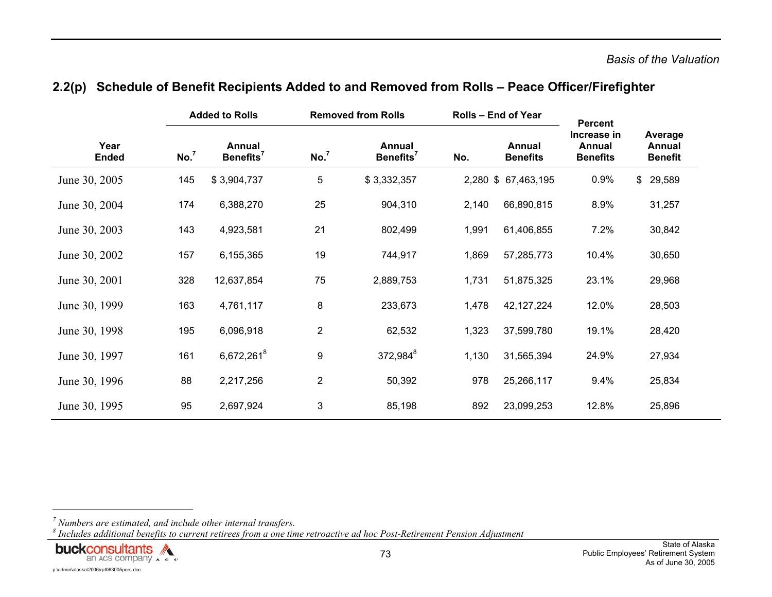|                      |                  | <b>Added to Rolls</b>           |                  | <b>Removed from Rolls</b>       | <b>Rolls - End of Year</b> |                           | <b>Percent</b>                                  |                                     |  |
|----------------------|------------------|---------------------------------|------------------|---------------------------------|----------------------------|---------------------------|-------------------------------------------------|-------------------------------------|--|
| Year<br><b>Ended</b> | No. <sup>7</sup> | Annual<br>Benefits <sup>7</sup> | No. <sup>7</sup> | Annual<br>Benefits <sup>7</sup> | No.                        | Annual<br><b>Benefits</b> | Increase in<br><b>Annual</b><br><b>Benefits</b> | Average<br>Annual<br><b>Benefit</b> |  |
| June 30, 2005        | 145              | \$3,904,737                     | 5                | \$3,332,357                     |                            | 2,280 \$ 67,463,195       | 0.9%                                            | \$29,589                            |  |
| June 30, 2004        | 174              | 6,388,270                       | 25               | 904,310                         | 2,140                      | 66,890,815                | 8.9%                                            | 31,257                              |  |
| June 30, 2003        | 143              | 4,923,581                       | 21               | 802,499                         | 1,991                      | 61,406,855                | 7.2%                                            | 30,842                              |  |
| June 30, 2002        | 157              | 6,155,365                       | 19               | 744,917                         | 1,869                      | 57,285,773                | 10.4%                                           | 30,650                              |  |
| June 30, 2001        | 328              | 12,637,854                      | 75               | 2,889,753                       | 1,731                      | 51,875,325                | 23.1%                                           | 29,968                              |  |
| June 30, 1999        | 163              | 4,761,117                       | 8                | 233,673                         | 1,478                      | 42, 127, 224              | 12.0%                                           | 28,503                              |  |
| June 30, 1998        | 195              | 6,096,918                       | $\overline{2}$   | 62,532                          | 1,323                      | 37,599,780                | 19.1%                                           | 28,420                              |  |
| June 30, 1997        | 161              | $6,672,261^8$                   | 9                | $372,984^8$                     | 1,130                      | 31,565,394                | 24.9%                                           | 27,934                              |  |
| June 30, 1996        | 88               | 2,217,256                       | $\overline{2}$   | 50,392                          | 978                        | 25,266,117                | 9.4%                                            | 25,834                              |  |
| June 30, 1995        | 95               | 2,697,924                       | 3                | 85,198                          | 892                        | 23,099,253                | 12.8%                                           | 25,896                              |  |

## **2.2(p) Schedule of Benefit Recipients Added to and Removed from Rolls – Peace Officer/Firefighter**

*<sup>8</sup> Includes additional benefits to current retirees from a one time retroactive ad hoc Post-Retirement Pension Adjustment* 



*<sup>7</sup> Numbers are estimated, and include other internal transfers.*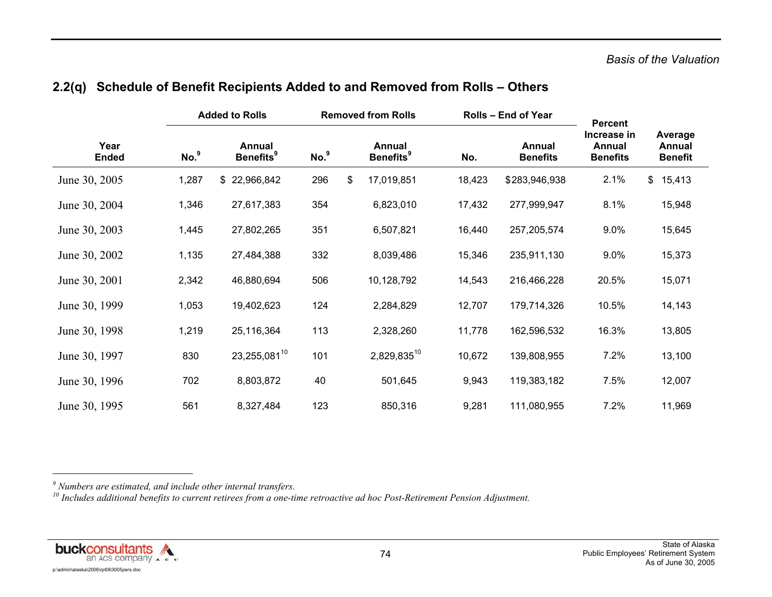|                      |                  | <b>Added to Rolls</b>                  |                  | <b>Removed from Rolls</b>              |        | <b>Rolls - End of Year</b> | <b>Percent</b>                           |               |                                     |
|----------------------|------------------|----------------------------------------|------------------|----------------------------------------|--------|----------------------------|------------------------------------------|---------------|-------------------------------------|
| Year<br><b>Ended</b> | No. <sup>9</sup> | Annual<br><b>Benefits</b> <sup>9</sup> | No. <sup>9</sup> | Annual<br><b>Benefits</b> <sup>9</sup> | No.    | Annual<br><b>Benefits</b>  | Increase in<br>Annual<br><b>Benefits</b> |               | Average<br>Annual<br><b>Benefit</b> |
| June 30, 2005        | 1,287            | \$22,966,842                           | 296              | \$<br>17,019,851                       | 18,423 | \$283,946,938              | 2.1%                                     | $\mathcal{S}$ | 15,413                              |
| June 30, 2004        | 1,346            | 27,617,383                             | 354              | 6,823,010                              | 17,432 | 277,999,947                | 8.1%                                     |               | 15,948                              |
| June 30, 2003        | 1,445            | 27,802,265                             | 351              | 6,507,821                              | 16,440 | 257,205,574                | $9.0\%$                                  |               | 15,645                              |
| June 30, 2002        | 1,135            | 27,484,388                             | 332              | 8,039,486                              | 15,346 | 235,911,130                | 9.0%                                     |               | 15,373                              |
| June 30, 2001        | 2,342            | 46,880,694                             | 506              | 10,128,792                             | 14,543 | 216,466,228                | 20.5%                                    |               | 15,071                              |
| June 30, 1999        | 1,053            | 19,402,623                             | 124              | 2,284,829                              | 12,707 | 179,714,326                | 10.5%                                    |               | 14,143                              |
| June 30, 1998        | 1,219            | 25,116,364                             | 113              | 2,328,260                              | 11,778 | 162,596,532                | 16.3%                                    |               | 13,805                              |
| June 30, 1997        | 830              | 23,255,08110                           | 101              | 2,829,83510                            | 10,672 | 139,808,955                | 7.2%                                     |               | 13,100                              |
| June 30, 1996        | 702              | 8,803,872                              | 40               | 501,645                                | 9,943  | 119,383,182                | 7.5%                                     |               | 12,007                              |
| June 30, 1995        | 561              | 8,327,484                              | 123              | 850,316                                | 9,281  | 111,080,955                | 7.2%                                     |               | 11,969                              |

### **2.2(q) Schedule of Benefit Recipients Added to and Removed from Rolls – Others**

*9 Numbers are estimated, and include other internal transfers.* 

*10 Includes additional benefits to current retirees from a one-time retroactive ad hoc Post-Retirement Pension Adjustment.* 

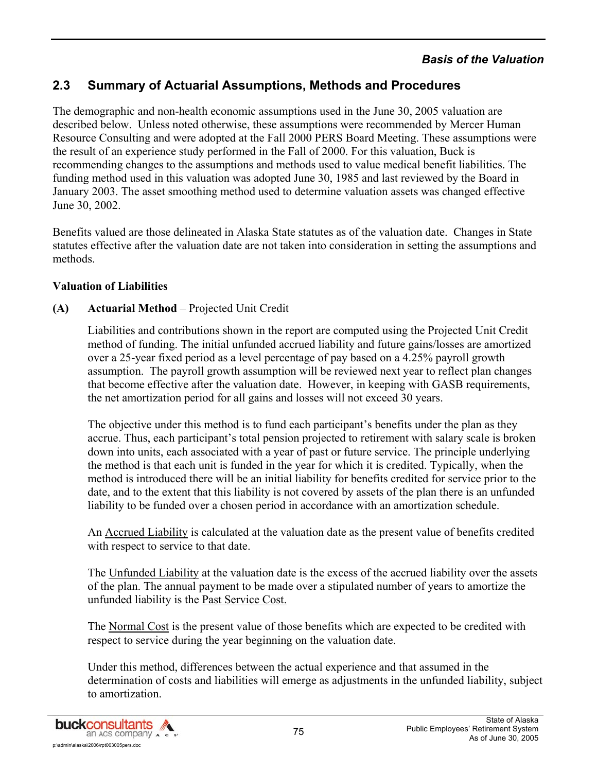### *Basis of the Valuation*

## **2.3 Summary of Actuarial Assumptions, Methods and Procedures**

The demographic and non-health economic assumptions used in the June 30, 2005 valuation are described below. Unless noted otherwise, these assumptions were recommended by Mercer Human Resource Consulting and were adopted at the Fall 2000 PERS Board Meeting. These assumptions were the result of an experience study performed in the Fall of 2000. For this valuation, Buck is recommending changes to the assumptions and methods used to value medical benefit liabilities. The funding method used in this valuation was adopted June 30, 1985 and last reviewed by the Board in January 2003. The asset smoothing method used to determine valuation assets was changed effective June 30, 2002.

Benefits valued are those delineated in Alaska State statutes as of the valuation date. Changes in State statutes effective after the valuation date are not taken into consideration in setting the assumptions and methods.

#### **Valuation of Liabilities**

#### **(A) Actuarial Method** – Projected Unit Credit

Liabilities and contributions shown in the report are computed using the Projected Unit Credit method of funding. The initial unfunded accrued liability and future gains/losses are amortized over a 25-year fixed period as a level percentage of pay based on a 4.25% payroll growth assumption. The payroll growth assumption will be reviewed next year to reflect plan changes that become effective after the valuation date. However, in keeping with GASB requirements, the net amortization period for all gains and losses will not exceed 30 years.

The objective under this method is to fund each participant's benefits under the plan as they accrue. Thus, each participant's total pension projected to retirement with salary scale is broken down into units, each associated with a year of past or future service. The principle underlying the method is that each unit is funded in the year for which it is credited. Typically, when the method is introduced there will be an initial liability for benefits credited for service prior to the date, and to the extent that this liability is not covered by assets of the plan there is an unfunded liability to be funded over a chosen period in accordance with an amortization schedule.

An Accrued Liability is calculated at the valuation date as the present value of benefits credited with respect to service to that date.

The Unfunded Liability at the valuation date is the excess of the accrued liability over the assets of the plan. The annual payment to be made over a stipulated number of years to amortize the unfunded liability is the Past Service Cost.

The Normal Cost is the present value of those benefits which are expected to be credited with respect to service during the year beginning on the valuation date.

Under this method, differences between the actual experience and that assumed in the determination of costs and liabilities will emerge as adjustments in the unfunded liability, subject to amortization.

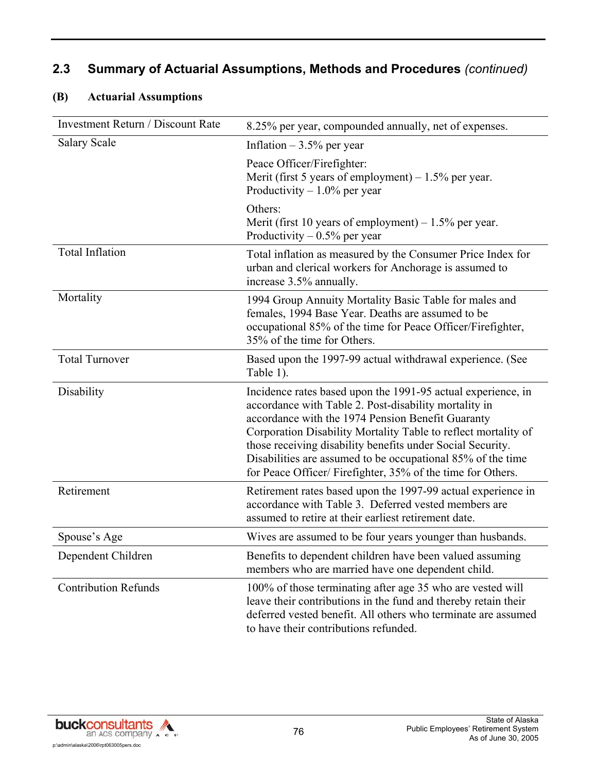## **(B) Actuarial Assumptions**

| <b>Investment Return / Discount Rate</b> | 8.25% per year, compounded annually, net of expenses.                                                                                                                                                                                                                                                                                                                                                                                   |
|------------------------------------------|-----------------------------------------------------------------------------------------------------------------------------------------------------------------------------------------------------------------------------------------------------------------------------------------------------------------------------------------------------------------------------------------------------------------------------------------|
| <b>Salary Scale</b>                      | Inflation $-3.5%$ per year                                                                                                                                                                                                                                                                                                                                                                                                              |
|                                          | Peace Officer/Firefighter:<br>Merit (first 5 years of employment) $-1.5\%$ per year.<br>Productivity $-1.0\%$ per year                                                                                                                                                                                                                                                                                                                  |
|                                          | Others:<br>Merit (first 10 years of employment) $-1.5\%$ per year.<br>Productivity $-0.5\%$ per year                                                                                                                                                                                                                                                                                                                                    |
| <b>Total Inflation</b>                   | Total inflation as measured by the Consumer Price Index for<br>urban and clerical workers for Anchorage is assumed to<br>increase 3.5% annually.                                                                                                                                                                                                                                                                                        |
| Mortality                                | 1994 Group Annuity Mortality Basic Table for males and<br>females, 1994 Base Year. Deaths are assumed to be<br>occupational 85% of the time for Peace Officer/Firefighter,<br>35% of the time for Others.                                                                                                                                                                                                                               |
| <b>Total Turnover</b>                    | Based upon the 1997-99 actual withdrawal experience. (See<br>Table 1).                                                                                                                                                                                                                                                                                                                                                                  |
| Disability                               | Incidence rates based upon the 1991-95 actual experience, in<br>accordance with Table 2. Post-disability mortality in<br>accordance with the 1974 Pension Benefit Guaranty<br>Corporation Disability Mortality Table to reflect mortality of<br>those receiving disability benefits under Social Security.<br>Disabilities are assumed to be occupational 85% of the time<br>for Peace Officer/Firefighter, 35% of the time for Others. |
| Retirement                               | Retirement rates based upon the 1997-99 actual experience in<br>accordance with Table 3. Deferred vested members are<br>assumed to retire at their earliest retirement date.                                                                                                                                                                                                                                                            |
| Spouse's Age                             | Wives are assumed to be four years younger than husbands.                                                                                                                                                                                                                                                                                                                                                                               |
| Dependent Children                       | Benefits to dependent children have been valued assuming<br>members who are married have one dependent child.                                                                                                                                                                                                                                                                                                                           |
| <b>Contribution Refunds</b>              | 100% of those terminating after age 35 who are vested will<br>leave their contributions in the fund and thereby retain their<br>deferred vested benefit. All others who terminate are assumed<br>to have their contributions refunded.                                                                                                                                                                                                  |

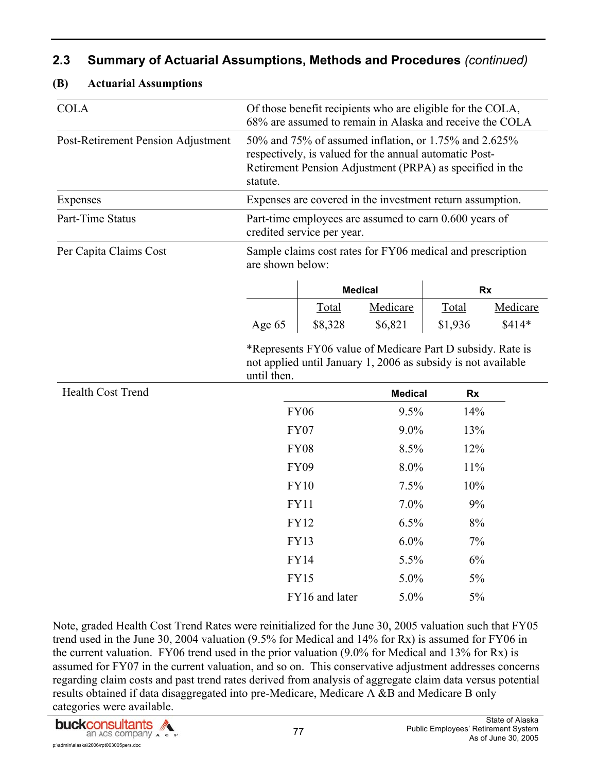| <b>COLA</b>                        | Of those benefit recipients who are eligible for the COLA,<br>68% are assumed to remain in Alaska and receive the COLA<br>50% and 75% of assumed inflation, or 1.75% and 2.625% |                            |                                                                                                                             |           |          |  |  |
|------------------------------------|---------------------------------------------------------------------------------------------------------------------------------------------------------------------------------|----------------------------|-----------------------------------------------------------------------------------------------------------------------------|-----------|----------|--|--|
| Post-Retirement Pension Adjustment | statute.                                                                                                                                                                        |                            | respectively, is valued for the annual automatic Post-<br>Retirement Pension Adjustment (PRPA) as specified in the          |           |          |  |  |
| Expenses                           |                                                                                                                                                                                 |                            | Expenses are covered in the investment return assumption.                                                                   |           |          |  |  |
| Part-Time Status                   |                                                                                                                                                                                 | credited service per year. | Part-time employees are assumed to earn 0.600 years of                                                                      |           |          |  |  |
| Per Capita Claims Cost             | are shown below:                                                                                                                                                                |                            | Sample claims cost rates for FY06 medical and prescription                                                                  |           |          |  |  |
|                                    |                                                                                                                                                                                 | <b>Medical</b>             |                                                                                                                             | <b>Rx</b> |          |  |  |
|                                    |                                                                                                                                                                                 | Total                      | Medicare                                                                                                                    | Total     | Medicare |  |  |
|                                    | Age 65                                                                                                                                                                          | \$8,328                    | \$6,821                                                                                                                     | \$1,936   | $$414*$  |  |  |
|                                    | until then.                                                                                                                                                                     |                            | *Represents FY06 value of Medicare Part D subsidy. Rate is<br>not applied until January 1, 2006 as subsidy is not available |           |          |  |  |
| <b>Health Cost Trend</b>           |                                                                                                                                                                                 |                            | <b>Medical</b>                                                                                                              | <b>Rx</b> |          |  |  |
|                                    |                                                                                                                                                                                 | <b>FY06</b>                | 9.5%                                                                                                                        | 14%       |          |  |  |
|                                    |                                                                                                                                                                                 | <b>FY07</b>                | $9.0\%$                                                                                                                     | 13%       |          |  |  |
|                                    |                                                                                                                                                                                 | <b>FY08</b>                | 8.5%                                                                                                                        | 12%       |          |  |  |
|                                    |                                                                                                                                                                                 | <b>FY09</b>                | 8.0%                                                                                                                        | 11%       |          |  |  |
|                                    |                                                                                                                                                                                 | <b>FY10</b>                | 7.5%                                                                                                                        | 10%       |          |  |  |
|                                    |                                                                                                                                                                                 | <b>FY11</b>                | 7.0%                                                                                                                        | 9%        |          |  |  |
|                                    |                                                                                                                                                                                 | <b>FY12</b>                | 6.5%                                                                                                                        | 8%        |          |  |  |
|                                    |                                                                                                                                                                                 | <b>FY13</b>                | 6.0%                                                                                                                        | 7%        |          |  |  |
|                                    |                                                                                                                                                                                 | <b>FY14</b>                | 5.5%                                                                                                                        | 6%        |          |  |  |
|                                    |                                                                                                                                                                                 | <b>FY15</b>                | 5.0%                                                                                                                        | $5\%$     |          |  |  |
|                                    |                                                                                                                                                                                 | FY16 and later             | 5.0%                                                                                                                        | 5%        |          |  |  |

**(B) Actuarial Assumptions** 

Note, graded Health Cost Trend Rates were reinitialized for the June 30, 2005 valuation such that FY05 trend used in the June 30, 2004 valuation (9.5% for Medical and 14% for Rx) is assumed for FY06 in the current valuation. FY06 trend used in the prior valuation (9.0% for Medical and 13% for Rx) is assumed for FY07 in the current valuation, and so on. This conservative adjustment addresses concerns regarding claim costs and past trend rates derived from analysis of aggregate claim data versus potential results obtained if data disaggregated into pre-Medicare, Medicare A &B and Medicare B only categories were available.

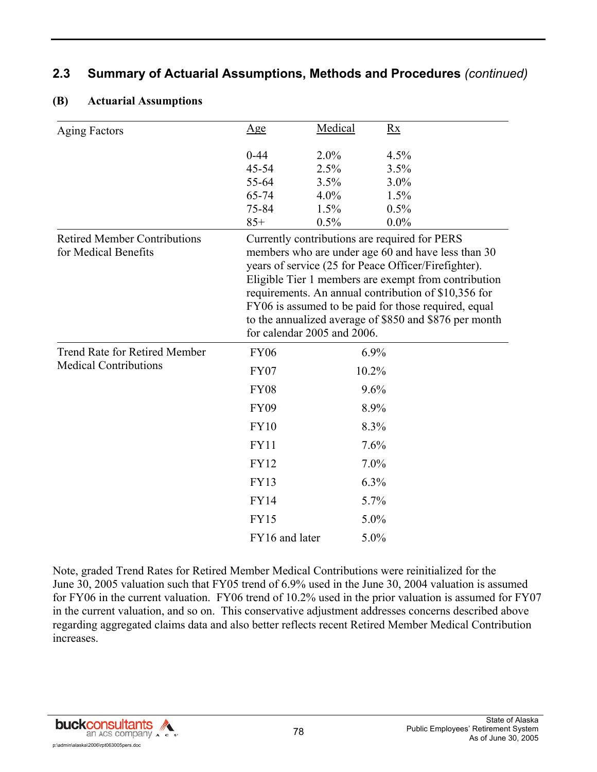| <b>Aging Factors</b>                                        | <u>Age</u>                  | Medical      | Rx                                                                                                                                                                                                                                                                                                                                                                                            |
|-------------------------------------------------------------|-----------------------------|--------------|-----------------------------------------------------------------------------------------------------------------------------------------------------------------------------------------------------------------------------------------------------------------------------------------------------------------------------------------------------------------------------------------------|
|                                                             | $0 - 44$<br>$45 - 54$       | 2.0%<br>2.5% | 4.5%<br>3.5%                                                                                                                                                                                                                                                                                                                                                                                  |
|                                                             | 55-64                       | 3.5%         | $3.0\%$                                                                                                                                                                                                                                                                                                                                                                                       |
|                                                             | 65-74                       | 4.0%         | 1.5%                                                                                                                                                                                                                                                                                                                                                                                          |
|                                                             | 75-84                       | 1.5%         | 0.5%                                                                                                                                                                                                                                                                                                                                                                                          |
|                                                             | $85+$                       | 0.5%         | $0.0\%$                                                                                                                                                                                                                                                                                                                                                                                       |
| <b>Retired Member Contributions</b><br>for Medical Benefits | for calendar 2005 and 2006. |              | Currently contributions are required for PERS<br>members who are under age 60 and have less than 30<br>years of service (25 for Peace Officer/Firefighter).<br>Eligible Tier 1 members are exempt from contribution<br>requirements. An annual contribution of \$10,356 for<br>FY06 is assumed to be paid for those required, equal<br>to the annualized average of \$850 and \$876 per month |
| <b>Trend Rate for Retired Member</b>                        | <b>FY06</b>                 | 6.9%         |                                                                                                                                                                                                                                                                                                                                                                                               |
| <b>Medical Contributions</b>                                | <b>FY07</b>                 | 10.2%        |                                                                                                                                                                                                                                                                                                                                                                                               |
|                                                             | <b>FY08</b>                 | 9.6%         |                                                                                                                                                                                                                                                                                                                                                                                               |
|                                                             | <b>FY09</b>                 | 8.9%         |                                                                                                                                                                                                                                                                                                                                                                                               |
|                                                             | <b>FY10</b>                 | 8.3%         |                                                                                                                                                                                                                                                                                                                                                                                               |
|                                                             | <b>FY11</b>                 | 7.6%         |                                                                                                                                                                                                                                                                                                                                                                                               |
|                                                             | <b>FY12</b>                 | 7.0%         |                                                                                                                                                                                                                                                                                                                                                                                               |
|                                                             | <b>FY13</b>                 | 6.3%         |                                                                                                                                                                                                                                                                                                                                                                                               |
|                                                             | <b>FY14</b>                 | 5.7%         |                                                                                                                                                                                                                                                                                                                                                                                               |
|                                                             | <b>FY15</b>                 | 5.0%         |                                                                                                                                                                                                                                                                                                                                                                                               |
|                                                             | FY16 and later              | 5.0%         |                                                                                                                                                                                                                                                                                                                                                                                               |

#### **(B) Actuarial Assumptions**

Note, graded Trend Rates for Retired Member Medical Contributions were reinitialized for the June 30, 2005 valuation such that FY05 trend of 6.9% used in the June 30, 2004 valuation is assumed for FY06 in the current valuation. FY06 trend of 10.2% used in the prior valuation is assumed for FY07 in the current valuation, and so on. This conservative adjustment addresses concerns described above regarding aggregated claims data and also better reflects recent Retired Member Medical Contribution increases.

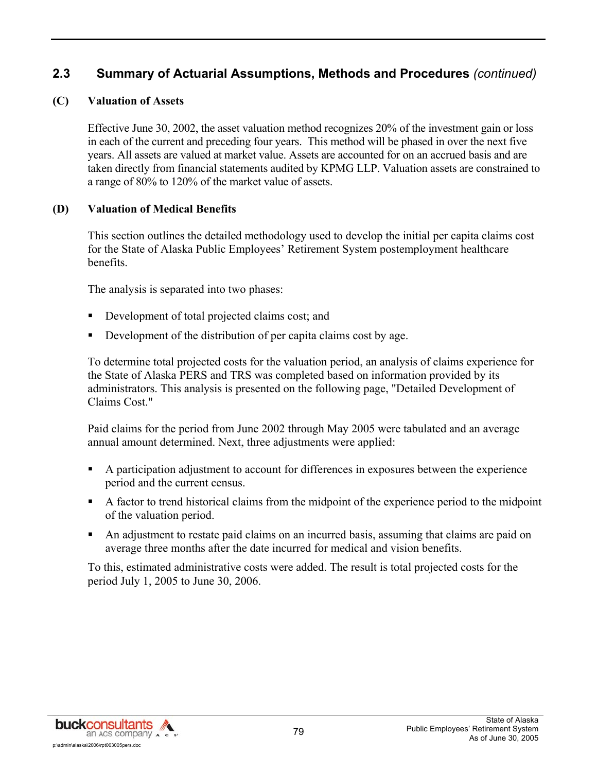#### **(C) Valuation of Assets**

Effective June 30, 2002, the asset valuation method recognizes 20% of the investment gain or loss in each of the current and preceding four years. This method will be phased in over the next five years. All assets are valued at market value. Assets are accounted for on an accrued basis and are taken directly from financial statements audited by KPMG LLP. Valuation assets are constrained to a range of 80% to 120% of the market value of assets.

#### **(D) Valuation of Medical Benefits**

This section outlines the detailed methodology used to develop the initial per capita claims cost for the State of Alaska Public Employees' Retirement System postemployment healthcare benefits.

The analysis is separated into two phases:

- Development of total projected claims cost; and
- Development of the distribution of per capita claims cost by age.

To determine total projected costs for the valuation period, an analysis of claims experience for the State of Alaska PERS and TRS was completed based on information provided by its administrators. This analysis is presented on the following page, "Detailed Development of Claims Cost."

Paid claims for the period from June 2002 through May 2005 were tabulated and an average annual amount determined. Next, three adjustments were applied:

- A participation adjustment to account for differences in exposures between the experience period and the current census.
- A factor to trend historical claims from the midpoint of the experience period to the midpoint of the valuation period.
- An adjustment to restate paid claims on an incurred basis, assuming that claims are paid on average three months after the date incurred for medical and vision benefits.

To this, estimated administrative costs were added. The result is total projected costs for the period July 1, 2005 to June 30, 2006.

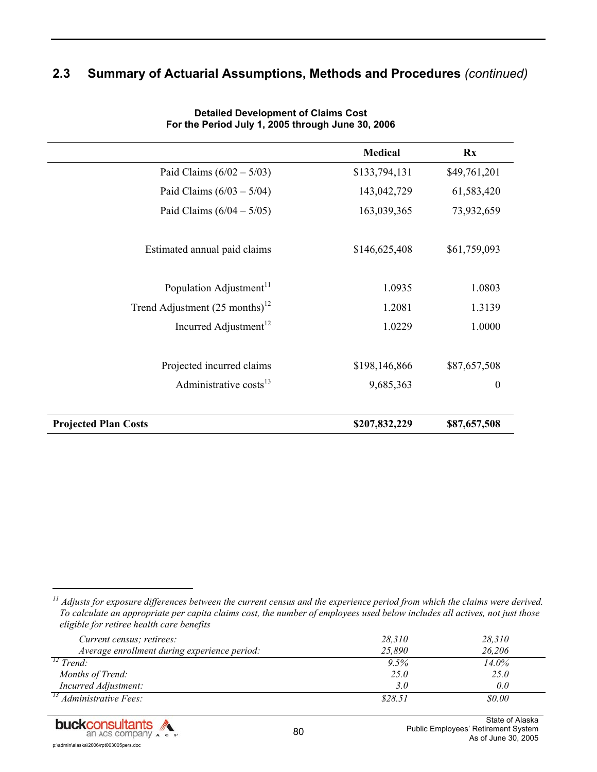|                                             | <b>Medical</b> | $\mathbf{R} \mathbf{x}$ |
|---------------------------------------------|----------------|-------------------------|
| Paid Claims $(6/02 - 5/03)$                 | \$133,794,131  | \$49,761,201            |
| Paid Claims $(6/03 - 5/04)$                 | 143,042,729    | 61,583,420              |
| Paid Claims $(6/04 - 5/05)$                 | 163,039,365    | 73,932,659              |
| Estimated annual paid claims                | \$146,625,408  | \$61,759,093            |
| Population Adjustment <sup>11</sup>         | 1.0935         | 1.0803                  |
| Trend Adjustment $(25 \text{ months})^{12}$ | 1.2081         | 1.3139                  |
| Incurred Adjustment <sup>12</sup>           | 1.0229         | 1.0000                  |
| Projected incurred claims                   | \$198,146,866  | \$87,657,508            |
| Administrative costs <sup>13</sup>          | 9,685,363      | $\boldsymbol{0}$        |
| <b>Projected Plan Costs</b>                 | \$207,832,229  | \$87,657,508            |

**Detailed Development of Claims Cost For the Period July 1, 2005 through June 30, 2006**

*11 Adjusts for exposure differences between the current census and the experience period from which the claims were derived. To calculate an appropriate per capita claims cost, the number of employees used below includes all actives, not just those eligible for retiree health care benefits* 

| Current census; retirees:                    | 28,310  | 28,310 |
|----------------------------------------------|---------|--------|
| Average enrollment during experience period: | 25.890  | 26,206 |
| $12$ Trend:                                  | 9.5%    | 14.0%  |
| Months of Trend:                             | 25.0    | 25.0   |
| Incurred Adjustment:                         | 3.0     | 0.0    |
| $\frac{13}{13}$ Administrative Fees:         | \$28.51 | \$0.00 |



l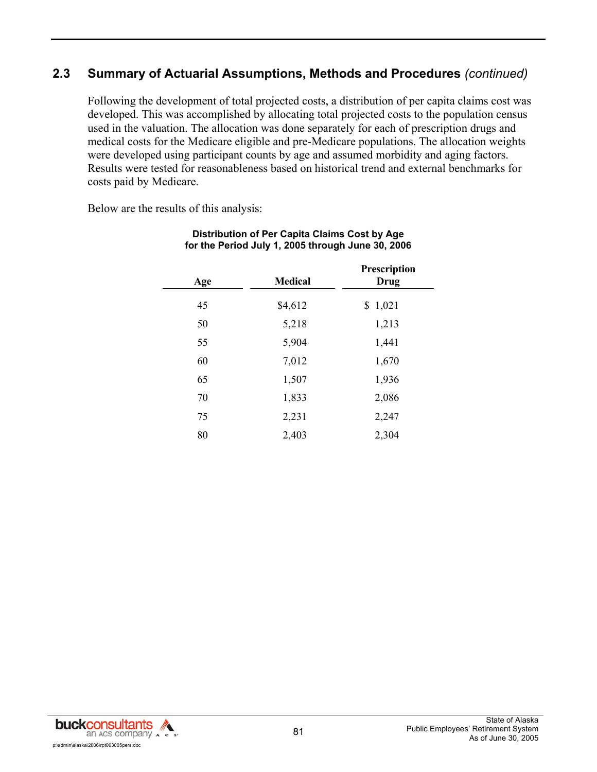Following the development of total projected costs, a distribution of per capita claims cost was developed. This was accomplished by allocating total projected costs to the population census used in the valuation. The allocation was done separately for each of prescription drugs and medical costs for the Medicare eligible and pre-Medicare populations. The allocation weights were developed using participant counts by age and assumed morbidity and aging factors. Results were tested for reasonableness based on historical trend and external benchmarks for costs paid by Medicare.

Below are the results of this analysis:

| Age | <b>Medical</b> | Prescription<br>Drug |
|-----|----------------|----------------------|
| 45  | \$4,612        | \$1,021              |
| 50  | 5,218          | 1,213                |
| 55  | 5,904          | 1,441                |
| 60  | 7,012          | 1,670                |
| 65  | 1,507          | 1,936                |
| 70  | 1,833          | 2,086                |
| 75  | 2,231          | 2,247                |
| 80  | 2,403          | 2,304                |

#### **Distribution of Per Capita Claims Cost by Age for the Period July 1, 2005 through June 30, 2006**

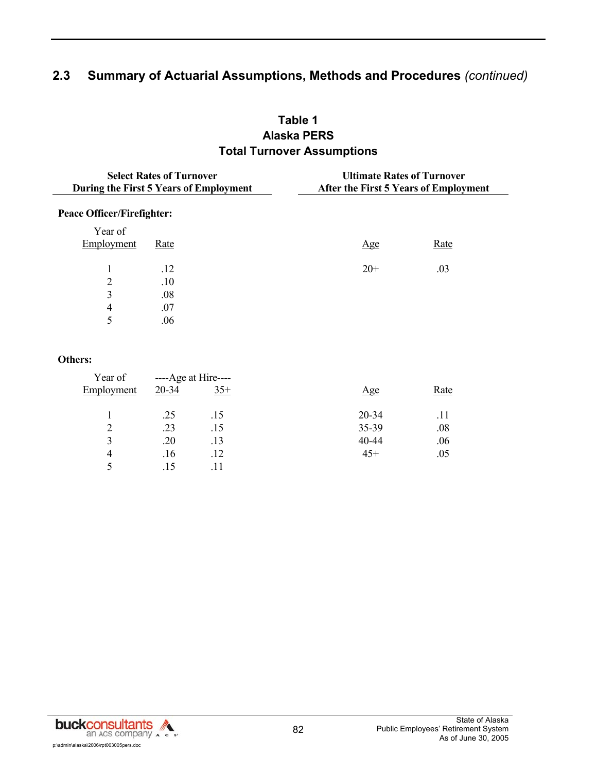## **Table 1 Alaska PERS Total Turnover Assumptions**

|                                   | <b>Select Rates of Turnover</b><br>During the First 5 Years of Employment | <b>Ultimate Rates of Turnover</b><br>After the First 5 Years of Employment |      |
|-----------------------------------|---------------------------------------------------------------------------|----------------------------------------------------------------------------|------|
| <b>Peace Officer/Firefighter:</b> |                                                                           |                                                                            |      |
| Year of<br>Employment             | <u>Rate</u>                                                               | Age                                                                        | Rate |
|                                   | .12                                                                       | $20+$                                                                      | .03  |
| 2                                 | .10                                                                       |                                                                            |      |
| 3                                 | .08                                                                       |                                                                            |      |
| 4                                 | .07                                                                       |                                                                            |      |
| 5                                 | .06                                                                       |                                                                            |      |

#### **Others:**

| Year of    | ----Age at Hire---- |       |       |      |
|------------|---------------------|-------|-------|------|
| Employment | 20-34               | $35+$ | Age   | Rate |
|            | .25                 | .15   | 20-34 | .11  |
| 2          | .23                 | .15   | 35-39 | .08  |
| 3          | .20                 | .13   | 40-44 | .06  |
| 4          | .16                 | .12   | $45+$ | .05  |
|            | .15                 |       |       |      |

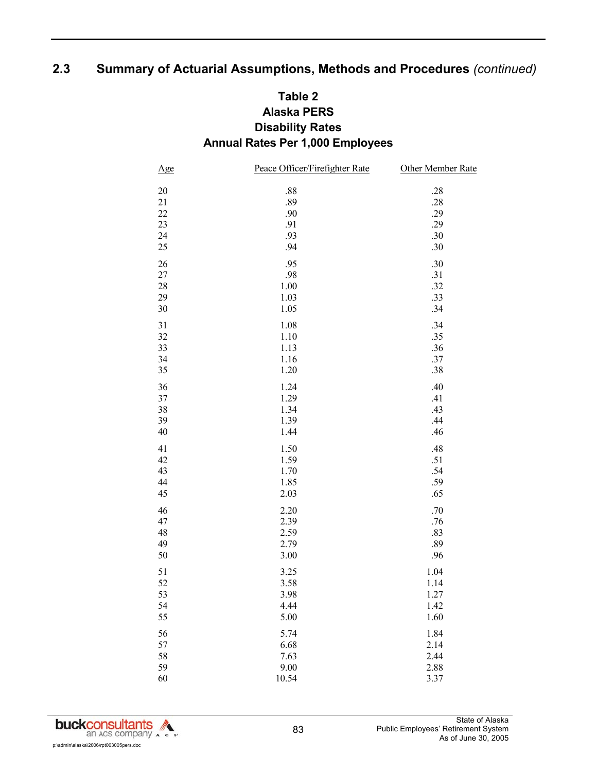## **Table 2 Alaska PERS Disability Rates Annual Rates Per 1,000 Employees**

| $\underline{Age}$ | Peace Officer/Firefighter Rate | Other Member Rate |
|-------------------|--------------------------------|-------------------|
| $20\,$            | $.88\,$                        | $.28\,$           |
| 21                | .89                            | .28               |
| $22\,$            | .90                            | .29               |
| 23                | .91                            | .29               |
| 24                | .93                            | .30               |
| $25\,$            | .94                            | .30               |
| 26                | .95                            | .30               |
| 27                | .98                            | .31               |
| $28\,$            | $1.00\,$                       | .32               |
| 29                | 1.03                           | .33               |
| $30\,$            | 1.05                           | .34               |
| 31                | 1.08                           | .34               |
| 32                | 1.10                           | .35               |
| 33                | 1.13                           | .36               |
| 34                | 1.16                           | .37               |
| 35                | 1.20                           | .38               |
| 36                | 1.24                           | .40               |
| 37                | 1.29                           | .41               |
| 38                | 1.34                           | .43               |
| 39                | 1.39                           | .44               |
| $40\,$            | 1.44                           | .46               |
| 41                | 1.50                           | .48               |
| 42                | 1.59                           | .51               |
| 43                | 1.70                           | .54               |
| 44                | 1.85                           | .59               |
| 45                | 2.03                           | .65               |
| 46                | 2.20                           | .70               |
| 47                | 2.39                           | .76               |
| 48                | 2.59                           | .83               |
| 49                | 2.79                           | .89               |
| $50\,$            | 3.00                           | .96               |
| 51                | 3.25                           | 1.04              |
| 52                | 3.58                           | 1.14              |
| 53                | 3.98                           | 1.27              |
| 54                | 4.44                           | 1.42              |
| 55                | 5.00                           | 1.60              |
| 56                | 5.74                           | 1.84              |
| 57                | 6.68                           | 2.14              |
| 58                | 7.63                           | 2.44              |
| 59                | 9.00                           | 2.88              |
| 60                | 10.54                          | 3.37              |

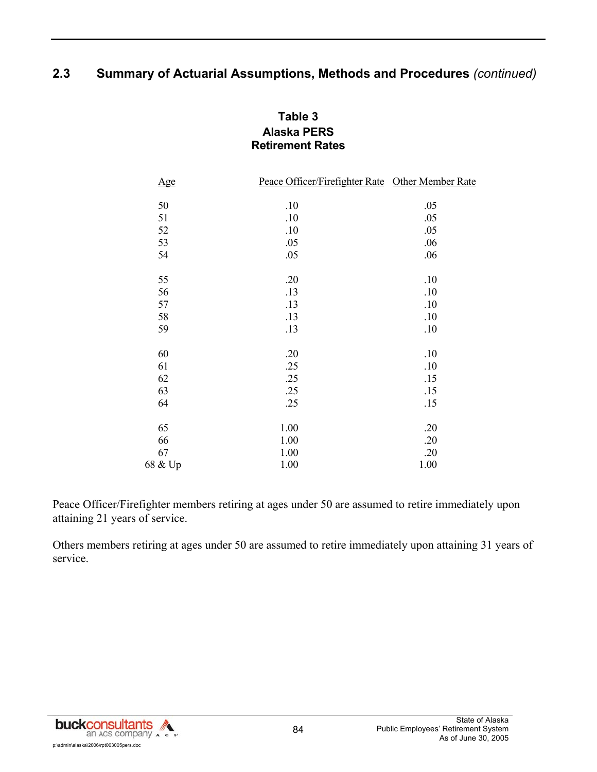### **Table 3 Alaska PERS Retirement Rates**

| Age     | Peace Officer/Firefighter Rate Other Member Rate |      |
|---------|--------------------------------------------------|------|
|         |                                                  |      |
| 50      | .10                                              | .05  |
| 51      | .10                                              | .05  |
| 52      | .10                                              | .05  |
| 53      | .05                                              | .06  |
| 54      | .05                                              | .06  |
|         |                                                  |      |
| 55      | .20                                              | .10  |
| 56      | .13                                              | .10  |
| 57      | .13                                              | .10  |
| 58      | .13                                              | .10  |
| 59      | .13                                              | .10  |
| 60      | .20                                              | .10  |
| 61      | .25                                              | .10  |
| 62      | .25                                              | .15  |
| 63      | .25                                              | .15  |
| 64      | .25                                              | .15  |
|         |                                                  |      |
| 65      | 1.00                                             | .20  |
| 66      | 1.00                                             | .20  |
| 67      | 1.00                                             | .20  |
| 68 & Up | 1.00                                             | 1.00 |

Peace Officer/Firefighter members retiring at ages under 50 are assumed to retire immediately upon attaining 21 years of service.

Others members retiring at ages under 50 are assumed to retire immediately upon attaining 31 years of service.

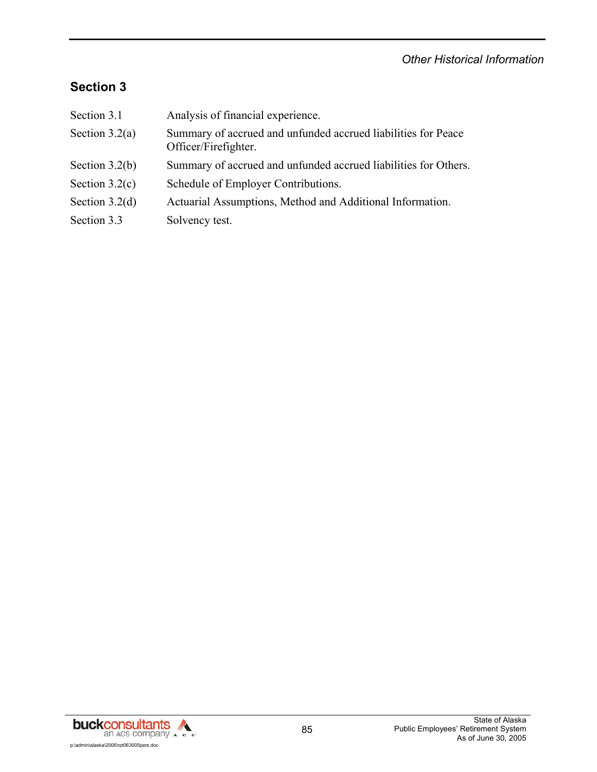## *Other Historical Information*

# **Section 3**

| Section 3.1      | Analysis of financial experience.                                                     |
|------------------|---------------------------------------------------------------------------------------|
| Section $3.2(a)$ | Summary of accrued and unfunded accrued liabilities for Peace<br>Officer/Firefighter. |
| Section $3.2(b)$ | Summary of accrued and unfunded accrued liabilities for Others.                       |
| Section $3.2(c)$ | Schedule of Employer Contributions.                                                   |
| Section $3.2(d)$ | Actuarial Assumptions, Method and Additional Information.                             |
| Section 3.3      | Solvency test.                                                                        |

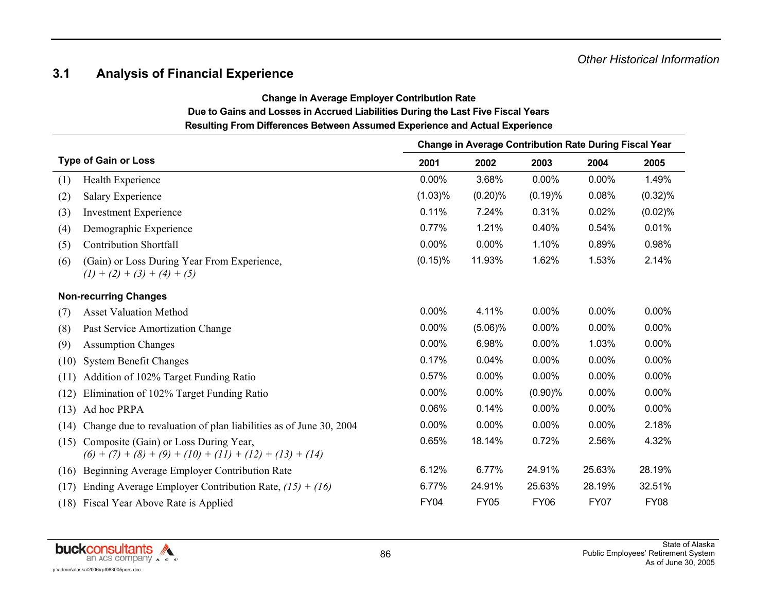## **3.1 Analysis of Financial Experience**

**Change in Average Employer Contribution Rate** 

# **Due to Gains and Losses in Accrued Liabilities During the Last Five Fiscal Years**

**Resulting From Differences Between Assumed Experience and Actual Experience** 

|      |                                                                                                     |             | <b>Change in Average Contribution Rate During Fiscal Year</b> |             |             |             |
|------|-----------------------------------------------------------------------------------------------------|-------------|---------------------------------------------------------------|-------------|-------------|-------------|
|      | <b>Type of Gain or Loss</b>                                                                         | 2001        | 2002                                                          | 2003        | 2004        | 2005        |
| (1)  | Health Experience                                                                                   | 0.00%       | 3.68%                                                         | 0.00%       | 0.00%       | 1.49%       |
| (2)  | <b>Salary Experience</b>                                                                            | (1.03)%     | $(0.20)$ %                                                    | (0.19)%     | 0.08%       | $(0.32)\%$  |
| (3)  | <b>Investment Experience</b>                                                                        | 0.11%       | 7.24%                                                         | 0.31%       | 0.02%       | (0.02)%     |
| (4)  | Demographic Experience                                                                              | 0.77%       | 1.21%                                                         | 0.40%       | 0.54%       | 0.01%       |
| (5)  | <b>Contribution Shortfall</b>                                                                       | 0.00%       | 0.00%                                                         | 1.10%       | 0.89%       | 0.98%       |
| (6)  | (Gain) or Loss During Year From Experience,<br>$(1) + (2) + (3) + (4) + (5)$                        | $(0.15)$ %  | 11.93%                                                        | 1.62%       | 1.53%       | 2.14%       |
|      | <b>Non-recurring Changes</b>                                                                        |             |                                                               |             |             |             |
| (7)  | <b>Asset Valuation Method</b>                                                                       | 0.00%       | 4.11%                                                         | 0.00%       | $0.00\%$    | 0.00%       |
| (8)  | Past Service Amortization Change                                                                    | 0.00%       | $(5.06)\%$                                                    | 0.00%       | 0.00%       | 0.00%       |
| (9)  | <b>Assumption Changes</b>                                                                           | 0.00%       | 6.98%                                                         | 0.00%       | 1.03%       | $0.00\%$    |
| (10) | <b>System Benefit Changes</b>                                                                       | 0.17%       | 0.04%                                                         | 0.00%       | 0.00%       | 0.00%       |
| (11) | Addition of 102% Target Funding Ratio                                                               | 0.57%       | 0.00%                                                         | 0.00%       | 0.00%       | 0.00%       |
| (12) | Elimination of 102% Target Funding Ratio                                                            | 0.00%       | 0.00%                                                         | $(0.90)\%$  | 0.00%       | $0.00\%$    |
| (13) | Ad hoc PRPA                                                                                         | 0.06%       | 0.14%                                                         | 0.00%       | 0.00%       | 0.00%       |
| (14) | Change due to revaluation of plan liabilities as of June 30, 2004                                   | 0.00%       | 0.00%                                                         | 0.00%       | 0.00%       | 2.18%       |
| (15) | Composite (Gain) or Loss During Year,<br>$(6) + (7) + (8) + (9) + (10) + (11) + (12) + (13) + (14)$ | 0.65%       | 18.14%                                                        | 0.72%       | 2.56%       | 4.32%       |
| (16) | Beginning Average Employer Contribution Rate                                                        | 6.12%       | 6.77%                                                         | 24.91%      | 25.63%      | 28.19%      |
| (17) | Ending Average Employer Contribution Rate, $(15) + (16)$                                            | 6.77%       | 24.91%                                                        | 25.63%      | 28.19%      | 32.51%      |
|      | (18) Fiscal Year Above Rate is Applied                                                              | <b>FY04</b> | <b>FY05</b>                                                   | <b>FY06</b> | <b>FY07</b> | <b>FY08</b> |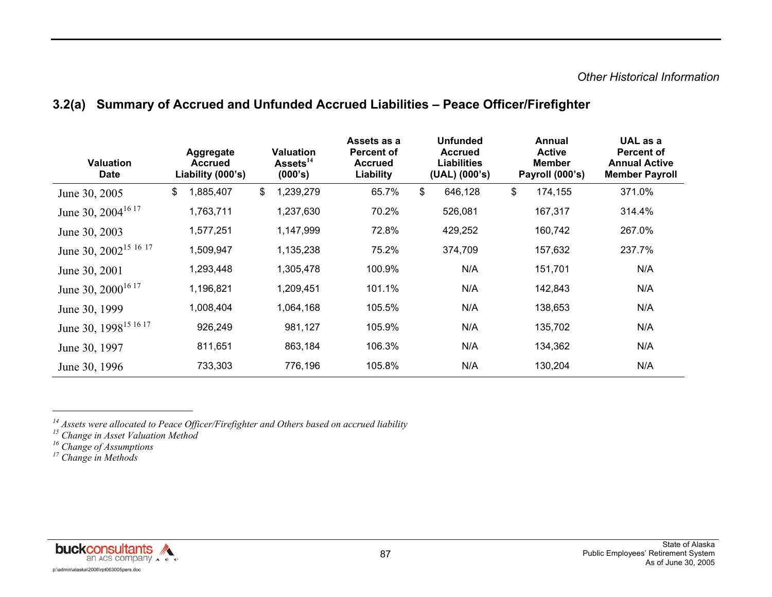## **3.2(a) Summary of Accrued and Unfunded Accrued Liabilities – Peace Officer/Firefighter**

| <b>Valuation</b><br><b>Date</b>                         | Aggregate<br><b>Accrued</b><br>Liability (000's) | <b>Valuation</b><br>Assets <sup>14</sup><br>(000's) | Assets as a<br><b>Percent of</b><br><b>Accrued</b><br>Liability | <b>Unfunded</b><br><b>Accrued</b><br><b>Liabilities</b><br>(UAL) (000's) | Annual<br><b>Active</b><br><b>Member</b><br>Payroll (000's) | UAL as a<br><b>Percent of</b><br><b>Annual Active</b><br><b>Member Payroll</b> |
|---------------------------------------------------------|--------------------------------------------------|-----------------------------------------------------|-----------------------------------------------------------------|--------------------------------------------------------------------------|-------------------------------------------------------------|--------------------------------------------------------------------------------|
| June 30, 2005                                           | 1,885,407<br>\$                                  | 1,239,279<br>\$                                     | 65.7%                                                           | \$<br>646,128                                                            | \$<br>174,155                                               | 371.0%                                                                         |
| June 30, 2004 <sup>16 17</sup>                          | 1,763,711                                        | 1,237,630                                           | 70.2%                                                           | 526,081                                                                  | 167,317                                                     | 314.4%                                                                         |
| June 30, 2003                                           | 1,577,251                                        | 1,147,999                                           | 72.8%                                                           | 429,252                                                                  | 160,742                                                     | 267.0%                                                                         |
| June 30, 2002 <sup>15</sup> <sup>16</sup> <sup>17</sup> | 1,509,947                                        | 1,135,238                                           | 75.2%                                                           | 374,709                                                                  | 157,632                                                     | 237.7%                                                                         |
| June 30, 2001                                           | 1,293,448                                        | 1,305,478                                           | 100.9%                                                          | N/A                                                                      | 151,701                                                     | N/A                                                                            |
| June 30, 2000 <sup>16 17</sup>                          | 1,196,821                                        | 1,209,451                                           | 101.1%                                                          | N/A                                                                      | 142,843                                                     | N/A                                                                            |
| June 30, 1999                                           | 1,008,404                                        | 1,064,168                                           | 105.5%                                                          | N/A                                                                      | 138,653                                                     | N/A                                                                            |
| June 30, 1998 <sup>15 16</sup> <sup>17</sup>            | 926,249                                          | 981,127                                             | 105.9%                                                          | N/A                                                                      | 135,702                                                     | N/A                                                                            |
| June 30, 1997                                           | 811,651                                          | 863,184                                             | 106.3%                                                          | N/A                                                                      | 134,362                                                     | N/A                                                                            |
| June 30, 1996                                           | 733,303                                          | 776,196                                             | 105.8%                                                          | N/A                                                                      | 130,204                                                     | N/A                                                                            |



*<sup>14</sup> Assets were allocated to Peace Officer/Firefighter and Others based on accrued liability* 

*<sup>15</sup> Change in Asset Valuation Method* 

*<sup>16</sup> Change of Assumptions* 

*<sup>17</sup> Change in Methods*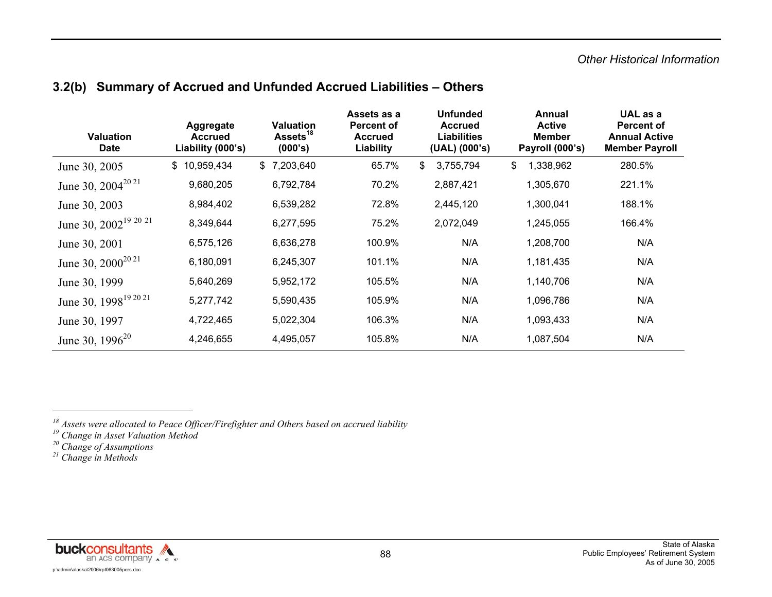#### *Other Historical Information*

| 3.2(b) Summary of Accrued and Unfunded Accrued Liabilities - Others |
|---------------------------------------------------------------------|
|---------------------------------------------------------------------|

| <b>Valuation</b><br><b>Date</b>              | Aggregate<br><b>Accrued</b><br>Liability (000's) | <b>Valuation</b><br>Assets <sup>18</sup><br>(000's) | Assets as a<br><b>Percent of</b><br><b>Accrued</b><br>Liability | <b>Unfunded</b><br><b>Accrued</b><br><b>Liabilities</b><br>(UAL) (000's) | Annual<br><b>Active</b><br><b>Member</b><br>Payroll (000's) | UAL as a<br><b>Percent of</b><br><b>Annual Active</b><br><b>Member Payroll</b> |
|----------------------------------------------|--------------------------------------------------|-----------------------------------------------------|-----------------------------------------------------------------|--------------------------------------------------------------------------|-------------------------------------------------------------|--------------------------------------------------------------------------------|
| June 30, 2005                                | \$10,959,434                                     | \$7,203,640                                         | 65.7%                                                           | \$<br>3,755,794                                                          | 1,338,962<br>\$                                             | 280.5%                                                                         |
| June 30, $2004^{2021}$                       | 9,680,205                                        | 6,792,784                                           | 70.2%                                                           | 2,887,421                                                                | 1,305,670                                                   | 221.1%                                                                         |
| June 30, 2003                                | 8,984,402                                        | 6,539,282                                           | 72.8%                                                           | 2,445,120                                                                | 1,300,041                                                   | 188.1%                                                                         |
| June 30, 2002 <sup>19 20</sup> <sup>21</sup> | 8,349,644                                        | 6,277,595                                           | 75.2%                                                           | 2,072,049                                                                | 1,245,055                                                   | 166.4%                                                                         |
| June 30, 2001                                | 6,575,126                                        | 6,636,278                                           | 100.9%                                                          | N/A                                                                      | 1,208,700                                                   | N/A                                                                            |
| June 30, $2000^{2021}$                       | 6,180,091                                        | 6,245,307                                           | 101.1%                                                          | N/A                                                                      | 1,181,435                                                   | N/A                                                                            |
| June 30, 1999                                | 5,640,269                                        | 5,952,172                                           | 105.5%                                                          | N/A                                                                      | 1,140,706                                                   | N/A                                                                            |
| June 30, 1998 <sup>19 20 21</sup>            | 5,277,742                                        | 5,590,435                                           | 105.9%                                                          | N/A                                                                      | 1,096,786                                                   | N/A                                                                            |
| June 30, 1997                                | 4,722,465                                        | 5,022,304                                           | 106.3%                                                          | N/A                                                                      | 1,093,433                                                   | N/A                                                                            |
| June 30, $1996^{20}$                         | 4,246,655                                        | 4,495,057                                           | 105.8%                                                          | N/A                                                                      | 1,087,504                                                   | N/A                                                                            |



*<sup>18</sup> Assets were allocated to Peace Officer/Firefighter and Others based on accrued liability* 

*<sup>19</sup> Change in Asset Valuation Method* 

*<sup>20</sup> Change of Assumptions* 

*<sup>21</sup> Change in Methods*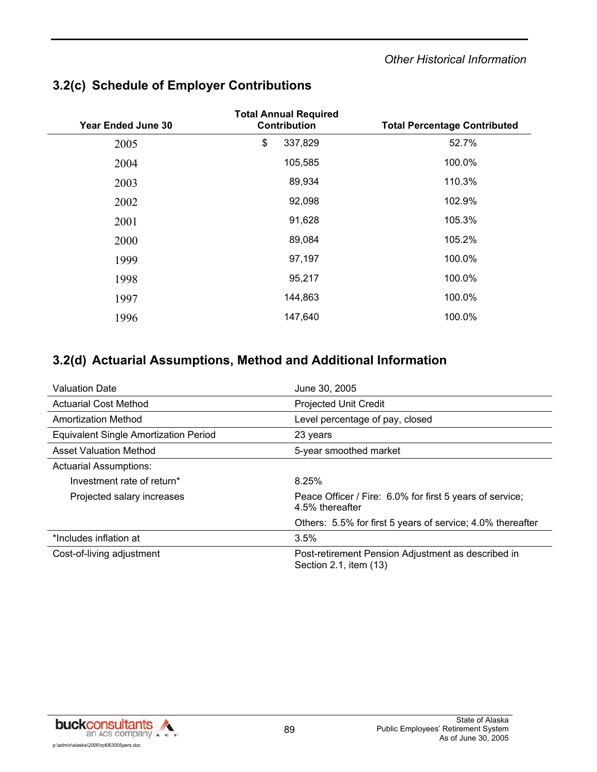## **3.2(c) Schedule of Employer Contributions**

| <b>Year Ended June 30</b> | <b>Total Annual Required</b><br><b>Contribution</b> | <b>Total Percentage Contributed</b> |  |  |  |  |
|---------------------------|-----------------------------------------------------|-------------------------------------|--|--|--|--|
| 2005                      | \$<br>337,829                                       | 52.7%                               |  |  |  |  |
| 2004                      | 105,585                                             | 100.0%                              |  |  |  |  |
| 2003                      | 89,934                                              | 110.3%                              |  |  |  |  |
| 2002                      | 92,098                                              | 102.9%                              |  |  |  |  |
| 2001                      | 91,628                                              | 105.3%                              |  |  |  |  |
| 2000                      | 89,084                                              | 105.2%                              |  |  |  |  |
| 1999                      | 97,197                                              | 100.0%                              |  |  |  |  |
| 1998                      | 95,217                                              | 100.0%                              |  |  |  |  |
| 1997                      | 144,863                                             | 100.0%                              |  |  |  |  |
| 1996                      | 147,640                                             | 100.0%                              |  |  |  |  |

## **3.2(d) Actuarial Assumptions, Method and Additional Information**

| <b>Valuation Date</b>                 | June 30, 2005                                                                |  |  |  |  |
|---------------------------------------|------------------------------------------------------------------------------|--|--|--|--|
| <b>Actuarial Cost Method</b>          | <b>Projected Unit Credit</b>                                                 |  |  |  |  |
| Amortization Method                   | Level percentage of pay, closed                                              |  |  |  |  |
| Equivalent Single Amortization Period | 23 years                                                                     |  |  |  |  |
| Asset Valuation Method                | 5-year smoothed market                                                       |  |  |  |  |
| <b>Actuarial Assumptions:</b>         |                                                                              |  |  |  |  |
| Investment rate of return*            | 8.25%                                                                        |  |  |  |  |
| Projected salary increases            | Peace Officer / Fire: 6.0% for first 5 years of service;<br>4.5% thereafter  |  |  |  |  |
|                                       | Others: 5.5% for first 5 years of service; 4.0% thereafter                   |  |  |  |  |
| *Includes inflation at                | 3.5%                                                                         |  |  |  |  |
| Cost-of-living adjustment             | Post-retirement Pension Adjustment as described in<br>Section 2.1, item (13) |  |  |  |  |